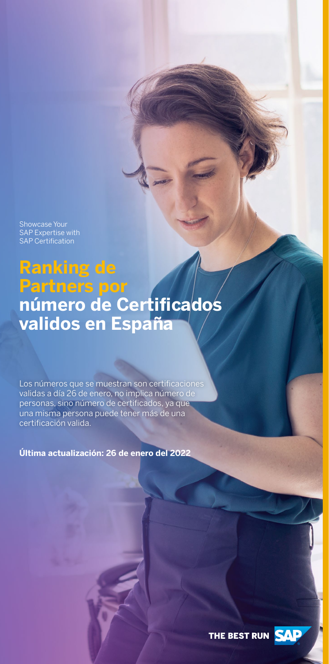**Ranking de Partners por número de Certificados validos en España**

Showcase Your SAP Expertise with SAP Certification

Los números que se muestran son certificaciones validas a día 26 de enero, no implica número de personas, sino número de certificados, ya que una misma persona puede tener más de una certificación valida.

**Última actualización: 26 de enero del 2022**

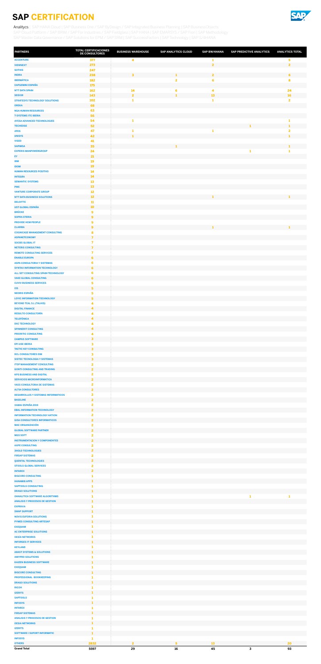

| <b>PARTNERS</b>                                                        | <b>TOTAL CERTIFICACIONES</b><br><b>DE CONSULTORES</b> | <b>BUSINESS WAREHOUSE</b> | <b>SAP ANALYTICS CLOUD</b> | <b>SAP BW/4HANA</b>     | <b>SAP PREDICTIVE ANALYTICS</b> | <b>ANALYTICS TOTAL</b>  |
|------------------------------------------------------------------------|-------------------------------------------------------|---------------------------|----------------------------|-------------------------|---------------------------------|-------------------------|
| <b>ACCENTURE</b>                                                       | 377                                                   | 4                         |                            | 1                       |                                 | 5                       |
| <b>VIEWNEXT</b><br><b>SOTHIS</b>                                       | 273<br>247                                            |                           |                            | $\overline{\mathbf{2}}$ |                                 | $\overline{2}$          |
| <b>INDRA</b>                                                           | 238                                                   | $\mathbf{3}$              | 1                          | $\overline{2}$          |                                 | 6                       |
| <b>IBERMÁTICA</b><br><b>CAPGEMINI ESPAÑA</b>                           | 182<br>175                                            |                           | 2                          | 6                       |                                 | 8                       |
| <b>NTT DATA SPAIN</b>                                                  | 162                                                   | 14                        | 6                          | 4                       |                                 | 24                      |
| <b>SEIDOR</b>                                                          | 143                                                   | $\overline{\mathbf{2}}$   | $\mathbf{1}$               | 13                      |                                 | 16                      |
| <b>STRATESYS TECHNOLOGY SOLUTIONS</b><br><b>OREKA</b>                  | 102<br>68                                             | 1                         |                            | 1                       |                                 | $\overline{\mathbf{2}}$ |
| <b>NGA HUMAN RESOURCES</b>                                             | 63                                                    |                           |                            |                         |                                 |                         |
| <b>T-SYSTEMS ITC IBERIA</b><br><b>AYESA ADVANCED TECHNOLOGIES</b>      | 56<br>54                                              | 1                         |                            |                         |                                 | 1                       |
| <b>TECHEDGE</b>                                                        | 52                                                    |                           |                            |                         | 1                               | 1                       |
| <b>ATOS</b>                                                            | 47                                                    | 1                         |                            | 1                       |                                 | $\overline{\mathbf{2}}$ |
| <b>UNISYS</b><br><b>VISEO</b>                                          | 42<br>41                                              | $\mathbf{1}$              |                            |                         |                                 | $\mathbf{1}$            |
| <b>SAPIMSA</b>                                                         | 35                                                    |                           | 1                          |                         |                                 | 1                       |
| <b>EXPERIS MANPOWERGROUP</b><br>EY                                     | 24<br>21                                              |                           |                            |                         | 1                               | 1                       |
| <b>IBM</b>                                                             | 19                                                    |                           |                            |                         |                                 |                         |
| <b>IDOM</b>                                                            | <b>19</b><br>14                                       |                           |                            |                         |                                 |                         |
| <b>HUMAN RESOURCES POSITIVO</b><br><b>INTEGRA</b>                      | 14                                                    |                           |                            |                         |                                 |                         |
| <b>SEMANTIC SYSTEMS</b>                                                | 13                                                    |                           |                            |                         |                                 |                         |
| <b>PWC</b><br><b>VANTURE CORPORATE GROUP</b>                           | 13<br>12                                              |                           |                            |                         |                                 |                         |
| <b>NTT DATA BUSINESS SOLUTIONS</b>                                     | 12                                                    |                           |                            |                         |                                 | 1                       |
| <b>DELOITTE</b>                                                        | 11                                                    |                           |                            |                         |                                 |                         |
| <b>UST GLOBAL ESPAÑA</b><br><b>BRÜCKE</b>                              | 10<br>$\mathbf{9}$                                    |                           |                            |                         |                                 |                         |
| <b>SOPRA STERIA</b>                                                    | 9                                                     |                           |                            |                         |                                 |                         |
| <b>PROVIDE HCM PEOPLE</b><br><b>CLARIBA</b>                            | 9<br>$\overline{9}$                                   |                           |                            | 1                       |                                 | $\mathbf{1}$            |
| <b>COGNICASE MANAGEMENT CONSULTING</b>                                 | 8                                                     |                           |                            |                         |                                 |                         |
| <b>ASPANETCONOMY</b>                                                   | $\overline{7}$                                        |                           |                            |                         |                                 |                         |
| <b>SOCBS GLOBAL IT</b><br><b>NETERIS CONSULTING</b>                    | 7<br>$\overline{7}$                                   |                           |                            |                         |                                 |                         |
| <b>REMOTE CONSULTING SERVICES</b>                                      | 7                                                     |                           |                            |                         |                                 |                         |
| <b>ENABLE EUROPA</b><br><b>ASPA CONSULTORIA Y SISTEMAS</b>             | 6<br>6                                                |                           |                            |                         |                                 |                         |
| SYNTAX INFORMATION TECHNOLOGY                                          | 6                                                     |                           |                            |                         |                                 |                         |
| ALL SET CONSULTING SPAIN-TECHNOLOGY                                    | 6                                                     |                           |                            |                         |                                 |                         |
| <b>VAKE GLOBAL CONSULTING</b><br><b>CUVIV BUSINESS SERVICES</b>        | 6<br>5                                                |                           |                            |                         |                                 |                         |
| <b>I3S</b>                                                             | 5                                                     |                           |                            |                         |                                 |                         |
| <b>NEORIS ESPAÑA</b><br><b>LOYIC INFORMATION TECHNOLOGY</b>            | 5<br>$\overline{\mathbf{5}}$                          |                           |                            |                         |                                 |                         |
| <b>BEYOND TEAL S.L (TALHIS)</b>                                        | 4                                                     |                           |                            |                         |                                 |                         |
| <b>DIGITAL FINANCE</b>                                                 | 4                                                     |                           |                            |                         |                                 |                         |
| <b>RESULTO CONSULTORÍA</b><br><b>TELEFÓNICA</b>                        | 4<br>4                                                |                           |                            |                         |                                 |                         |
| <b>DXC TECHNOLOGY</b>                                                  | 4                                                     |                           |                            |                         |                                 |                         |
| <b>SPINNERIT CONSULTING</b>                                            | 4                                                     |                           |                            |                         |                                 |                         |
| <b>PRIORITIC CONSULTING</b><br><b>CAMPUS SOFTWARE</b>                  | 4<br>3                                                |                           |                            |                         |                                 |                         |
| <b>EPI-USE IBERIA</b>                                                  | 3                                                     |                           |                            |                         |                                 |                         |
| <b>TACTIC KEY CONSULTING</b><br><b>DCL CONSULTORES EIM</b>             | 3<br>3                                                |                           |                            |                         |                                 |                         |
| <b>SISTEC TECNOLOGIA Y SISTEMAS</b>                                    | 3                                                     |                           |                            |                         |                                 |                         |
| <b>ITOP MANAGEMENT CONSULTING</b>                                      | $\mathbf{2}$                                          |                           |                            |                         |                                 |                         |
| <b>GONTI CONSULTING AND TRADING</b><br><b>KPS BUSINESS AND DIGITAL</b> | $\overline{2}$<br>$\mathbf{2}$                        |                           |                            |                         |                                 |                         |
| <b>SERVICIOS MICROINFORMATICA</b>                                      | $\overline{2}$                                        |                           |                            |                         |                                 |                         |
| <b>VASS CONSULTORIA DE SISTEMAS</b><br><b>ALTIA CONSULTORES</b>        | 2<br>$\overline{\mathbf{2}}$                          |                           |                            |                         |                                 |                         |
| <b>DESARROLLOS Y SISTEMAS INFORMATICOS</b>                             | $\overline{\mathbf{2}}$                               |                           |                            |                         |                                 |                         |
| <b>BASELINE</b>                                                        | $\overline{2}$                                        |                           |                            |                         |                                 |                         |
| XAMAI ESPAÑA 2019<br><b>EBAL INFORMATION TECHNOLOGY</b>                | $\mathbf{2}$<br>$\overline{2}$                        |                           |                            |                         |                                 |                         |
| <b>INFORMATION TECHNOLOGY AKTION</b>                                   | $\mathbf{2}$                                          |                           |                            |                         |                                 |                         |
| <b>GISA CONSULTORES INFORMATICOS</b><br><b>MAC ORGANIZACIÓN</b>        | $\overline{2}$<br>$\mathbf{2}$                        |                           |                            |                         |                                 |                         |
| <b>GLOBAL SOFTWARE PARTNER</b>                                         | $\overline{2}$                                        |                           |                            |                         |                                 |                         |
| <b>MGS SOFT</b>                                                        | $\mathbf{2}$                                          |                           |                            |                         |                                 |                         |
| <b>INSTRUMENTACION Y COMPONENTES</b><br><b>AXPE CONSULTING</b>         | $\overline{2}$<br>$\overline{2}$                      |                           |                            |                         |                                 |                         |
| <b>3HOLD TECHNOLOGIES</b>                                              | $\overline{2}$                                        |                           |                            |                         |                                 |                         |
| <b>FIRSAP SISTEMAS</b><br><b>QUENTAL TECHNOLOGIES</b>                  | $\mathbf{2}$<br>$\overline{2}$                        |                           |                            |                         |                                 |                         |
| <b>STOOLS GLOBAL SERVICES</b>                                          | $\mathbf{2}$                                          |                           |                            |                         |                                 |                         |
| <b>INTAREX</b>                                                         | $\overline{2}$                                        |                           |                            |                         |                                 |                         |
| <b>BIGCORE CONSULTING</b><br><b>HANAMI8 APPS</b>                       | 1<br>$\mathbf{1}$                                     |                           |                            |                         |                                 |                         |
| <b>SAPTOOLS CONSULTING</b>                                             |                                                       |                           |                            |                         |                                 |                         |
| <b>DRAGO SOLUTIONS</b><br><b>OANALITICA SOFTWARE ALGORITHMS</b>        | 1<br>1                                                |                           |                            |                         | 1                               | -1                      |
| <b>ANALISIS Y PROCESOS DE GESTION</b>                                  | 1                                                     |                           |                            |                         |                                 |                         |
| <b>EXPRIVIA</b>                                                        | 1                                                     |                           |                            |                         |                                 |                         |
| <b>SWAP SUPPORT</b><br><b>NOVIS EUFORIA SOLUTIONS</b>                  | 1<br>1                                                |                           |                            |                         |                                 |                         |
| <b>PYMES CONSULTING ARTESAP</b>                                        | 1                                                     |                           |                            |                         |                                 |                         |
| <b>EXEQUAM</b>                                                         | 1<br>$\mathbf{1}$                                     |                           |                            |                         |                                 |                         |
| <b>AC ENTERPRISE SOLUTIONS</b><br><b>OESÍA NETWORKS</b>                | 1                                                     |                           |                            |                         |                                 |                         |
| <b>INFORGES IT SERVICES</b>                                            | 1                                                     |                           |                            |                         |                                 |                         |
| <b>KEYLAND</b><br><b>ABAST SYSTEMS &amp; SOLUTIONS</b>                 | 1<br>1                                                |                           |                            |                         |                                 |                         |
| <b>AMYPRO SOLUTIONS</b>                                                | 1                                                     |                           |                            |                         |                                 |                         |
| <b>KAIZEN BUSINESS SOFTWARE</b>                                        |                                                       |                           |                            |                         |                                 |                         |
| <b>EXEQUAM</b><br><b>BIGCORE CONSULTING</b>                            | 1<br>$\mathbf{1}$                                     |                           |                            |                         |                                 |                         |
| PROFESSIONAL BOOKKEEPING                                               | 1                                                     |                           |                            |                         |                                 |                         |
| <b>DRAGO SOLUTIONS</b><br><b>RICOH</b>                                 | 1<br>1                                                |                           |                            |                         |                                 |                         |
| <b>IZERITS</b>                                                         | $\mathbf{1}$                                          |                           |                            |                         |                                 |                         |
| <b>SAPTOOLS</b>                                                        | 1                                                     |                           |                            |                         |                                 |                         |
| <b>INFOSYS</b><br><b>INTAREX</b>                                       | 1<br>1                                                |                           |                            |                         |                                 |                         |
| <b>FIRSAP SISTEMAS</b>                                                 | 1                                                     |                           |                            |                         |                                 |                         |
| <b>ANALISIS Y PROCESOS DE GESTION</b><br><b>OESIA NETWORKS</b>         | 1<br>1                                                |                           |                            |                         |                                 |                         |
| <b>IZERITS</b>                                                         | 1                                                     |                           |                            |                         |                                 |                         |
| <b>SOFTWARE I SUPORT INFORMATIC</b>                                    | $\mathbf{1}$                                          |                           |                            |                         |                                 |                         |
| <b>INFOSYS</b><br><b>OTHERS</b>                                        | 1<br>2832                                             | $\overline{\mathbf{2}}$   | 5                          | 13                      |                                 | 20                      |
| <b>Grand Total</b>                                                     | 5597                                                  | 29                        | 16                         | 45                      | $\mathbf{3}$                    | 93                      |

<span id="page-1-0"></span>Analitycs | [SAP HANA Cloud](#page-2-0) | [SAP Business One / SAP ByDesign / SAP Integrated Business Planning](#page-3-0) | SAP BusinessObjects [SAP Cloud Platform / SAP BRIM / SAP For Industries / SAP Fieldglass](#page-5-0) | [SAP HANA](#page-6-0) | [SAP EMARSYS / SAP Fiori](#page-7-0) | [SAP Methodology](#page-8-0) [SAP Master Data Governance / SAP Solutions for EPM / SAP SRM](#page-9-0) | [SAP SuccessFactors](#page-10-0) | [SAP Technology](#page-11-0) | [SAP S/4HANA](#page-12-0)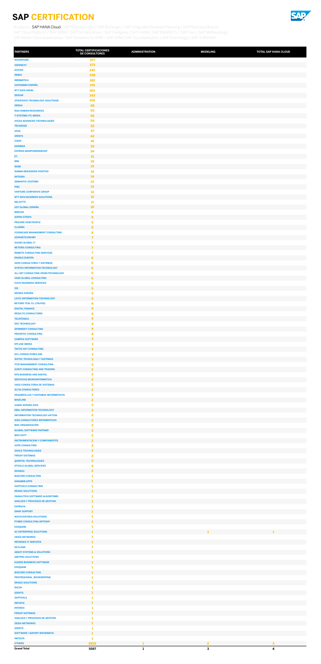

| <b>PARTNERS</b>                                                              | <b>TOTAL CERTIFICACIONES</b><br><b>DE CONSULTORES</b> | <b>ADMINISTRATION</b> | <b>MODELING</b>                         | <b>TOTAL SAP HANA CLOUD</b> |
|------------------------------------------------------------------------------|-------------------------------------------------------|-----------------------|-----------------------------------------|-----------------------------|
| <b>ACCENTURE</b>                                                             | 377                                                   |                       |                                         |                             |
| <b>VIEWNEXT</b><br><b>SOTHIS</b>                                             | 273<br>247                                            |                       |                                         |                             |
| <b>INDRA</b>                                                                 | 238                                                   |                       |                                         |                             |
| <b>IBERMÁTICA</b>                                                            | 182                                                   |                       |                                         |                             |
| <b>CAPGEMINI ESPAÑA</b><br><b>NTT DATA SPAIN</b>                             | <b>175</b><br>162                                     |                       |                                         |                             |
| <b>SEIDOR</b>                                                                | 143                                                   |                       |                                         |                             |
| <b>STRATESYS TECHNOLOGY SOLUTIONS</b>                                        | 102                                                   |                       |                                         |                             |
| <b>OREKA</b><br><b>NGA HUMAN RESOURCES</b>                                   | 68<br>63                                              |                       |                                         |                             |
| <b>T-SYSTEMS ITC IBERIA</b>                                                  | 56                                                    |                       |                                         |                             |
| <b>AYESA ADVANCED TECHNOLOGIES</b><br><b>TECHEDGE</b>                        | 54<br>52                                              |                       |                                         |                             |
| <b>ATOS</b>                                                                  | 47                                                    |                       |                                         |                             |
| <b>UNISYS</b>                                                                | 42                                                    |                       |                                         |                             |
| <b>VISEO</b><br><b>SAPIMSA</b>                                               | 41<br>35                                              |                       |                                         |                             |
| <b>EXPERIS MANPOWERGROUP</b>                                                 | 24                                                    |                       |                                         |                             |
| EY                                                                           | 21                                                    |                       |                                         |                             |
| <b>IBM</b><br><b>IDOM</b>                                                    | 19<br><b>19</b>                                       |                       |                                         |                             |
| <b>HUMAN RESOURCES POSITIVO</b>                                              | 14                                                    |                       |                                         |                             |
| <b>INTEGRA</b><br><b>SEMANTIC SYSTEMS</b>                                    | 14<br>13                                              |                       |                                         |                             |
| <b>PWC</b>                                                                   | 13                                                    |                       |                                         |                             |
| <b>VANTURE CORPORATE GROUP</b>                                               | 12                                                    |                       |                                         |                             |
| <b>NTT DATA BUSINESS SOLUTIONS</b><br><b>DELOITTE</b>                        | $12\,$<br>${\bf 11}$                                  |                       |                                         |                             |
| <b>UST GLOBAL ESPAÑA</b>                                                     | 10 <sub>o</sub>                                       |                       |                                         |                             |
| <b>BRÜCKE</b>                                                                | 9                                                     |                       |                                         |                             |
| <b>SOPRA STERIA</b><br><b>PROVIDE HCM PEOPLE</b>                             | 9<br>9                                                |                       |                                         |                             |
| <b>CLARIBA</b>                                                               | 9                                                     |                       |                                         |                             |
| <b>COGNICASE MANAGEMENT CONSULTING</b><br><b>ASPANETCONOMY</b>               | 8                                                     |                       |                                         |                             |
| <b>SOCBS GLOBAL IT</b>                                                       | $\overline{7}$<br>$\overline{7}$                      |                       |                                         |                             |
| <b>NETERIS CONSULTING</b>                                                    | $\overline{7}$                                        |                       |                                         |                             |
| <b>REMOTE CONSULTING SERVICES</b><br><b>ENABLE EUROPA</b>                    | $\overline{7}$<br>6                                   |                       |                                         |                             |
| <b>ASPA CONSULTORIA Y SISTEMAS</b>                                           | 6                                                     |                       |                                         |                             |
| <b>SYNTAX INFORMATION TECHNOLOGY</b>                                         | 6                                                     |                       |                                         |                             |
| ALL SET CONSULTING SPAIN-TECHNOLOGY<br><b>VAKE GLOBAL CONSULTING</b>         | 6<br>6                                                |                       |                                         |                             |
| <b>CUVIV BUSINESS SERVICES</b>                                               | 5                                                     |                       |                                         |                             |
| <b>I3S</b><br><b>NEORIS ESPAÑA</b>                                           | $\overline{\mathbf{5}}$<br>5                          |                       |                                         |                             |
| <b>LOYIC INFORMATION TECHNOLOGY</b>                                          | 5                                                     |                       |                                         |                             |
| <b>BEYOND TEAL S.L (TALHIS)</b><br><b>DIGITAL FINANCE</b>                    | $\overline{\mathbf{4}}$<br>4                          |                       |                                         |                             |
| <b>RESULTO CONSULTORÍA</b>                                                   | 4                                                     |                       |                                         |                             |
| <b>TELEFÓNICA</b>                                                            | 4                                                     |                       |                                         |                             |
| <b>DXC TECHNOLOGY</b><br><b>SPINNERIT CONSULTING</b>                         | 4<br>$\blacktriangleleft$                             |                       |                                         |                             |
| <b>PRIORITIC CONSULTING</b>                                                  | 4                                                     |                       |                                         |                             |
| <b>CAMPUS SOFTWARE</b>                                                       | $\overline{\mathbf{3}}$                               |                       |                                         |                             |
| <b>EPI-USE IBERIA</b><br><b>TACTIC KEY CONSULTING</b>                        | $\mathbf{3}$<br>3                                     |                       |                                         |                             |
| <b>DCL CONSULTORES EIM</b>                                                   | $\mathbf{3}$                                          |                       |                                         |                             |
| <b>SISTEC TECNOLOGIA Y SISTEMAS</b><br><b>ITOP MANAGEMENT CONSULTING</b>     | $\mathbf{3}$<br>$\overline{2}$                        |                       |                                         |                             |
| <b>GONTI CONSULTING AND TRADING</b>                                          | $\overline{2}$                                        |                       |                                         |                             |
| <b>KPS BUSINESS AND DIGITAL</b>                                              | $\overline{\mathbf{2}}$                               |                       |                                         |                             |
| <b>SERVICIOS MICROINFORMATICA</b><br><b>VASS CONSULTORIA DE SISTEMAS</b>     | $\overline{2}$<br>$\overline{\mathbf{2}}$             |                       |                                         |                             |
| <b>ALTIA CONSULTORES</b>                                                     | $\overline{2}$                                        |                       |                                         |                             |
| <b>DESARROLLOS Y SISTEMAS INFORMATICOS</b><br><b>BASELINE</b>                | $\overline{2}$<br>$\overline{2}$                      |                       |                                         |                             |
| XAMAI ESPAÑA 2019                                                            | $\overline{\mathbf{2}}$                               |                       |                                         |                             |
| <b>EBAL INFORMATION TECHNOLOGY</b>                                           | $\overline{2}$                                        |                       |                                         |                             |
| <b>INFORMATION TECHNOLOGY AKTION</b><br><b>GISA CONSULTORES INFORMATICOS</b> | $\overline{\mathbf{2}}$<br>$\overline{2}$             |                       |                                         |                             |
| <b>MAC ORGANIZACIÓN</b>                                                      | $\overline{\mathbf{2}}$                               |                       |                                         |                             |
| <b>GLOBAL SOFTWARE PARTNER</b>                                               | $\overline{2}$                                        |                       |                                         |                             |
| <b>MGS SOFT</b><br><b>INSTRUMENTACION Y COMPONENTES</b>                      | $\overline{\mathbf{2}}$<br>$\overline{2}$             |                       |                                         |                             |
| <b>AXPE CONSULTING</b>                                                       | $\overline{\mathbf{2}}$                               |                       |                                         |                             |
| <b>3HOLD TECHNOLOGIES</b><br><b>FIRSAP SISTEMAS</b>                          | $\overline{2}$<br>$\overline{\mathbf{2}}$             |                       |                                         |                             |
| <b>QUENTAL TECHNOLOGIES</b>                                                  | $\overline{2}$                                        |                       |                                         |                             |
| <b>STOOLS GLOBAL SERVICES</b><br><b>INTAREX</b>                              | $\overline{\mathbf{2}}$<br>$\overline{2}$             |                       |                                         |                             |
| <b>BIGCORE CONSULTING</b>                                                    | 1                                                     |                       |                                         |                             |
| <b>HANAMI8 APPS</b>                                                          | $\mathbf{1}$                                          |                       |                                         |                             |
| <b>SAPTOOLS CONSULTING</b><br><b>DRAGO SOLUTIONS</b>                         | 1<br>$\mathbf{1}$                                     |                       |                                         |                             |
| <b>OANALITICA SOFTWARE ALGORITHMS</b>                                        | 1                                                     |                       |                                         |                             |
| <b>ANALISIS Y PROCESOS DE GESTION</b><br><b>EXPRIVIA</b>                     | $\mathbf{1}$<br>1                                     |                       |                                         |                             |
| <b>SWAP SUPPORT</b>                                                          | 1                                                     |                       |                                         |                             |
| <b>NOVIS EUFORIA SOLUTIONS</b>                                               | 1                                                     |                       |                                         |                             |
| <b>PYMES CONSULTING ARTESAP</b><br><b>EXEQUAM</b>                            | $\mathbf{1}$<br>1                                     |                       |                                         |                             |
| <b>AC ENTERPRISE SOLUTIONS</b>                                               | 1                                                     |                       |                                         | 1                           |
| <b>OESÍA NETWORKS</b><br><b>INFORGES IT SERVICES</b>                         | 1<br>$\mathbf{1}$                                     |                       |                                         |                             |
| <b>KEYLAND</b>                                                               | 1                                                     |                       |                                         |                             |
| <b>ABAST SYSTEMS &amp; SOLUTIONS</b><br><b>AMYPRO SOLUTIONS</b>              | $\mathbf{1}$<br>1                                     |                       |                                         |                             |
| <b>KAIZEN BUSINESS SOFTWARE</b>                                              | 1                                                     |                       |                                         |                             |
| <b>EXEQUAM</b>                                                               |                                                       |                       |                                         |                             |
| <b>BIGCORE CONSULTING</b><br>PROFESSIONAL BOOKKEEPING                        | 1<br>1                                                |                       |                                         |                             |
| <b>DRAGO SOLUTIONS</b>                                                       | 1                                                     |                       |                                         |                             |
| <b>RICOH</b>                                                                 | 1                                                     |                       |                                         |                             |
| <b>IZERITS</b><br><b>SAPTOOLS</b>                                            | $\mathbf{1}$<br>1                                     |                       |                                         |                             |
| <b>INFOSYS</b>                                                               | 1                                                     |                       |                                         |                             |
| <b>INTAREX</b><br><b>FIRSAP SISTEMAS</b>                                     | 1<br>$\mathbf{1}$                                     |                       |                                         |                             |
| <b>ANALISIS Y PROCESOS DE GESTION</b>                                        |                                                       |                       |                                         |                             |
| <b>OESIA NETWORKS</b>                                                        | 1                                                     |                       |                                         |                             |
| <b>IZERITS</b><br><b>SOFTWARE I SUPORT INFORMATIC</b>                        | 1<br>$\mathbf{1}$                                     |                       |                                         |                             |
| <b>INFOSYS</b>                                                               | 1                                                     |                       |                                         |                             |
| <b>OTHERS</b><br><b>Grand Total</b>                                          | 2832<br>5597                                          | 1<br>$\mathbf{1}$     | $\overline{\mathbf{2}}$<br>$\mathbf{3}$ | $\mathbf{3}$<br>4           |

<span id="page-2-0"></span>[Analitycs](#page-1-0) | SAP HANA Cloud | [SAP Business One / SAP ByDesign / SAP Integrated Business Planning](#page-3-0) | SAP BusinessObjects [SAP Cloud Platform / SAP BRIM / SAP For Industries / SAP Fieldglass](#page-5-0) | [SAP HANA](#page-6-0) | [SAP EMARSYS / SAP Fiori](#page-7-0) | [SAP Methodology](#page-8-0) [SAP Master Data Governance / SAP Solutions for EPM / SAP SRM](#page-9-0) | [SAP SuccessFactors](#page-10-0) | [SAP Technology](#page-11-0) | [SAP S/4HANA](#page-12-0)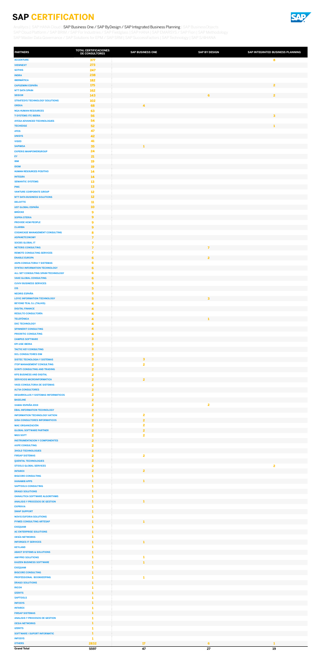

| <b>PARTNERS</b>                                                      | <b>TOTAL CERTIFICACIONES</b><br>DE CONSULTORES | <b>SAP BUSINESS ONE</b> | <b>SAP BY DESIGN</b>    | SAP INTEGRATED BUSINESS PLANNING |
|----------------------------------------------------------------------|------------------------------------------------|-------------------------|-------------------------|----------------------------------|
| <b>ACCENTURE</b>                                                     | 377                                            |                         |                         | 8                                |
| <b>VIEWNEXT</b>                                                      | 273                                            |                         |                         |                                  |
| <b>SOTHIS</b><br><b>INDRA</b>                                        | 247<br>238                                     |                         |                         |                                  |
| <b>IBERMÁTICA</b>                                                    | 182                                            |                         |                         |                                  |
| <b>CAPGEMINI ESPAÑA</b>                                              | 175                                            |                         |                         | $\overline{2}$                   |
| <b>NTT DATA SPAIN</b><br><b>SEIDOR</b>                               | 162<br>143                                     |                         | 6                       | $\overline{2}$                   |
| <b>STRATESYS TECHNOLOGY SOLUTIONS</b>                                | 102                                            |                         |                         |                                  |
| <b>OREKA</b>                                                         | 68                                             | 4                       |                         |                                  |
| <b>NGA HUMAN RESOURCES</b>                                           | 63                                             |                         |                         |                                  |
| <b>T-SYSTEMS ITC IBERIA</b><br>AYESA ADVANCED TECHNOLOGIES           | 56<br>54                                       |                         |                         | $\overline{\mathbf{3}}$          |
| <b>TECHEDGE</b>                                                      | 52                                             |                         |                         | 1                                |
| <b>ATOS</b>                                                          | 47                                             |                         |                         |                                  |
| <b>UNISYS</b><br><b>VISEO</b>                                        | 42<br>41                                       |                         |                         |                                  |
| <b>SAPIMSA</b>                                                       | 35                                             | 1                       |                         |                                  |
| <b>EXPERIS MANPOWERGROUP</b>                                         | 24                                             |                         |                         |                                  |
| EY                                                                   | 21                                             |                         |                         |                                  |
| <b>IBM</b><br><b>IDOM</b>                                            | 19<br>19                                       |                         |                         |                                  |
| <b>HUMAN RESOURCES POSITIVO</b>                                      | 14                                             |                         |                         |                                  |
| <b>INTEGRA</b>                                                       | 14                                             |                         |                         |                                  |
| <b>SEMANTIC SYSTEMS</b>                                              | 13                                             |                         |                         |                                  |
| <b>PWC</b><br><b>VANTURE CORPORATE GROUP</b>                         | 13<br>12                                       |                         |                         |                                  |
| <b>NTT DATA BUSINESS SOLUTIONS</b>                                   | $12$                                           |                         |                         |                                  |
| <b>DELOITTE</b>                                                      | ${\bf 11}$                                     |                         |                         |                                  |
| <b>UST GLOBAL ESPAÑA</b><br><b>BRÜCKE</b>                            | 10                                             |                         |                         |                                  |
| <b>SOPRA STERIA</b>                                                  | 9<br>$\mathbf{9}$                              |                         |                         |                                  |
| <b>PROVIDE HCM PEOPLE</b>                                            | 9                                              |                         |                         |                                  |
| <b>CLARIBA</b>                                                       | $\mathbf{9}$                                   |                         |                         |                                  |
| <b>COGNICASE MANAGEMENT CONSULTING</b><br><b>ASPANETCONOMY</b>       | 8<br>$\overline{7}$                            |                         |                         |                                  |
| <b>SOCBS GLOBAL IT</b>                                               | $\overline{ }$                                 |                         |                         |                                  |
| <b>NETERIS CONSULTING</b>                                            | $\overline{7}$                                 |                         | $\overline{7}$          |                                  |
| <b>REMOTE CONSULTING SERVICES</b>                                    | 7                                              |                         |                         |                                  |
| <b>ENABLE EUROPA</b><br><b>ASPA CONSULTORIA Y SISTEMAS</b>           | 6<br>6                                         |                         | $\overline{2}$          |                                  |
| SYNTAX INFORMATION TECHNOLOGY                                        | 6                                              |                         |                         |                                  |
| ALL SET CONSULTING SPAIN-TECHNOLOGY                                  | 6                                              |                         |                         |                                  |
| <b>VAKE GLOBAL CONSULTING</b><br><b>CUVIV BUSINESS SERVICES</b>      | 6<br>5                                         |                         |                         |                                  |
| 13S                                                                  | 5                                              |                         |                         |                                  |
| <b>NEORIS ESPAÑA</b>                                                 | 5                                              |                         |                         |                                  |
| <b>LOYIC INFORMATION TECHNOLOGY</b>                                  | 5                                              |                         | $\mathbf{3}$            |                                  |
| <b>BEYOND TEAL S.L (TALHIS)</b><br><b>DIGITAL FINANCE</b>            | 4<br>4                                         |                         |                         |                                  |
| <b>RESULTO CONSULTORÍA</b>                                           | 4                                              |                         |                         |                                  |
| <b>TELEFÓNICA</b>                                                    | 4                                              |                         | 1                       |                                  |
| <b>DXC TECHNOLOGY</b>                                                | 4                                              |                         |                         |                                  |
| <b>SPINNERIT CONSULTING</b><br><b>PRIORITIC CONSULTING</b>           | 4<br>4                                         |                         |                         |                                  |
| <b>CAMPUS SOFTWARE</b>                                               | $\overline{\mathbf{3}}$                        |                         |                         |                                  |
| <b>EPI-USE IBERIA</b>                                                | 3                                              |                         |                         |                                  |
| <b>TACTIC KEY CONSULTING</b><br><b>DCL CONSULTORES EIM</b>           | 3                                              |                         |                         |                                  |
| <b>SISTEC TECNOLOGIA Y SISTEMAS</b>                                  | 3<br>3                                         | 3                       |                         |                                  |
| <b>ITOP MANAGEMENT CONSULTING</b>                                    | $\overline{\mathbf{2}}$                        | 2                       |                         |                                  |
| <b>GONTI CONSULTING AND TRADING</b>                                  | $\overline{2}$                                 |                         |                         |                                  |
| <b>KPS BUSINESS AND DIGITAL</b><br><b>SERVICIOS MICROINFORMATICA</b> | $\overline{\mathbf{2}}$<br>2 <sup>1</sup>      | $\overline{2}$          |                         |                                  |
| <b>VASS CONSULTORIA DE SISTEMAS</b>                                  | $\overline{\mathbf{2}}$                        |                         |                         |                                  |
| <b>ALTIA CONSULTORES</b>                                             | $\overline{2}$                                 |                         |                         |                                  |
| <b>DESARROLLOS Y SISTEMAS INFORMATICOS</b>                           | $\mathbf{2}$                                   |                         |                         |                                  |
| <b>BASELINE</b><br><b>XAMAI ESPAÑA 2019</b>                          | $\overline{2}$<br>$\overline{\mathbf{2}}$      |                         | $\overline{\mathbf{2}}$ |                                  |
| <b>EBAL INFORMATION TECHNOLOGY</b>                                   | $\overline{2}$                                 |                         |                         |                                  |
| <b>INFORMATION TECHNOLOGY AKTION</b>                                 | $\overline{\mathbf{2}}$                        | $\mathbf{2}$            |                         |                                  |
| <b>GISA CONSULTORES INFORMATICOS</b><br><b>MAC ORGANIZACIÓN</b>      | $\overline{2}$<br>$\overline{\mathbf{2}}$      | $\overline{2}$<br>2     |                         |                                  |
| <b>GLOBAL SOFTWARE PARTNER</b>                                       | $\overline{2}$                                 | $\overline{2}$          |                         |                                  |
| <b>MGS SOFT</b>                                                      | $\mathbf{2}$                                   | 2                       |                         |                                  |
| <b>INSTRUMENTACION Y COMPONENTES</b>                                 | $\overline{2}$                                 |                         |                         |                                  |
| <b>AXPE CONSULTING</b><br><b>3HOLD TECHNOLOGIES</b>                  | $\overline{\mathbf{2}}$<br>$\overline{2}$      |                         |                         |                                  |
| <b>FIRSAP SISTEMAS</b>                                               | $\overline{\mathbf{2}}$                        | 2                       |                         |                                  |
| <b>QUENTAL TECHNOLOGIES</b>                                          | $\overline{2}$                                 |                         |                         |                                  |
| <b>STOOLS GLOBAL SERVICES</b>                                        | $\overline{\mathbf{2}}$                        |                         |                         | $\overline{\mathbf{2}}$          |
| <b>INTAREX</b><br><b>BIGCORE CONSULTING</b>                          | 2 <sup>1</sup><br>1                            | $\overline{2}$          |                         |                                  |
| <b>HANAMI8 APPS</b>                                                  | 1                                              | 1                       |                         |                                  |
| <b>SAPTOOLS CONSULTING</b>                                           | 1                                              |                         |                         |                                  |
| <b>DRAGO SOLUTIONS</b><br><b>OANALITICA SOFTWARE ALGORITHMS</b>      | 1<br>1                                         |                         |                         |                                  |
| <b>ANALISIS Y PROCESOS DE GESTION</b>                                | 1                                              | $\mathbf{1}$            |                         |                                  |
| <b>EXPRIVIA</b>                                                      | 1                                              |                         |                         |                                  |
| <b>SWAP SUPPORT</b>                                                  | $\mathbf{1}$                                   |                         |                         |                                  |
| <b>NOVIS EUFORIA SOLUTIONS</b><br><b>PYMES CONSULTING ARTESAP</b>    | 1<br>1                                         | $\mathbf{1}$            |                         |                                  |
| <b>EXEQUAM</b>                                                       | 1                                              |                         |                         |                                  |
| <b>AC ENTERPRISE SOLUTIONS</b>                                       | 1                                              |                         |                         |                                  |
| <b>OESÍA NETWORKS</b>                                                | 1                                              | $\mathbf{1}$            |                         |                                  |
| <b>INFORGES IT SERVICES</b><br><b>KEYLAND</b>                        |                                                |                         |                         |                                  |
| <b>ABAST SYSTEMS &amp; SOLUTIONS</b>                                 | 1                                              |                         |                         |                                  |
| <b>AMYPRO SOLUTIONS</b>                                              |                                                | 1                       |                         |                                  |
| <b>KAIZEN BUSINESS SOFTWARE</b>                                      |                                                |                         |                         |                                  |
| <b>EXEQUAM</b><br><b>BIGCORE CONSULTING</b>                          | 1                                              |                         |                         |                                  |
| <b>PROFESSIONAL BOOKKEEPING</b>                                      | 1                                              | 1                       |                         |                                  |
| <b>DRAGO SOLUTIONS</b>                                               | 1                                              |                         |                         |                                  |
| <b>RICOH</b><br><b>IZERITS</b>                                       | 1<br>$\mathbf{1}$                              |                         |                         |                                  |
| <b>SAPTOOLS</b>                                                      | 1                                              |                         |                         |                                  |
| <b>INFOSYS</b>                                                       | 1                                              |                         |                         |                                  |
| <b>INTAREX</b>                                                       | 1                                              |                         |                         |                                  |
| <b>FIRSAP SISTEMAS</b><br><b>ANALISIS Y PROCESOS DE GESTION</b>      | 1<br>ı                                         |                         |                         |                                  |
| <b>OESIA NETWORKS</b>                                                |                                                |                         |                         |                                  |
| <b>IZERITS</b>                                                       | 1                                              |                         |                         |                                  |
| <b>SOFTWARE I SUPORT INFORMATIC</b><br><b>INFOSYS</b>                | $\mathbf{1}$<br>1                              |                         |                         |                                  |
| <b>OTHERS</b>                                                        | 2832                                           | 17                      | 6                       | 1                                |
| <b>Grand Total</b>                                                   | 5597                                           | 47                      | 27                      | 19                               |

<span id="page-3-0"></span>[Analitycs](#page-1-0) | [SAP HANA Cloud](#page-2-0) | SAP Business One / SAP ByDesign / SAP Integrated Business Planning | SAP BusinessObjects [SAP Cloud Platform / SAP BRIM / SAP For Industries / SAP Fieldglass](#page-5-0) | [SAP HANA](#page-6-0) | [SAP EMARSYS / SAP Fiori](#page-7-0) | [SAP Methodology](#page-8-0) [SAP Master Data Governance / SAP Solutions for EPM / SAP SRM](#page-9-0) | [SAP SuccessFactors](#page-10-0) | [SAP Technology](#page-11-0) | [SAP S/4HANA](#page-12-0)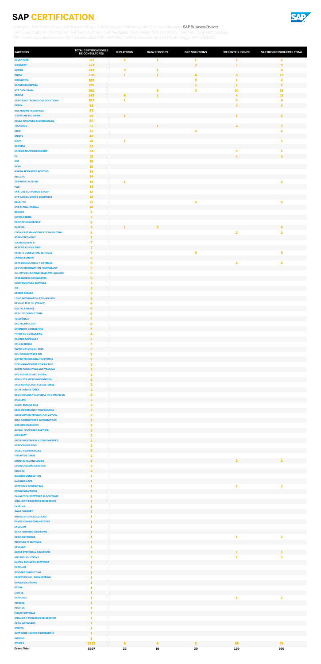

| <b>PARTNERS</b>                                                              | <b>TOTAL CERTIFICACIONES</b><br>DE CONSULTORES     | <b>BI PLATFORM</b>           | <b>DATA SERVICES</b>    | <b>GRC SOLUTIONS</b>    | <b>WEB INTELLIGENCE</b>              | SAP BUSINESSOBJECTS TOTAL    |
|------------------------------------------------------------------------------|----------------------------------------------------|------------------------------|-------------------------|-------------------------|--------------------------------------|------------------------------|
| <b>ACCENTURE</b>                                                             | 377                                                | $\overline{\mathbf{2}}$      | 1                       | 1                       | $\overline{\mathbf{2}}$              | $\epsilon$                   |
| <b>VIEWNEXT</b>                                                              | 273                                                |                              |                         | $\overline{2}$          | $\overline{7}$                       | $\boldsymbol{9}$             |
| <b>SOTHIS</b><br><b>INDRA</b>                                                | 247<br>238                                         | $\mathbf{3}$<br>$\mathbf{1}$ | 1<br>1                  | $\overline{\mathbf{4}}$ | 6                                    | 4<br>12                      |
| <b>IBERMÁTICA</b>                                                            | 182                                                |                              |                         | 3                       | -1                                   | 4                            |
| <b>CAPGEMINI ESPAÑA</b>                                                      | 175<br>162                                         |                              |                         | $\mathbf{1}$            | 1                                    | $\overline{2}$               |
| <b>NTT DATA SPAIN</b><br><b>SEIDOR</b>                                       | 143                                                | 6                            | 5<br>1                  | 3                       | <b>10</b><br>$\overline{\mathbf{4}}$ | 18<br>${\bf 11}$             |
| <b>STRATESYS TECHNOLOGY SOLUTIONS</b>                                        | 102                                                | 1                            |                         |                         | $\overline{\mathbf{5}}$              | $\bf 6$                      |
| <b>OREKA</b><br><b>NGA HUMAN RESOURCES</b>                                   | 68<br>63                                           |                              |                         |                         | $\blacktriangle$                     | $\overline{4}$               |
| <b>T-SYSTEMS ITC IBERIA</b>                                                  | 56                                                 | 1                            |                         |                         | 1                                    | $\overline{2}$               |
| <b>AYESA ADVANCED TECHNOLOGIES</b>                                           | 54                                                 |                              |                         |                         |                                      |                              |
| <b>TECHEDGE</b><br><b>ATOS</b>                                               | 52<br>47                                           |                              | 1                       | 2                       | $\overline{\mathbf{4}}$              | 5<br>$\overline{\mathbf{2}}$ |
| <b>UNISYS</b>                                                                | 42                                                 |                              |                         |                         |                                      |                              |
| <b>VISEO</b>                                                                 | 41                                                 | 1                            |                         |                         |                                      | 1                            |
| <b>SAPIMSA</b><br><b>EXPERIS MANPOWERGROUP</b>                               | 35<br>24                                           |                              |                         |                         | $\overline{\mathbf{2}}$              | $\overline{\mathbf{2}}$      |
| EY                                                                           | 21                                                 |                              |                         |                         | $\blacktriangle$                     | $\overline{4}$               |
| <b>IBM</b>                                                                   | 19                                                 |                              |                         |                         |                                      |                              |
| <b>IDOM</b><br><b>HUMAN RESOURCES POSITIVO</b>                               | <b>19</b><br>14                                    |                              |                         |                         |                                      |                              |
| <b>INTEGRA</b>                                                               | 14                                                 |                              |                         |                         |                                      |                              |
| <b>SEMANTIC SYSTEMS</b>                                                      | 13                                                 | 1                            |                         |                         |                                      | 1                            |
| <b>PWC</b><br><b>VANTURE CORPORATE GROUP</b>                                 | 13<br>12                                           |                              |                         |                         |                                      |                              |
| <b>NTT DATA BUSINESS SOLUTIONS</b>                                           | $12$                                               |                              |                         |                         |                                      |                              |
| <b>DELOITTE</b>                                                              | 11                                                 |                              |                         | $\epsilon$              |                                      | $\epsilon$                   |
| UST GLOBAL ESPAÑA<br><b>BRÜCKE</b>                                           | 10                                                 |                              |                         |                         |                                      |                              |
| <b>SOPRA STERIA</b>                                                          | $\boldsymbol{9}$<br>9                              |                              |                         |                         |                                      |                              |
| <b>PROVIDE HCM PEOPLE</b>                                                    | 9                                                  |                              |                         |                         |                                      |                              |
| <b>CLARIBA</b>                                                               | 9                                                  | 1                            | 5                       |                         |                                      | 6                            |
| <b>COGNICASE MANAGEMENT CONSULTING</b><br><b>ASPANETCONOMY</b>               | 8<br>$\overline{7}$                                |                              |                         |                         | $\overline{\mathbf{2}}$              | $\overline{\mathbf{2}}$      |
| <b>SOCBS GLOBAL IT</b>                                                       | 7                                                  |                              |                         |                         |                                      |                              |
| <b>NETERIS CONSULTING</b>                                                    | $\overline{7}$                                     |                              |                         |                         |                                      |                              |
| <b>REMOTE CONSULTING SERVICES</b><br><b>ENABLE EUROPA</b>                    | $\overline{\mathbf{z}}$<br>6                       |                              |                         | 5                       |                                      | 5                            |
| <b>ASPA CONSULTORIA Y SISTEMAS</b>                                           | 6                                                  |                              |                         |                         | $\overline{\mathbf{2}}$              | $\overline{\mathbf{2}}$      |
| <b>SYNTAX INFORMATION TECHNOLOGY</b>                                         | 6                                                  |                              |                         |                         |                                      |                              |
| ALL SET CONSULTING SPAIN-TECHNOLOGY<br><b>VAKE GLOBAL CONSULTING</b>         | 6<br>6                                             |                              |                         |                         |                                      |                              |
| <b>CUVIV BUSINESS SERVICES</b>                                               | 5                                                  |                              |                         |                         |                                      |                              |
| <b>I3S</b>                                                                   | $\overline{\mathbf{5}}$                            |                              |                         |                         |                                      |                              |
| <b>NEORIS ESPAÑA</b><br><b>LOYIC INFORMATION TECHNOLOGY</b>                  | 5<br>5                                             |                              |                         |                         |                                      |                              |
| <b>BEYOND TEAL S.L (TALHIS)</b>                                              | 4                                                  |                              |                         |                         |                                      |                              |
| <b>DIGITAL FINANCE</b>                                                       | 4                                                  |                              |                         |                         |                                      |                              |
| <b>RESULTO CONSULTORÍA</b><br><b>TELEFÓNICA</b>                              | $\overline{\mathbf{4}}$<br>$\blacktriangle$        |                              |                         |                         |                                      |                              |
| <b>DXC TECHNOLOGY</b>                                                        | $\overline{\mathbf{4}}$                            |                              |                         |                         |                                      |                              |
| <b>SPINNERIT CONSULTING</b>                                                  | 4                                                  |                              |                         |                         |                                      |                              |
| <b>PRIORITIC CONSULTING</b><br><b>CAMPUS SOFTWARE</b>                        | $\overline{\mathbf{4}}$<br>$\overline{\mathbf{3}}$ |                              |                         |                         |                                      |                              |
| <b>EPI-USE IBERIA</b>                                                        | 3                                                  |                              |                         |                         |                                      |                              |
| <b>TACTIC KEY CONSULTING</b>                                                 | $\overline{\mathbf{3}}$                            |                              |                         |                         |                                      |                              |
| <b>DCL CONSULTORES EIM</b><br><b>SISTEC TECNOLOGIA Y SISTEMAS</b>            | $\mathbf{3}$<br>$\overline{\mathbf{3}}$            |                              |                         |                         |                                      |                              |
| <b>ITOP MANAGEMENT CONSULTING</b>                                            | $\overline{2}$                                     |                              |                         |                         |                                      |                              |
| <b>GONTI CONSULTING AND TRADING</b>                                          | $\overline{2}$                                     |                              |                         |                         |                                      |                              |
| <b>KPS BUSINESS AND DIGITAL</b><br><b>SERVICIOS MICROINFORMATICA</b>         | $\overline{2}$<br>$\overline{2}$                   |                              |                         |                         |                                      |                              |
| <b>VASS CONSULTORIA DE SISTEMAS</b>                                          | $\overline{2}$                                     |                              |                         |                         |                                      |                              |
| <b>ALTIA CONSULTORES</b>                                                     | $\overline{\mathbf{2}}$                            |                              |                         |                         |                                      |                              |
| <b>DESARROLLOS Y SISTEMAS INFORMATICOS</b><br><b>BASELINE</b>                | $\overline{\mathbf{2}}$<br>$\overline{2}$          |                              |                         |                         |                                      |                              |
| XAMAI ESPAÑA 2019                                                            | $\overline{\mathbf{2}}$                            |                              |                         |                         |                                      |                              |
| <b>EBAL INFORMATION TECHNOLOGY</b>                                           | $\overline{2}$                                     |                              |                         |                         |                                      |                              |
| <b>INFORMATION TECHNOLOGY AKTION</b><br><b>GISA CONSULTORES INFORMATICOS</b> | $\overline{2}$<br>$\overline{2}$                   |                              |                         |                         |                                      |                              |
| <b>MAC ORGANIZACIÓN</b>                                                      | $\overline{\mathbf{2}}$                            |                              |                         |                         |                                      |                              |
| <b>GLOBAL SOFTWARE PARTNER</b>                                               | $\overline{2}$                                     |                              |                         |                         |                                      |                              |
| <b>MGS SOFT</b>                                                              | $\overline{\mathbf{2}}$                            |                              |                         |                         |                                      |                              |
| <b>INSTRUMENTACION Y COMPONENTES</b><br><b>AXPE CONSULTING</b>               | $\overline{2}$<br>$\overline{\mathbf{2}}$          |                              |                         |                         |                                      |                              |
| <b>3HOLD TECHNOLOGIES</b>                                                    | $\overline{2}$                                     |                              |                         |                         |                                      |                              |
| <b>FIRSAP SISTEMAS</b>                                                       | $\overline{2}$                                     |                              |                         |                         |                                      |                              |
| <b>QUENTAL TECHNOLOGIES</b><br><b>STOOLS GLOBAL SERVICES</b>                 | $\overline{2}$<br>$\overline{2}$                   |                              |                         |                         | $\overline{2}$                       | $\overline{2}$               |
| <b>INTAREX</b>                                                               | $\overline{2}$                                     |                              |                         |                         |                                      |                              |
| <b>BIGCORE CONSULTING</b>                                                    | 1<br>-1                                            |                              |                         |                         |                                      |                              |
| <b>HANAMI8 APPS</b><br><b>SAPTOOLS CONSULTING</b>                            | 1                                                  |                              |                         |                         | 1                                    | 1                            |
| <b>DRAGO SOLUTIONS</b>                                                       | 1                                                  |                              |                         |                         |                                      |                              |
| <b>OANALITICA SOFTWARE ALGORITHMS</b>                                        | 1                                                  |                              |                         |                         |                                      |                              |
| <b>ANALISIS Y PROCESOS DE GESTION</b><br><b>EXPRIVIA</b>                     | -1<br>1                                            |                              |                         |                         |                                      |                              |
| <b>SWAP SUPPORT</b>                                                          | 1                                                  |                              |                         |                         |                                      |                              |
| <b>NOVIS EUFORIA SOLUTIONS</b>                                               | 1                                                  |                              |                         |                         |                                      |                              |
| <b>PYMES CONSULTING ARTESAP</b><br><b>EXEQUAM</b>                            | 1<br>1                                             |                              |                         |                         |                                      |                              |
| <b>AC ENTERPRISE SOLUTIONS</b>                                               | 1                                                  |                              |                         |                         |                                      |                              |
| <b>OESÍA NETWORKS</b>                                                        | 1<br>$\mathbf{1}$                                  |                              |                         |                         | $\mathbf{1}$                         | 1                            |
| <b>INFORGES IT SERVICES</b><br><b>KEYLAND</b>                                | -1                                                 |                              |                         |                         |                                      |                              |
| <b>ABAST SYSTEMS &amp; SOLUTIONS</b>                                         | 1                                                  |                              |                         |                         | $\mathbf{1}$                         | $\mathbf{1}$                 |
| <b>AMYPRO SOLUTIONS</b>                                                      | 1                                                  |                              |                         |                         | -1                                   | 1                            |
| <b>KAIZEN BUSINESS SOFTWARE</b><br><b>EXEQUAM</b>                            | 1                                                  |                              |                         |                         |                                      |                              |
| <b>BIGCORE CONSULTING</b>                                                    | п                                                  |                              |                         |                         |                                      |                              |
| PROFESSIONAL BOOKKEEPING                                                     | 1                                                  |                              |                         |                         |                                      |                              |
| <b>DRAGO SOLUTIONS</b><br><b>RICOH</b>                                       | 1<br>1                                             |                              |                         |                         |                                      |                              |
| <b>IZERITS</b>                                                               | 1                                                  |                              |                         |                         |                                      |                              |
| <b>SAPTOOLS</b>                                                              | 1                                                  |                              |                         |                         | 1                                    | 1                            |
| <b>INFOSYS</b><br><b>INTAREX</b>                                             | 1<br>1                                             |                              |                         |                         |                                      |                              |
| <b>FIRSAP SISTEMAS</b>                                                       | 1                                                  |                              |                         |                         |                                      |                              |
| <b>ANALISIS Y PROCESOS DE GESTION</b>                                        | 1<br>1                                             |                              |                         |                         |                                      |                              |
| <b>OESIA NETWORKS</b><br><b>IZERITS</b>                                      | 1                                                  |                              |                         |                         |                                      |                              |
| <b>SOFTWARE I SUPORT INFORMATIC</b>                                          | $\mathbf{1}$                                       |                              |                         |                         |                                      |                              |
| <b>INFOSYS</b><br><b>OTHERS</b>                                              | -1<br>2832                                         | 5                            | $\overline{\mathbf{4}}$ | $\overline{2}$          | 68                                   | 79                           |
| <b>Grand Total</b>                                                           | 5597                                               | 22                           | 19                      | 29                      | 129                                  | 199                          |

<span id="page-4-0"></span>[Analitycs](#page-1-0) | [SAP HANA Cloud](#page-2-0) | [SAP Business One / SAP ByDesign / SAP Integrated Business Planning](#page-3-0) | SAP BusinessObjects [SAP Cloud Platform / SAP BRIM / SAP For Industries / SAP Fieldglass](#page-5-0) | [SAP HANA](#page-6-0) | [SAP EMARSYS / SAP Fiori](#page-7-0) | [SAP Methodology](#page-8-0) [SAP Master Data Governance / SAP Solutions for EPM / SAP SRM](#page-9-0) | [SAP SuccessFactors](#page-10-0) | [SAP Technology](#page-11-0) | [SAP S/4HANA](#page-12-0)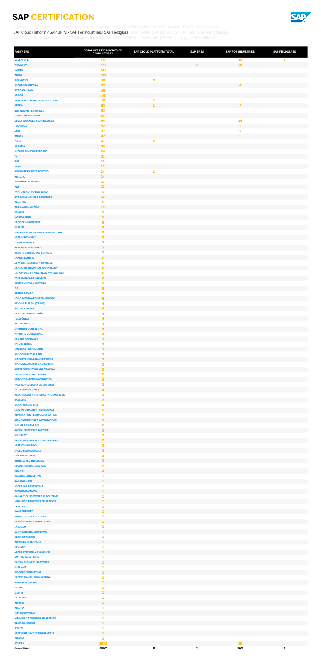

| <b>PARTNERS</b>                                                          | <b>TOTAL CERTIFICACIONES DE</b><br><b>CONSULTORES</b> | <b>SAP CLOUD PLATFORM TOTAL</b> | <b>SAP BRIM</b>         | <b>SAP FOR INDUSTRIES</b> | <b>SAP FIELDGLASS</b> |
|--------------------------------------------------------------------------|-------------------------------------------------------|---------------------------------|-------------------------|---------------------------|-----------------------|
| <b>ACCENTURE</b>                                                         | 377                                                   |                                 |                         | 12                        | 1                     |
| <b>VIEWNEXT</b>                                                          | 273                                                   |                                 | $\overline{2}$          | 20                        |                       |
| <b>SOTHIS</b><br><b>INDRA</b>                                            | 247<br>238                                            |                                 |                         |                           |                       |
| <b>IBERMÁTICA</b>                                                        | 182                                                   | 3                               |                         |                           |                       |
| <b>CAPGEMINI ESPAÑA</b>                                                  | 175                                                   |                                 |                         | $\blacktriangleleft$      |                       |
| <b>NTT DATA SPAIN</b><br><b>SEIDOR</b>                                   | 162<br>143                                            |                                 |                         |                           |                       |
| <b>STRATESYS TECHNOLOGY SOLUTIONS</b>                                    | 102                                                   | 1                               |                         | 1                         |                       |
| <b>OREKA</b>                                                             | 68                                                    | 1                               |                         | $\overline{7}$            |                       |
| <b>NGA HUMAN RESOURCES</b><br><b>T-SYSTEMS ITC IBERIA</b>                | 63<br>56                                              |                                 |                         |                           |                       |
| <b>AYESA ADVANCED TECHNOLOGIES</b>                                       | 54                                                    |                                 |                         | 34                        |                       |
| <b>TECHEDGE</b>                                                          | 52                                                    |                                 |                         | 1                         |                       |
| <b>ATOS</b><br><b>UNISYS</b>                                             | 47<br>42                                              |                                 |                         | 6<br>$\mathbf{1}$         |                       |
| <b>VISEO</b>                                                             | 41                                                    | $\overline{\mathbf{2}}$         |                         |                           |                       |
| <b>SAPIMSA</b>                                                           | 35                                                    |                                 |                         |                           |                       |
| <b>EXPERIS MANPOWERGROUP</b><br>EY                                       | 24<br>21                                              |                                 |                         |                           |                       |
| <b>IBM</b>                                                               | 19                                                    |                                 |                         |                           |                       |
| <b>IDOM</b>                                                              | 19                                                    |                                 |                         |                           |                       |
| <b>HUMAN RESOURCES POSITIVO</b><br><b>INTEGRA</b>                        | 14<br>14                                              | 1                               |                         |                           |                       |
| <b>SEMANTIC SYSTEMS</b>                                                  | 13                                                    |                                 |                         |                           |                       |
| <b>PWC</b>                                                               | 13                                                    |                                 |                         |                           |                       |
| <b>VANTURE CORPORATE GROUP</b><br><b>NTT DATA BUSINESS SOLUTIONS</b>     | $12$<br>12                                            |                                 |                         |                           |                       |
| <b>DELOITTE</b>                                                          | 11                                                    |                                 |                         |                           |                       |
| <b>UST GLOBAL ESPAÑA</b>                                                 | 10                                                    |                                 |                         |                           |                       |
| <b>BRÜCKE</b><br><b>SOPRA STERIA</b>                                     | 9<br>9                                                |                                 |                         |                           |                       |
| <b>PROVIDE HCM PEOPLE</b>                                                | 9                                                     |                                 |                         |                           |                       |
| <b>CLARIBA</b>                                                           | 9                                                     |                                 |                         |                           |                       |
| <b>COGNICASE MANAGEMENT CONSULTING</b>                                   | 8<br>$\overline{7}$                                   |                                 |                         |                           |                       |
| <b>ASPANETCONOMY</b><br><b>SOCBS GLOBAL IT</b>                           | 7                                                     |                                 |                         |                           |                       |
| <b>NETERIS CONSULTING</b>                                                | $\overline{ }$                                        |                                 |                         |                           |                       |
| <b>REMOTE CONSULTING SERVICES</b>                                        | 7                                                     |                                 |                         |                           |                       |
| <b>ENABLE EUROPA</b><br><b>ASPA CONSULTORIA Y SISTEMAS</b>               | 6<br>6                                                |                                 |                         |                           |                       |
| <b>SYNTAX INFORMATION TECHNOLOGY</b>                                     | 6                                                     |                                 |                         |                           |                       |
| ALL SET CONSULTING SPAIN-TECHNOLOGY<br><b>VAKE GLOBAL CONSULTING</b>     | 6<br>6                                                |                                 |                         |                           |                       |
| <b>CUVIV BUSINESS SERVICES</b>                                           | 5                                                     |                                 |                         |                           |                       |
| <b>I3S</b>                                                               | 5                                                     |                                 |                         |                           |                       |
| <b>NEORIS ESPAÑA</b>                                                     | 5<br>5                                                |                                 |                         |                           |                       |
| <b>LOYIC INFORMATION TECHNOLOGY</b><br><b>BEYOND TEAL S.L (TALHIS)</b>   | 4                                                     |                                 |                         |                           |                       |
| <b>DIGITAL FINANCE</b>                                                   | 4                                                     |                                 |                         |                           |                       |
| <b>RESULTO CONSULTORÍA</b><br><b>TELEFÓNICA</b>                          | 4<br>4.                                               |                                 |                         |                           |                       |
| <b>DXC TECHNOLOGY</b>                                                    | 4                                                     |                                 |                         |                           |                       |
| <b>SPINNERIT CONSULTING</b>                                              | 4.                                                    |                                 |                         |                           |                       |
| <b>PRIORITIC CONSULTING</b>                                              | 4                                                     |                                 |                         |                           |                       |
| <b>CAMPUS SOFTWARE</b><br><b>EPI-USE IBERIA</b>                          | 3<br>3                                                |                                 |                         |                           |                       |
| <b>TACTIC KEY CONSULTING</b>                                             | 3                                                     |                                 |                         |                           |                       |
| <b>DCL CONSULTORES EIM</b>                                               | 3                                                     |                                 |                         |                           |                       |
| <b>SISTEC TECNOLOGIA Y SISTEMAS</b><br><b>ITOP MANAGEMENT CONSULTING</b> | $\overline{\mathbf{3}}$<br>$\overline{2}$             |                                 |                         |                           |                       |
| <b>GONTI CONSULTING AND TRADING</b>                                      | 2 <sup>1</sup>                                        |                                 |                         |                           |                       |
| <b>KPS BUSINESS AND DIGITAL</b>                                          | $\overline{\mathbf{2}}$                               |                                 |                         |                           |                       |
| <b>SERVICIOS MICROINFORMATICA</b><br><b>VASS CONSULTORIA DE SISTEMAS</b> | $\overline{2}$<br>2                                   |                                 |                         |                           |                       |
| <b>ALTIA CONSULTORES</b>                                                 | $\overline{2}$                                        |                                 |                         |                           |                       |
| <b>DESARROLLOS Y SISTEMAS INFORMATICOS</b>                               | 2                                                     |                                 |                         |                           |                       |
| <b>BASELINE</b><br><b>XAMAI ESPAÑA 2019</b>                              | $\overline{2}$<br>$\overline{\mathbf{2}}$             |                                 |                         |                           |                       |
| <b>EBAL INFORMATION TECHNOLOGY</b>                                       | $\overline{2}$                                        |                                 |                         |                           |                       |
| <b>INFORMATION TECHNOLOGY AKTION</b>                                     | $\mathbf{2}$                                          |                                 |                         |                           |                       |
| <b>GISA CONSULTORES INFORMATICOS</b><br><b>MAC ORGANIZACIÓN</b>          | $\overline{2}$<br>$\overline{\mathbf{2}}$             |                                 |                         |                           |                       |
| <b>GLOBAL SOFTWARE PARTNER</b>                                           | $\overline{2}$                                        |                                 |                         |                           |                       |
| <b>MGS SOFT</b>                                                          | $\overline{\mathbf{2}}$                               |                                 |                         |                           |                       |
| <b>INSTRUMENTACION Y COMPONENTES</b><br><b>AXPE CONSULTING</b>           | $\overline{2}$<br>$\overline{\mathbf{2}}$             |                                 |                         |                           |                       |
| <b>3HOLD TECHNOLOGIES</b>                                                | $\overline{2}$                                        |                                 |                         |                           |                       |
| <b>FIRSAP SISTEMAS</b>                                                   | $\overline{\mathbf{2}}$                               |                                 |                         |                           |                       |
| <b>QUENTAL TECHNOLOGIES</b><br><b>STOOLS GLOBAL SERVICES</b>             | 2 <sup>1</sup><br>$\overline{2}$                      |                                 |                         |                           |                       |
| <b>INTAREX</b>                                                           | $\overline{2}$                                        |                                 |                         |                           |                       |
| <b>BIGCORE CONSULTING</b>                                                | 1                                                     |                                 |                         |                           |                       |
| <b>HANAMI8 APPS</b><br><b>SAPTOOLS CONSULTING</b>                        | 1<br>1                                                |                                 |                         |                           |                       |
| <b>DRAGO SOLUTIONS</b>                                                   | 1                                                     |                                 |                         |                           |                       |
| <b>OANALITICA SOFTWARE ALGORITHMS</b>                                    | 1                                                     |                                 |                         |                           |                       |
| <b>ANALISIS Y PROCESOS DE GESTION</b><br><b>EXPRIVIA</b>                 | 1.<br>1                                               |                                 |                         |                           |                       |
| <b>SWAP SUPPORT</b>                                                      | 1                                                     |                                 |                         |                           |                       |
| <b>NOVIS EUFORIA SOLUTIONS</b>                                           | 1                                                     |                                 |                         |                           |                       |
| <b>PYMES CONSULTING ARTESAP</b><br><b>EXEQUAM</b>                        | 1<br>1                                                |                                 |                         |                           |                       |
| <b>AC ENTERPRISE SOLUTIONS</b>                                           | 1                                                     |                                 |                         |                           |                       |
| <b>OESÍA NETWORKS</b>                                                    |                                                       |                                 |                         |                           |                       |
| <b>INFORGES IT SERVICES</b><br><b>KEYLAND</b>                            | 1<br>1                                                |                                 |                         |                           |                       |
| <b>ABAST SYSTEMS &amp; SOLUTIONS</b>                                     | 1                                                     |                                 |                         |                           |                       |
| <b>AMYPRO SOLUTIONS</b>                                                  |                                                       |                                 |                         |                           |                       |
| <b>KAIZEN BUSINESS SOFTWARE</b><br><b>EXEQUAM</b>                        | ı<br>1                                                |                                 |                         |                           |                       |
| <b>BIGCORE CONSULTING</b>                                                |                                                       |                                 |                         |                           |                       |
| PROFESSIONAL BOOKKEEPING                                                 | 1                                                     |                                 |                         |                           |                       |
| <b>DRAGO SOLUTIONS</b><br><b>RICOH</b>                                   | 1<br>1                                                |                                 |                         |                           |                       |
| <b>IZERITS</b>                                                           | 1                                                     |                                 |                         |                           |                       |
| <b>SAPTOOLS</b>                                                          | 1                                                     |                                 |                         |                           |                       |
| <b>INFOSYS</b><br><b>INTAREX</b>                                         | 1<br>1                                                |                                 |                         |                           |                       |
| <b>FIRSAP SISTEMAS</b>                                                   | п                                                     |                                 |                         |                           |                       |
| <b>ANALISIS Y PROCESOS DE GESTION</b>                                    | 1                                                     |                                 |                         |                           |                       |
| <b>OESIA NETWORKS</b><br><b>IZERITS</b>                                  | 1<br>1                                                |                                 |                         |                           |                       |
| <b>SOFTWARE I SUPORT INFORMATIC</b>                                      | 1                                                     |                                 |                         |                           |                       |
| <b>INFOSYS</b>                                                           | 1                                                     |                                 |                         |                           |                       |
| <b>OTHERS</b><br><b>Grand Total</b>                                      | 2832<br>5597                                          | 8                               | $\overline{\mathbf{2}}$ | <b>16</b><br>102          | $\mathbf{1}$          |

<span id="page-5-0"></span>[Analitycs](#page-1-0) | [SAP HANA Cloud](#page-2-0) | [SAP Business One / SAP ByDesign / SAP Integrated Business Planning](#page-3-0) | SAP BusinessObjects SAP Cloud Platform / SAP BRIM / SAP For Industries / SAP Fieldglass | [SAP HANA](#page-6-0) | [SAP EMARSYS / SAP Fiori](#page-7-0) | [SAP Methodology](#page-8-0) [SAP Master Data Governance / SAP Solutions for EPM / SAP SRM](#page-9-0) | [SAP SuccessFactors](#page-10-0) | [SAP Technology](#page-11-0) | [SAP S/4HANA](#page-12-0)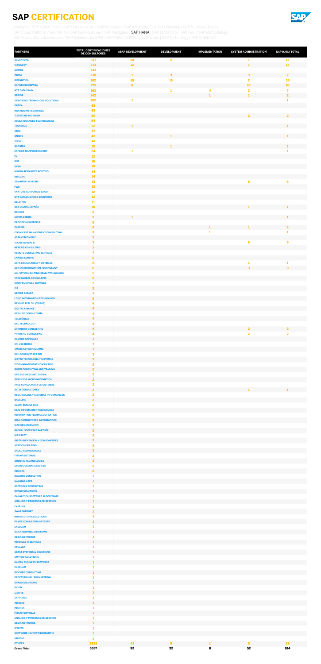

| <b>PARTNERS</b>                                                                | <b>TOTAL CERTIFICACIONES</b><br>DE CONSULTORES | <b>ABAP DEVELOPMENT</b> | <b>DEVELOPMENT</b>      | <b>IMPLEMENTATION</b> | <b>SYSTEM ADMINISTRATION</b> | <b>SAP HANA TOTAL</b>       |
|--------------------------------------------------------------------------------|------------------------------------------------|-------------------------|-------------------------|-----------------------|------------------------------|-----------------------------|
| <b>ACCENTURE</b>                                                               | 377                                            | 10                      | $\overline{2}$          |                       | 1                            | 13                          |
| <b>VIEWNEXT</b>                                                                | 273<br>247                                     | $12$                    |                         |                       | $\mathbf{1}$                 | 13                          |
| <b>SOTHIS</b><br><b>INDRA</b>                                                  | 238                                            | $\mathbf{1}$            | $\overline{\mathbf{3}}$ |                       | $\overline{\mathbf{3}}$      | $\overline{7}$              |
| <b>IBERMÁTICA</b>                                                              | 182                                            | 18                      | <b>15</b>               |                       | 2                            | 35                          |
| <b>CAPGEMINI ESPAÑA</b><br><b>NTT DATA SPAIN</b>                               | 175<br>162                                     | 6                       | 1                       | 4                     | 10<br>2                      | <b>16</b><br>$\overline{7}$ |
| <b>SEIDOR</b>                                                                  | 143                                            |                         |                         | $\mathbf{1}$          | $\mathbf{1}$                 | $\overline{2}$              |
| <b>STRATESYS TECHNOLOGY SOLUTIONS</b>                                          | 102                                            | 1                       |                         |                       |                              | 1                           |
| <b>OREKA</b><br><b>NGA HUMAN RESOURCES</b>                                     | 68<br>63                                       |                         |                         |                       |                              |                             |
| <b>T-SYSTEMS ITC IBERIA</b>                                                    | 56                                             |                         |                         |                       | $\overline{2}$               | $\overline{2}$              |
| <b>AYESA ADVANCED TECHNOLOGIES</b>                                             | 54                                             |                         |                         |                       |                              |                             |
| <b>TECHEDGE</b><br><b>ATOS</b>                                                 | 52<br>47                                       | 1                       |                         |                       |                              | 1                           |
| <b>UNISYS</b>                                                                  | 42                                             |                         | $\mathbf{1}$            |                       |                              | 1                           |
| <b>VISEO</b>                                                                   | 41                                             |                         |                         |                       |                              |                             |
| <b>SAPIMSA</b><br><b>EXPERIS MANPOWERGROUP</b>                                 | 35<br>24                                       | 1                       | $\mathbf{1}$            |                       |                              | $\mathbf{1}$<br>1           |
| EY                                                                             | 21                                             |                         |                         |                       |                              |                             |
| <b>IBM</b>                                                                     | 19                                             |                         |                         |                       |                              |                             |
| <b>IDOM</b><br><b>HUMAN RESOURCES POSITIVO</b>                                 | 19<br>$14$                                     |                         |                         |                       |                              |                             |
| <b>INTEGRA</b>                                                                 | 14                                             |                         |                         |                       |                              |                             |
| <b>SEMANTIC SYSTEMS</b>                                                        | 13                                             |                         |                         |                       | 6                            | 6                           |
| <b>PWC</b><br><b>VANTURE CORPORATE GROUP</b>                                   | 13<br>$12\,$                                   |                         |                         |                       |                              |                             |
| <b>NTT DATA BUSINESS SOLUTIONS</b>                                             | 12                                             |                         |                         |                       |                              |                             |
| <b>DELOITTE</b>                                                                | ${\bf 11}$                                     |                         |                         |                       |                              |                             |
| <b>UST GLOBAL ESPAÑA</b>                                                       | 10 <sub>10</sub>                               |                         |                         |                       |                              |                             |
| <b>BRÜCKE</b><br><b>SOPRA STERIA</b>                                           | $\boldsymbol{9}$<br>$\overline{9}$             | ${\bf 1}$               |                         |                       |                              | $\mathbf{1}$                |
| <b>PROVIDE HCM PEOPLE</b>                                                      | 9                                              |                         |                         |                       |                              |                             |
| <b>CLARIBA</b><br><b>COGNICASE MANAGEMENT CONSULTING</b>                       | $\overline{9}$                                 |                         |                         | 1<br>1                | $\mathbf{1}$                 | $\overline{2}$<br>1         |
| <b>ASPANETCONOMY</b>                                                           | 8<br>$\overline{7}$                            |                         |                         |                       |                              |                             |
| <b>SOCBS GLOBAL IT</b>                                                         | 7                                              |                         |                         |                       | 5                            | 5                           |
| <b>NETERIS CONSULTING</b>                                                      | $\overline{7}$                                 |                         |                         |                       |                              |                             |
| <b>REMOTE CONSULTING SERVICES</b><br><b>ENABLE EUROPA</b>                      | $\overline{7}$<br>6                            |                         |                         |                       |                              |                             |
| <b>ASPA CONSULTORIA Y SISTEMAS</b>                                             | 6                                              |                         |                         |                       | 1                            | 1                           |
| <b>SYNTAX INFORMATION TECHNOLOGY</b>                                           | 6                                              |                         |                         |                       | 3                            | $\overline{\mathbf{3}}$     |
| ALL SET CONSULTING SPAIN-TECHNOLOGY<br><b>VAKE GLOBAL CONSULTING</b>           | 6<br>6                                         |                         |                         |                       |                              |                             |
| <b>CUVIV BUSINESS SERVICES</b>                                                 | 5                                              |                         |                         |                       |                              |                             |
| 13S                                                                            | $\overline{\mathbf{5}}$                        |                         |                         |                       |                              |                             |
| <b>NEORIS ESPAÑA</b><br><b>LOYIC INFORMATION TECHNOLOGY</b>                    | 5<br>$\overline{\mathbf{5}}$                   |                         |                         |                       |                              |                             |
| <b>BEYOND TEAL S.L (TALHIS)</b>                                                | 4                                              |                         |                         |                       |                              |                             |
| <b>DIGITAL FINANCE</b>                                                         | $\blacktriangleleft$                           |                         |                         |                       |                              |                             |
| <b>RESULTO CONSULTORÍA</b><br><b>TELEFÓNICA</b>                                | 4<br>$\blacktriangleleft$                      |                         |                         |                       |                              |                             |
| <b>DXC TECHNOLOGY</b>                                                          | 4                                              |                         |                         |                       |                              |                             |
| <b>SPINNERIT CONSULTING</b>                                                    | $\blacktriangleleft$                           |                         |                         |                       | $\overline{2}$               | $\overline{\mathbf{2}}$     |
| <b>PRIORITIC CONSULTING</b><br><b>CAMPUS SOFTWARE</b>                          | 4<br>$\overline{\mathbf{3}}$                   |                         |                         |                       | 2                            | $\overline{2}$              |
| <b>EPI-USE IBERIA</b>                                                          | 3                                              |                         |                         |                       |                              |                             |
| <b>TACTIC KEY CONSULTING</b>                                                   | $\overline{\mathbf{3}}$                        |                         |                         |                       |                              |                             |
| <b>DCL CONSULTORES EIM</b><br><b>SISTEC TECNOLOGIA Y SISTEMAS</b>              | 3<br>$\overline{\mathbf{3}}$                   |                         |                         |                       |                              |                             |
| <b>ITOP MANAGEMENT CONSULTING</b>                                              | 2                                              |                         |                         |                       |                              |                             |
| <b>GONTI CONSULTING AND TRADING</b>                                            | $\mathbf{2}$                                   |                         |                         |                       |                              |                             |
| <b>KPS BUSINESS AND DIGITAL</b><br><b>SERVICIOS MICROINFORMATICA</b>           | $\overline{2}$<br>$\overline{2}$               |                         |                         |                       |                              |                             |
| <b>VASS CONSULTORIA DE SISTEMAS</b>                                            | $\overline{2}$                                 |                         |                         |                       |                              |                             |
| <b>ALTIA CONSULTORES</b>                                                       | $\overline{2}$                                 |                         |                         |                       | 1                            | 1                           |
| <b>DESARROLLOS Y SISTEMAS INFORMATICOS</b><br><b>BASELINE</b>                  | $\overline{2}$<br>$\overline{2}$               |                         |                         |                       |                              |                             |
| <b>XAMAI ESPAÑA 2019</b>                                                       | $\mathbf{2}$                                   |                         |                         |                       |                              |                             |
| <b>EBAL INFORMATION TECHNOLOGY</b>                                             | $\overline{2}$                                 |                         |                         |                       |                              |                             |
| <b>INFORMATION TECHNOLOGY AKTION</b><br><b>GISA CONSULTORES INFORMATICOS</b>   | $\overline{\mathbf{2}}$<br>$\overline{2}$      |                         |                         |                       |                              |                             |
| <b>MAC ORGANIZACIÓN</b>                                                        | $\overline{\mathbf{2}}$                        |                         |                         |                       |                              |                             |
| <b>GLOBAL SOFTWARE PARTNER</b>                                                 | $\overline{2}$                                 |                         |                         |                       |                              |                             |
| <b>MGS SOFT</b><br><b>INSTRUMENTACION Y COMPONENTES</b>                        | $\overline{2}$<br>$\overline{2}$               |                         |                         |                       |                              |                             |
| <b>AXPE CONSULTING</b>                                                         | $\overline{2}$                                 |                         |                         |                       |                              |                             |
| <b>3HOLD TECHNOLOGIES</b>                                                      | $\overline{2}$                                 |                         |                         |                       |                              |                             |
| <b>FIRSAP SISTEMAS</b><br><b>QUENTAL TECHNOLOGIES</b>                          | 2<br>$\overline{2}$                            |                         |                         |                       |                              |                             |
| <b>STOOLS GLOBAL SERVICES</b>                                                  | $\overline{\mathbf{2}}$                        |                         |                         |                       |                              |                             |
| <b>INTAREX</b>                                                                 | $\overline{2}$                                 |                         |                         |                       |                              |                             |
| <b>BIGCORE CONSULTING</b><br><b>HANAMI8 APPS</b>                               | 1<br>$\mathbf{1}$                              |                         |                         |                       |                              |                             |
| <b>SAPTOOLS CONSULTING</b>                                                     | 1                                              |                         |                         |                       |                              |                             |
| <b>DRAGO SOLUTIONS</b>                                                         | $\mathbf{1}$                                   |                         |                         |                       |                              |                             |
| <b>OANALITICA SOFTWARE ALGORITHMS</b><br><b>ANALISIS Y PROCESOS DE GESTION</b> | 1<br>1                                         |                         |                         |                       |                              |                             |
| <b>EXPRIVIA</b>                                                                | 1                                              |                         |                         |                       |                              |                             |
| <b>SWAP SUPPORT</b>                                                            | $\mathbf{1}$                                   |                         |                         |                       |                              |                             |
| <b>NOVIS EUFORIA SOLUTIONS</b><br><b>PYMES CONSULTING ARTESAP</b>              | 1<br>1                                         |                         |                         |                       |                              |                             |
| <b>EXEQUAM</b>                                                                 | 1                                              |                         |                         |                       |                              |                             |
| <b>AC ENTERPRISE SOLUTIONS</b>                                                 | 1                                              |                         |                         |                       |                              |                             |
| <b>OESÍA NETWORKS</b><br><b>INFORGES IT SERVICES</b>                           | 1<br>1                                         |                         |                         |                       |                              |                             |
| <b>KEYLAND</b>                                                                 | 1                                              |                         |                         |                       |                              |                             |
| <b>ABAST SYSTEMS &amp; SOLUTIONS</b>                                           | 1<br>1                                         |                         |                         |                       |                              |                             |
| <b>AMYPRO SOLUTIONS</b><br><b>KAIZEN BUSINESS SOFTWARE</b>                     | ш                                              |                         |                         |                       |                              |                             |
| <b>EXEQUAM</b>                                                                 | 1                                              |                         |                         |                       |                              |                             |
| <b>BIGCORE CONSULTING</b>                                                      | п                                              |                         |                         |                       |                              |                             |
| <b>PROFESSIONAL BOOKKEEPING</b><br><b>DRAGO SOLUTIONS</b>                      | 1<br>$\mathbf{1}$                              |                         |                         |                       |                              |                             |
| <b>RICOH</b>                                                                   | 1                                              |                         |                         |                       |                              |                             |
| <b>IZERITS</b><br><b>SAPTOOLS</b>                                              | 1<br>1                                         |                         |                         |                       |                              |                             |
| <b>INFOSYS</b>                                                                 | $\mathbf{1}$                                   |                         |                         |                       |                              |                             |
| <b>INTAREX</b>                                                                 | 1                                              |                         |                         |                       |                              |                             |
| <b>FIRSAP SISTEMAS</b><br><b>ANALISIS Y PROCESOS DE GESTION</b>                | 1<br>1                                         |                         |                         |                       |                              |                             |
| <b>OESIA NETWORKS</b>                                                          | 1                                              |                         |                         |                       |                              |                             |
| <b>IZERITS</b>                                                                 | 1                                              |                         |                         |                       |                              |                             |
| <b>SOFTWARE I SUPORT INFORMATIC</b><br><b>INFOSYS</b>                          | 1<br>1                                         |                         |                         |                       |                              |                             |
| <b>OTHERS</b>                                                                  | 2832                                           | 41                      | $\overline{9}$          | 1                     | 8                            | 59                          |
| <b>Grand Total</b>                                                             | 5597                                           | 92                      | 32                      | 8                     | 52                           | 184                         |

<span id="page-6-0"></span>[Analitycs](#page-1-0) | [SAP HANA Cloud](#page-2-0) | [SAP Business One / SAP ByDesign / SAP Integrated Business Planning](#page-3-0) | SAP BusinessObjects [SAP Cloud Platform / SAP BRIM / SAP For Industries / SAP Fieldglass](#page-5-0) | SAP HANA | [SAP EMARSYS / SAP Fiori](#page-7-0) | [SAP Methodology](#page-8-0) [SAP Master Data Governance / SAP Solutions for EPM / SAP SRM](#page-9-0) | [SAP SuccessFactors](#page-10-0) | [SAP Technology](#page-11-0) | [SAP S/4HANA](#page-12-0)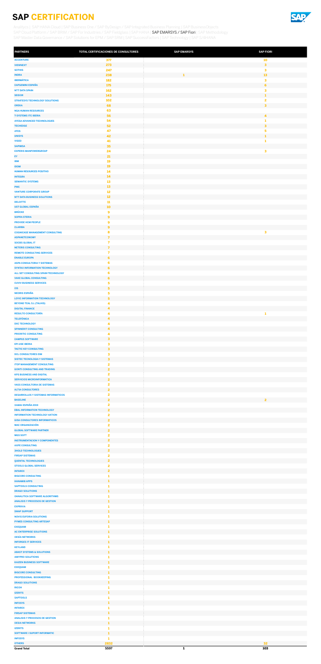

| <b>PARTNERS</b>                                                              | TOTAL CERTIFICACIONES DE CONSULTORES      | <b>SAP EMARSYS</b><br><b>SAP FIORI</b> |
|------------------------------------------------------------------------------|-------------------------------------------|----------------------------------------|
| <b>ACCENTURE</b><br><b>VIEWNEXT</b>                                          | 377<br>273                                | <b>10</b><br>$\mathbf{3}$              |
| <b>SOTHIS</b>                                                                | 247                                       | 3                                      |
| <b>INDRA</b><br><b>IBERMÁTICA</b>                                            | 238<br>182                                | 13<br>1<br>3                           |
| <b>CAPGEMINI ESPAÑA</b>                                                      | 175                                       | 6                                      |
| <b>NTT DATA SPAIN</b><br><b>SEIDOR</b>                                       | 162<br>143                                | 3<br>$\mathbf{1}$                      |
| <b>STRATESYS TECHNOLOGY SOLUTIONS</b>                                        | 102                                       | $\overline{\mathbf{2}}$                |
| <b>OREKA</b><br><b>NGA HUMAN RESOURCES</b>                                   | 68<br>63                                  | $\overline{\mathbf{3}}$                |
| <b>T-SYSTEMS ITC IBERIA</b>                                                  | 56                                        | $\overline{\mathbf{4}}$                |
| <b>AYESA ADVANCED TECHNOLOGIES</b>                                           | 54<br>52                                  | 1<br>3                                 |
| <b>TECHEDGE</b><br><b>ATOS</b>                                               | 47                                        | 5                                      |
| <b>UNISYS</b>                                                                | 42<br>41                                  | 1<br>1                                 |
| <b>VISEO</b><br><b>SAPIMSA</b>                                               | 35                                        |                                        |
| <b>EXPERIS MANPOWERGROUP</b>                                                 | 24                                        | 3                                      |
| EY<br><b>IBM</b>                                                             | 21<br>19                                  |                                        |
| <b>IDOM</b>                                                                  | 19                                        |                                        |
| <b>HUMAN RESOURCES POSITIVO</b><br><b>INTEGRA</b>                            | 14<br>14                                  |                                        |
| <b>SEMANTIC SYSTEMS</b>                                                      | 13                                        |                                        |
| <b>PWC</b><br><b>VANTURE CORPORATE GROUP</b>                                 | 13<br>$12\,$                              |                                        |
| <b>NTT DATA BUSINESS SOLUTIONS</b>                                           | $12$                                      |                                        |
| <b>DELOITTE</b><br><b>UST GLOBAL ESPAÑA</b>                                  | ${\bf 11}$<br>10                          |                                        |
| <b>BRÜCKE</b>                                                                | 9                                         |                                        |
| <b>SOPRA STERIA</b><br><b>PROVIDE HCM PEOPLE</b>                             | $\overline{9}$<br>9                       |                                        |
| <b>CLARIBA</b>                                                               | $\mathbf{9}$                              |                                        |
| <b>COGNICASE MANAGEMENT CONSULTING</b><br><b>ASPANETCONOMY</b>               | 8<br>$\overline{ }$                       | 3                                      |
| <b>SOCBS GLOBAL IT</b>                                                       | 7                                         |                                        |
| <b>NETERIS CONSULTING</b><br><b>REMOTE CONSULTING SERVICES</b>               | $\overline{ }$<br>$\overline{ }$          |                                        |
| <b>ENABLE EUROPA</b>                                                         | 6                                         |                                        |
| <b>ASPA CONSULTORIA Y SISTEMAS</b><br>SYNTAX INFORMATION TECHNOLOGY          | 6<br>6                                    |                                        |
| ALL SET CONSULTING SPAIN-TECHNOLOGY                                          | 6                                         |                                        |
| <b>VAKE GLOBAL CONSULTING</b><br><b>CUVIV BUSINESS SERVICES</b>              | 6<br>5                                    |                                        |
| 13S                                                                          | 5                                         |                                        |
| <b>NEORIS ESPAÑA</b><br><b>LOYIC INFORMATION TECHNOLOGY</b>                  | 5<br>5                                    |                                        |
| <b>BEYOND TEAL S.L (TALHIS)</b>                                              | 4                                         |                                        |
| <b>DIGITAL FINANCE</b><br><b>RESULTO CONSULTORÍA</b>                         | 4<br>4                                    | 1                                      |
| <b>TELEFÓNICA</b>                                                            | 4                                         |                                        |
| <b>DXC TECHNOLOGY</b><br><b>SPINNERIT CONSULTING</b>                         | 4<br>4                                    |                                        |
| <b>PRIORITIC CONSULTING</b>                                                  | 4                                         |                                        |
| <b>CAMPUS SOFTWARE</b>                                                       | 3<br>3                                    |                                        |
| <b>EPI-USE IBERIA</b><br><b>TACTIC KEY CONSULTING</b>                        | 3                                         |                                        |
| <b>DCL CONSULTORES EIM</b>                                                   | 3                                         |                                        |
| <b>SISTEC TECNOLOGIA Y SISTEMAS</b><br><b>ITOP MANAGEMENT CONSULTING</b>     | 3<br>$\mathbf{2}$                         |                                        |
| <b>GONTI CONSULTING AND TRADING</b>                                          | $\overline{2}$                            |                                        |
| <b>KPS BUSINESS AND DIGITAL</b><br><b>SERVICIOS MICROINFORMATICA</b>         | 2<br>$\overline{\mathbf{2}}$              |                                        |
| <b>VASS CONSULTORIA DE SISTEMAS</b><br><b>ALTIA CONSULTORES</b>              | $\overline{\mathbf{2}}$<br>$\overline{2}$ |                                        |
| <b>DESARROLLOS Y SISTEMAS INFORMATICOS</b>                                   | $\mathbf{2}$                              |                                        |
| <b>BASELINE</b><br><b>XAMAI ESPAÑA 2019</b>                                  | $\overline{2}$<br>$\mathbf{2}$            | $\overline{2}$                         |
| <b>EBAL INFORMATION TECHNOLOGY</b>                                           | $\overline{2}$                            |                                        |
| <b>INFORMATION TECHNOLOGY AKTION</b><br><b>GISA CONSULTORES INFORMATICOS</b> | 2<br>$\overline{2}$                       |                                        |
| <b>MAC ORGANIZACIÓN</b>                                                      | $\overline{\mathbf{2}}$                   |                                        |
| <b>GLOBAL SOFTWARE PARTNER</b><br><b>MGS SOFT</b>                            | $\overline{2}$<br>$\overline{\mathbf{2}}$ |                                        |
| <b>INSTRUMENTACION Y COMPONENTES</b>                                         | $\overline{2}$                            |                                        |
| <b>AXPE CONSULTING</b><br><b>3HOLD TECHNOLOGIES</b>                          | 2<br>$\overline{2}$                       |                                        |
| <b>FIRSAP SISTEMAS</b>                                                       | $\mathbf{2}$                              |                                        |
| <b>QUENTAL TECHNOLOGIES</b><br><b>STOOLS GLOBAL SERVICES</b>                 | $\overline{\mathbf{2}}$<br>2              |                                        |
| <b>INTAREX</b>                                                               | $\overline{\mathbf{2}}$                   |                                        |
| <b>BIGCORE CONSULTING</b><br><b>HANAMI8 APPS</b>                             | 1<br>1                                    |                                        |
| <b>SAPTOOLS CONSULTING</b>                                                   | 1                                         |                                        |
| <b>DRAGO SOLUTIONS</b><br><b>OANALITICA SOFTWARE ALGORITHMS</b>              | 1<br>ı                                    |                                        |
| <b>ANALISIS Y PROCESOS DE GESTION</b>                                        |                                           |                                        |
| <b>EXPRIVIA</b><br><b>SWAP SUPPORT</b>                                       | $\mathbf{1}$                              |                                        |
| <b>NOVIS EUFORIA SOLUTIONS</b>                                               |                                           |                                        |
| <b>PYMES CONSULTING ARTESAP</b><br><b>EXEQUAM</b>                            | 1<br>1                                    |                                        |
| <b>AC ENTERPRISE SOLUTIONS</b>                                               | 1                                         |                                        |
| <b>OESÍA NETWORKS</b><br><b>INFORGES IT SERVICES</b>                         | 1                                         |                                        |
| <b>KEYLAND</b>                                                               |                                           |                                        |
| <b>ABAST SYSTEMS &amp; SOLUTIONS</b><br><b>AMYPRO SOLUTIONS</b>              | 1                                         |                                        |
| <b>KAIZEN BUSINESS SOFTWARE</b>                                              |                                           |                                        |
| <b>EXEQUAM</b><br><b>BIGCORE CONSULTING</b>                                  | 1                                         |                                        |
| <b>PROFESSIONAL BOOKKEEPING</b>                                              | 1                                         |                                        |
| <b>DRAGO SOLUTIONS</b><br><b>RICOH</b>                                       | 1<br>1                                    |                                        |
| <b>IZERITS</b>                                                               |                                           |                                        |
| <b>SAPTOOLS</b><br><b>INFOSYS</b>                                            | 1<br>1                                    |                                        |
| <b>INTAREX</b>                                                               |                                           |                                        |
| <b>FIRSAP SISTEMAS</b><br><b>ANALISIS Y PROCESOS DE GESTION</b>              | 1                                         |                                        |
| <b>OESIA NETWORKS</b>                                                        | 1                                         |                                        |
| <b>IZERITS</b><br><b>SOFTWARE I SUPORT INFORMATIC</b>                        | 1                                         |                                        |
| <b>INFOSYS</b>                                                               | 1                                         |                                        |
| <b>OTHERS</b>                                                                | 2832                                      | 32                                     |

<span id="page-7-0"></span>[Analitycs](#page-1-0) | [SAP HANA Cloud](#page-2-0) | [SAP Business One / SAP ByDesign / SAP Integrated Business Planning](#page-3-0) | SAP BusinessObjects [SAP Cloud Platform / SAP BRIM / SAP For Industries / SAP Fieldglass](#page-5-0) | [SAP HANA](#page-6-0) | SAP EMARSYS / SAP Fiori | [SAP Methodology](#page-8-0) [SAP Master Data Governance / SAP Solutions for EPM / SAP SRM](#page-9-0) | [SAP SuccessFactors](#page-10-0) | [SAP Technology](#page-11-0) | [SAP S/4HANA](#page-12-0)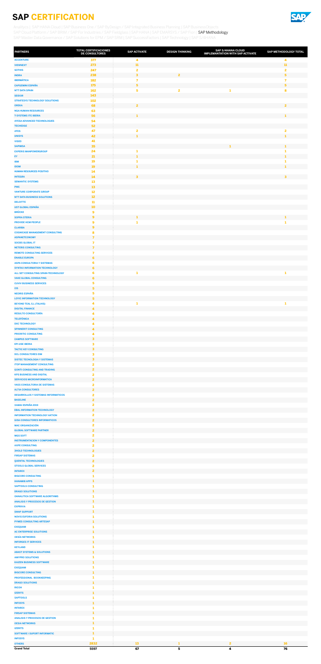

| <b>PARTNERS</b>                                                              | <b>TOTAL CERTIFICACIONES</b><br>DE CONSULTORES | <b>SAP ACTIVATE</b>           | <b>DESIGN THINKING</b>  | <b>SAP S/4HANA CLOUD</b><br><b>IMPLEMANTATION WITH SAP ACTIVATE</b> | SAP METHODOLOGY TOTAL         |
|------------------------------------------------------------------------------|------------------------------------------------|-------------------------------|-------------------------|---------------------------------------------------------------------|-------------------------------|
| <b>ACCENTURE</b>                                                             | 377                                            | 4                             |                         |                                                                     | 4                             |
| <b>VIEWNEXT</b><br><b>SOTHIS</b>                                             | 273<br>247                                     | 11<br>$\overline{\mathbf{2}}$ |                         |                                                                     | 11<br>$\overline{\mathbf{2}}$ |
| <b>INDRA</b>                                                                 | 238                                            | $\mathbf{3}$                  | $\overline{2}$          |                                                                     | $\overline{\mathbf{5}}$       |
| <b>IBERMÁTICA</b>                                                            | 182                                            | $\overline{\mathbf{z}}$       |                         |                                                                     | $\overline{7}$                |
| <b>CAPGEMINI ESPAÑA</b><br><b>NTT DATA SPAIN</b>                             | 175<br>162                                     | 5<br>$\overline{\mathbf{5}}$  | $\overline{\mathbf{2}}$ | 1                                                                   | 5<br>$\bf{8}$                 |
| <b>SEIDOR</b>                                                                | 143                                            |                               |                         |                                                                     |                               |
| <b>STRATESYS TECHNOLOGY SOLUTIONS</b>                                        | 102                                            |                               |                         |                                                                     |                               |
| <b>OREKA</b><br><b>NGA HUMAN RESOURCES</b>                                   | 68<br>63                                       | $\overline{2}$                |                         |                                                                     | $\overline{2}$                |
| <b>T-SYSTEMS ITC IBERIA</b>                                                  | 56                                             | 1                             |                         |                                                                     | 1                             |
| <b>AYESA ADVANCED TECHNOLOGIES</b>                                           | 54                                             |                               |                         |                                                                     |                               |
| <b>TECHEDGE</b><br><b>ATOS</b>                                               | 52<br>47                                       | $\overline{\mathbf{2}}$       |                         |                                                                     | $\mathbf{2}$                  |
| <b>UNISYS</b>                                                                | 42                                             | $\mathbf{I}$                  |                         |                                                                     | $\mathbf{1}$                  |
| <b>VISEO</b>                                                                 | 41<br>35                                       |                               |                         | $\mathbf{1}$                                                        | $\mathbf{1}$                  |
| <b>SAPIMSA</b><br><b>EXPERIS MANPOWERGROUP</b>                               | 24                                             | 1                             |                         |                                                                     | 1                             |
| EY                                                                           | 21                                             | 1                             |                         |                                                                     | $\mathbf{1}$                  |
| <b>IBM</b><br><b>IDOM</b>                                                    | 19<br>19                                       | 1<br>$\mathbf{1}$             |                         |                                                                     | 1<br>$\mathbf{1}$             |
| <b>HUMAN RESOURCES POSITIVO</b>                                              | 14                                             |                               |                         |                                                                     |                               |
| <b>INTEGRA</b>                                                               | 14                                             | $\overline{\mathbf{3}}$       |                         |                                                                     | $\overline{\mathbf{3}}$       |
| <b>SEMANTIC SYSTEMS</b><br><b>PWC</b>                                        | 13<br>13                                       |                               |                         |                                                                     |                               |
| <b>VANTURE CORPORATE GROUP</b>                                               | 12                                             |                               |                         |                                                                     |                               |
| <b>NTT DATA BUSINESS SOLUTIONS</b>                                           | 12                                             |                               |                         |                                                                     |                               |
| <b>DELOITTE</b><br><b>UST GLOBAL ESPAÑA</b>                                  | ${\bf 11}$<br>10                               |                               |                         |                                                                     |                               |
| <b>BRÜCKE</b>                                                                | 9                                              |                               |                         |                                                                     |                               |
| <b>SOPRA STERIA</b>                                                          | $\mathbf{9}$                                   | $\mathbf{1}$                  |                         |                                                                     | $\mathbf{1}$                  |
| <b>PROVIDE HCM PEOPLE</b><br><b>CLARIBA</b>                                  | $\mathbf{9}$<br>$\overline{9}$                 | 1                             |                         |                                                                     | 1                             |
| <b>COGNICASE MANAGEMENT CONSULTING</b>                                       | 8                                              |                               |                         |                                                                     |                               |
| <b>ASPANETCONOMY</b>                                                         | $\overline{7}$                                 |                               |                         |                                                                     |                               |
| <b>SOCBS GLOBAL IT</b><br><b>NETERIS CONSULTING</b>                          | 7<br>$\overline{7}$                            |                               |                         |                                                                     |                               |
| <b>REMOTE CONSULTING SERVICES</b>                                            | $\overline{ }$                                 |                               |                         |                                                                     |                               |
| <b>ENABLE EUROPA</b>                                                         | 6                                              |                               |                         |                                                                     |                               |
| <b>ASPA CONSULTORIA Y SISTEMAS</b><br>SYNTAX INFORMATION TECHNOLOGY          | 6<br>6                                         |                               |                         |                                                                     |                               |
| ALL SET CONSULTING SPAIN-TECHNOLOGY                                          | 6                                              | 1                             |                         |                                                                     | 1                             |
| <b>VAKE GLOBAL CONSULTING</b><br><b>CUVIV BUSINESS SERVICES</b>              | 6<br>5                                         |                               |                         |                                                                     |                               |
| 13S                                                                          | 5                                              |                               |                         |                                                                     |                               |
| <b>NEORIS ESPAÑA</b>                                                         | 5                                              |                               |                         |                                                                     |                               |
| <b>LOYIC INFORMATION TECHNOLOGY</b><br><b>BEYOND TEAL S.L (TALHIS)</b>       | 5<br>4                                         | $\mathbf{1}$                  |                         |                                                                     | -1                            |
| <b>DIGITAL FINANCE</b>                                                       | 4                                              |                               |                         |                                                                     |                               |
| <b>RESULTO CONSULTORÍA</b>                                                   | 4                                              |                               |                         |                                                                     |                               |
| <b>TELEFÓNICA</b><br><b>DXC TECHNOLOGY</b>                                   | 4<br>4                                         |                               |                         |                                                                     |                               |
| <b>SPINNERIT CONSULTING</b>                                                  | 4                                              |                               |                         |                                                                     |                               |
| <b>PRIORITIC CONSULTING</b>                                                  | 4                                              |                               |                         |                                                                     |                               |
| <b>CAMPUS SOFTWARE</b><br><b>EPI-USE IBERIA</b>                              | 3<br>3                                         |                               |                         |                                                                     |                               |
| <b>TACTIC KEY CONSULTING</b>                                                 | $\overline{\mathbf{3}}$                        |                               |                         |                                                                     |                               |
| <b>DCL CONSULTORES EIM</b>                                                   | 3<br>3                                         |                               |                         |                                                                     |                               |
| <b>SISTEC TECNOLOGIA Y SISTEMAS</b><br><b>ITOP MANAGEMENT CONSULTING</b>     | $\overline{\mathbf{2}}$                        |                               |                         |                                                                     |                               |
| <b>GONTI CONSULTING AND TRADING</b>                                          | $\overline{2}$                                 |                               |                         |                                                                     |                               |
| <b>KPS BUSINESS AND DIGITAL</b><br><b>SERVICIOS MICROINFORMATICA</b>         | 2<br>$\overline{2}$                            |                               |                         |                                                                     |                               |
| <b>VASS CONSULTORIA DE SISTEMAS</b>                                          | $\mathbf{2}$                                   |                               |                         |                                                                     |                               |
| <b>ALTIA CONSULTORES</b>                                                     | $\overline{2}$                                 |                               |                         |                                                                     |                               |
| <b>DESARROLLOS Y SISTEMAS INFORMATICOS</b><br><b>BASELINE</b>                | 2<br>$\overline{2}$                            |                               |                         |                                                                     |                               |
| <b>XAMAI ESPAÑA 2019</b>                                                     | 2                                              |                               |                         |                                                                     |                               |
| <b>EBAL INFORMATION TECHNOLOGY</b>                                           | $\overline{2}$                                 |                               |                         |                                                                     |                               |
| <b>INFORMATION TECHNOLOGY AKTION</b><br><b>GISA CONSULTORES INFORMATICOS</b> | $\mathbf{2}$<br>$\overline{2}$                 |                               |                         |                                                                     |                               |
| <b>MAC ORGANIZACIÓN</b>                                                      | 2                                              |                               |                         |                                                                     |                               |
| <b>GLOBAL SOFTWARE PARTNER</b>                                               | $\overline{2}$<br>$\overline{\mathbf{2}}$      |                               |                         |                                                                     |                               |
| <b>MGS SOFT</b><br><b>INSTRUMENTACION Y COMPONENTES</b>                      | $\overline{2}$                                 |                               |                         |                                                                     |                               |
| <b>AXPE CONSULTING</b>                                                       | 2                                              |                               |                         |                                                                     |                               |
| <b>3HOLD TECHNOLOGIES</b><br><b>FIRSAP SISTEMAS</b>                          | $\overline{2}$<br>$\mathbf{2}$                 |                               |                         |                                                                     |                               |
| <b>QUENTAL TECHNOLOGIES</b>                                                  | $\overline{2}$                                 |                               |                         |                                                                     |                               |
| <b>STOOLS GLOBAL SERVICES</b>                                                | 2                                              |                               |                         |                                                                     |                               |
| <b>INTAREX</b><br><b>BIGCORE CONSULTING</b>                                  | $\overline{2}$<br>1                            |                               |                         |                                                                     |                               |
| <b>HANAMI8 APPS</b>                                                          | $\mathbf{1}$                                   |                               |                         |                                                                     |                               |
| <b>SAPTOOLS CONSULTING</b>                                                   | 1                                              |                               |                         |                                                                     |                               |
| <b>DRAGO SOLUTIONS</b><br><b>OANALITICA SOFTWARE ALGORITHMS</b>              | $\mathbf{1}$<br>1                              |                               |                         |                                                                     |                               |
| <b>ANALISIS Y PROCESOS DE GESTION</b>                                        | 1                                              |                               |                         |                                                                     |                               |
| <b>EXPRIVIA</b><br><b>SWAP SUPPORT</b>                                       | 1<br>$\mathbf{1}$                              |                               |                         |                                                                     |                               |
| <b>NOVIS EUFORIA SOLUTIONS</b>                                               | 1                                              |                               |                         |                                                                     |                               |
| <b>PYMES CONSULTING ARTESAP</b>                                              | $\mathbf{1}$                                   |                               |                         |                                                                     |                               |
| <b>EXEQUAM</b><br><b>AC ENTERPRISE SOLUTIONS</b>                             | 1<br>$\mathbf{1}$                              |                               |                         |                                                                     |                               |
| <b>OESÍA NETWORKS</b>                                                        | 1                                              |                               |                         |                                                                     |                               |
| <b>INFORGES IT SERVICES</b>                                                  | 1                                              |                               |                         |                                                                     |                               |
| <b>KEYLAND</b><br><b>ABAST SYSTEMS &amp; SOLUTIONS</b>                       | 1<br>1                                         |                               |                         |                                                                     |                               |
| <b>AMYPRO SOLUTIONS</b>                                                      | 1                                              |                               |                         |                                                                     |                               |
| <b>KAIZEN BUSINESS SOFTWARE</b><br><b>EXEQUAM</b>                            | ш<br>1                                         |                               |                         |                                                                     |                               |
| <b>BIGCORE CONSULTING</b>                                                    | 1                                              |                               |                         |                                                                     |                               |
| <b>PROFESSIONAL BOOKKEEPING</b>                                              | 1                                              |                               |                         |                                                                     |                               |
| <b>DRAGO SOLUTIONS</b><br><b>RICOH</b>                                       | $\mathbf{1}$<br>1                              |                               |                         |                                                                     |                               |
| <b>IZERITS</b>                                                               | 1                                              |                               |                         |                                                                     |                               |
| <b>SAPTOOLS</b>                                                              | 1                                              |                               |                         |                                                                     |                               |
| <b>INFOSYS</b><br><b>INTAREX</b>                                             | $\mathbf{1}$<br>1                              |                               |                         |                                                                     |                               |
| <b>FIRSAP SISTEMAS</b>                                                       | $\mathbf{1}$                                   |                               |                         |                                                                     |                               |
| <b>ANALISIS Y PROCESOS DE GESTION</b><br><b>OESIA NETWORKS</b>               | 1<br>1                                         |                               |                         |                                                                     |                               |
| <b>IZERITS</b>                                                               | 1                                              |                               |                         |                                                                     |                               |
| <b>SOFTWARE I SUPORT INFORMATIC</b>                                          | 1                                              |                               |                         |                                                                     |                               |
| <b>INFOSYS</b><br><b>OTHERS</b>                                              | 1<br>2832                                      | 13                            | 1                       | $\mathbf{2}$                                                        | <b>16</b>                     |
| <b>Grand Total</b>                                                           | 5597                                           | 67                            | 5                       | 4                                                                   | 76                            |

<span id="page-8-0"></span>[Analitycs](#page-1-0) | [SAP HANA Cloud](#page-2-0) | [SAP Business One / SAP ByDesign / SAP Integrated Business Planning](#page-3-0) | [SAP BusinessObjects](#page-4-0)  [SAP Cloud Platform / SAP BRIM / SAP For Industries / SAP Fieldglass](#page-5-0) | [SAP HANA](#page-6-0) | [SAP EMARSYS / SAP Fiori](#page-7-0) | SAP Methodology [SAP Master Data Governance / SAP Solutions for EPM / SAP SRM](#page-9-0) | [SAP SuccessFactors](#page-10-0) | [SAP Technology](#page-11-0) | [SAP S/4HANA](#page-12-0)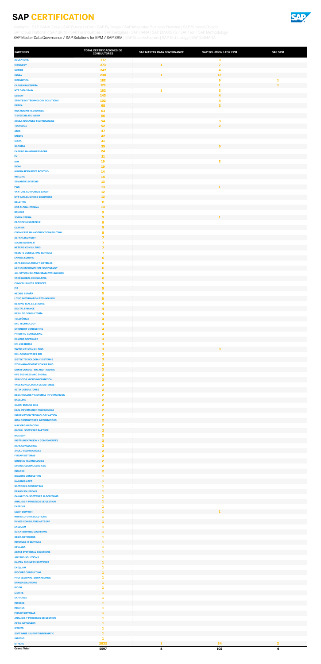

<span id="page-9-0"></span>[Analitycs](#page-1-0) | [SAP HANA Cloud](#page-2-0) | [SAP Business One / SAP ByDesign / SAP Integrated Business Planning](#page-3-0) | SAP BusinessObjects [SAP Cloud Platform / SAP BRIM / SAP For Industries / SAP Fieldglass](#page-5-0) | [SAP HANA](#page-6-0) | [SAP EMARSYS / SAP Fiori](#page-7-0) | [SAP Methodology](#page-8-0) SAP Master Data Governance / SAP Solutions for EPM / SAP SRM | [SAP SuccessFactors](#page-10-0) | [SAP Technology](#page-11-0) | [SAP S/4HANA](#page-12-0)

| <b>PARTNERS</b>                                                          | <b>TOTAL CERTIFICACIONES DE</b><br><b>CONSULTORES</b> | SAP MASTER DATA GOVERNANCE | <b>SAP SOLUTIONS FOR EPM</b> | <b>SAP SRM</b> |
|--------------------------------------------------------------------------|-------------------------------------------------------|----------------------------|------------------------------|----------------|
| <b>ACCENTURE</b>                                                         | 377                                                   |                            | 3                            |                |
| <b>VIEWNEXT</b><br><b>SOTHIS</b>                                         | 273<br>247                                            | 1                          | $\overline{7}$<br>4          |                |
| <b>INDRA</b>                                                             | 238                                                   | 1                          | 12                           |                |
| <b>IBERMÁTICA</b>                                                        | 182                                                   |                            | $\boldsymbol{9}$             |                |
| <b>CAPGEMINI ESPAÑA</b><br><b>NTT DATA SPAIN</b>                         | 175<br>162                                            | 1                          | 1<br>3                       |                |
| <b>SEIDOR</b>                                                            | 143                                                   |                            | 4                            |                |
| <b>STRATESYS TECHNOLOGY SOLUTIONS</b><br><b>OREKA</b>                    | 102<br>68                                             |                            | 4<br>$\overline{\mathbf{3}}$ |                |
| <b>NGA HUMAN RESOURCES</b>                                               | 63                                                    |                            |                              |                |
| <b>T-SYSTEMS ITC IBERIA</b><br><b>AYESA ADVANCED TECHNOLOGIES</b>        | 56<br>54                                              |                            |                              |                |
| <b>TECHEDGE</b>                                                          | 52                                                    |                            | 3<br>$\overline{2}$          |                |
| <b>ATOS</b>                                                              | 47                                                    |                            |                              |                |
| <b>UNISYS</b><br><b>VISEO</b>                                            | 42<br>41                                              |                            |                              |                |
| <b>SAPIMSA</b>                                                           | 35                                                    |                            | 5                            |                |
| <b>EXPERIS MANPOWERGROUP</b><br>EY                                       | 24<br>21                                              |                            |                              |                |
| <b>IBM</b>                                                               | 19                                                    |                            | $\overline{\mathbf{2}}$      |                |
| <b>IDOM</b>                                                              | 19                                                    |                            |                              |                |
| <b>HUMAN RESOURCES POSITIVO</b><br><b>INTEGRA</b>                        | 14<br>14                                              |                            |                              |                |
| <b>SEMANTIC SYSTEMS</b>                                                  | 13                                                    |                            |                              |                |
| <b>PWC</b><br><b>VANTURE CORPORATE GROUP</b>                             | 13<br>12                                              |                            | $\mathbf{1}$                 |                |
| <b>NTT DATA BUSINESS SOLUTIONS</b>                                       | 12                                                    |                            |                              |                |
| <b>DELOITTE</b>                                                          | 11<br><b>10</b>                                       |                            |                              |                |
| <b>UST GLOBAL ESPAÑA</b><br><b>BRÜCKE</b>                                | $\boldsymbol{9}$                                      |                            |                              |                |
| <b>SOPRA STERIA</b>                                                      | 9                                                     |                            | 1                            |                |
| <b>PROVIDE HCM PEOPLE</b><br><b>CLARIBA</b>                              | 9<br>$\overline{9}$                                   |                            |                              |                |
| <b>COGNICASE MANAGEMENT CONSULTING</b>                                   | 8                                                     |                            |                              |                |
| <b>ASPANETCONOMY</b>                                                     | $\overline{7}$                                        |                            |                              |                |
| <b>SOCBS GLOBAL IT</b><br><b>NETERIS CONSULTING</b>                      | 7<br>$\overline{7}$                                   |                            |                              |                |
| <b>REMOTE CONSULTING SERVICES</b>                                        | $\overline{\mathbf{z}}$                               |                            |                              |                |
| <b>ENABLE EUROPA</b><br><b>ASPA CONSULTORIA Y SISTEMAS</b>               | 6<br>6                                                |                            |                              |                |
| SYNTAX INFORMATION TECHNOLOGY                                            | 6                                                     |                            |                              |                |
| ALL SET CONSULTING SPAIN-TECHNOLOGY                                      | 6                                                     |                            |                              |                |
| <b>VAKE GLOBAL CONSULTING</b><br><b>CUVIV BUSINESS SERVICES</b>          | 6<br>5                                                |                            |                              |                |
| <b>I3S</b>                                                               | 5                                                     |                            |                              |                |
| <b>NEORIS ESPAÑA</b><br><b>LOYIC INFORMATION TECHNOLOGY</b>              | 5<br>$\overline{\mathbf{5}}$                          |                            |                              |                |
| <b>BEYOND TEAL S.L (TALHIS)</b>                                          | $\overline{\mathbf{4}}$                               |                            |                              |                |
| <b>DIGITAL FINANCE</b>                                                   | $\overline{4}$                                        |                            |                              |                |
| <b>RESULTO CONSULTORÍA</b><br><b>TELEFÓNICA</b>                          | $\overline{\mathbf{4}}$<br>4                          |                            |                              |                |
| <b>DXC TECHNOLOGY</b>                                                    | $\overline{\mathbf{4}}$                               |                            |                              |                |
| <b>SPINNERIT CONSULTING</b><br><b>PRIORITIC CONSULTING</b>               | 4<br>$\overline{\mathbf{4}}$                          |                            |                              |                |
| <b>CAMPUS SOFTWARE</b>                                                   | $\overline{\mathbf{3}}$                               |                            |                              |                |
| <b>EPI-USE IBERIA</b>                                                    | $\overline{\mathbf{3}}$                               |                            |                              |                |
| <b>TACTIC KEY CONSULTING</b><br><b>DCL CONSULTORES EIM</b>               | $\overline{\mathbf{3}}$<br>$\overline{\mathbf{3}}$    |                            | $\overline{\mathbf{3}}$      |                |
| <b>SISTEC TECNOLOGIA Y SISTEMAS</b>                                      | $\mathbf{3}$                                          |                            |                              |                |
| <b>ITOP MANAGEMENT CONSULTING</b><br><b>GONTI CONSULTING AND TRADING</b> | $\overline{\mathbf{2}}$<br>$\overline{2}$             |                            |                              |                |
| <b>KPS BUSINESS AND DIGITAL</b>                                          | $\overline{\mathbf{2}}$                               |                            |                              |                |
| <b>SERVICIOS MICROINFORMATICA</b>                                        | $\overline{2}$                                        |                            |                              |                |
| <b>VASS CONSULTORIA DE SISTEMAS</b><br><b>ALTIA CONSULTORES</b>          | $\overline{\mathbf{2}}$<br>$\mathbf{z}$               |                            |                              |                |
| <b>DESARROLLOS Y SISTEMAS INFORMATICOS</b>                               | $\overline{\mathbf{2}}$                               |                            |                              |                |
| <b>BASELINE</b><br>XAMAI ESPAÑA 2019                                     | $\overline{2}$<br>$\overline{\mathbf{2}}$             |                            |                              |                |
| <b>EBAL INFORMATION TECHNOLOGY</b>                                       | $\overline{2}$                                        |                            |                              |                |
| <b>INFORMATION TECHNOLOGY AKTION</b>                                     | $\overline{\mathbf{2}}$                               |                            |                              |                |
| <b>GISA CONSULTORES INFORMATICOS</b><br><b>MAC ORGANIZACIÓN</b>          | $\overline{2}$<br>$\overline{\mathbf{2}}$             |                            |                              |                |
| <b>GLOBAL SOFTWARE PARTNER</b>                                           | $\overline{2}$                                        |                            |                              |                |
| <b>MGS SOFT</b><br><b>INSTRUMENTACION Y COMPONENTES</b>                  | $\overline{\mathbf{2}}$<br>$\overline{\mathbf{2}}$    |                            |                              |                |
| <b>AXPE CONSULTING</b>                                                   | $\overline{\mathbf{2}}$                               |                            |                              |                |
| <b>3HOLD TECHNOLOGIES</b>                                                | $\overline{\mathbf{2}}$                               |                            |                              |                |
| <b>FIRSAP SISTEMAS</b><br><b>QUENTAL TECHNOLOGIES</b>                    | $\overline{\mathbf{2}}$<br>$\overline{2}$             |                            |                              |                |
| <b>STOOLS GLOBAL SERVICES</b>                                            | $\overline{\mathbf{2}}$                               |                            |                              |                |
| <b>INTAREX</b><br><b>BIGCORE CONSULTING</b>                              | $\overline{\mathbf{2}}$<br>1                          |                            |                              |                |
| <b>HANAMI8 APPS</b>                                                      | 1                                                     |                            |                              |                |
| <b>SAPTOOLS CONSULTING</b>                                               |                                                       |                            |                              |                |
| <b>DRAGO SOLUTIONS</b><br><b>OANALITICA SOFTWARE ALGORITHMS</b>          | 1<br>1                                                |                            |                              |                |
| <b>ANALISIS Y PROCESOS DE GESTION</b>                                    | 1                                                     |                            |                              |                |
| <b>EXPRIVIA</b><br><b>SWAP SUPPORT</b>                                   | 1<br>$\mathbf{1}$                                     |                            | п                            |                |
| <b>NOVIS EUFORIA SOLUTIONS</b>                                           | -1                                                    |                            |                              |                |
| <b>PYMES CONSULTING ARTESAP</b><br><b>EXEQUAM</b>                        | $\mathbf{1}$<br>1                                     |                            |                              |                |
| <b>AC ENTERPRISE SOLUTIONS</b>                                           | $\mathbf{1}$                                          |                            |                              |                |
| <b>OESÍA NETWORKS</b>                                                    | -1                                                    |                            |                              |                |
| <b>INFORGES IT SERVICES</b><br><b>KEYLAND</b>                            | 1<br>1                                                |                            |                              |                |
| <b>ABAST SYSTEMS &amp; SOLUTIONS</b>                                     | $\mathbf{1}$                                          |                            |                              |                |
| <b>AMYPRO SOLUTIONS</b>                                                  | 1                                                     |                            |                              |                |
| <b>KAIZEN BUSINESS SOFTWARE</b><br><b>EXEQUAM</b>                        | -1                                                    |                            |                              |                |
| <b>BIGCORE CONSULTING</b>                                                | 1                                                     |                            |                              |                |
| PROFESSIONAL BOOKKEEPING<br><b>DRAGO SOLUTIONS</b>                       | -1<br>1                                               |                            |                              |                |
| <b>RICOH</b>                                                             | 1                                                     |                            |                              |                |
| <b>IZERITS</b>                                                           | -1                                                    |                            |                              |                |
| <b>SAPTOOLS</b><br><b>INFOSYS</b>                                        | -1<br>1                                               |                            |                              |                |
| <b>INTAREX</b>                                                           | -1                                                    |                            |                              |                |
| <b>FIRSAP SISTEMAS</b><br><b>ANALISIS Y PROCESOS DE GESTION</b>          | -1                                                    |                            |                              |                |
| <b>OESIA NETWORKS</b>                                                    | 1                                                     |                            |                              |                |
| <b>IZERITS</b>                                                           | 1                                                     |                            |                              |                |
| <b>SOFTWARE I SUPORT INFORMATIC</b><br><b>INFOSYS</b>                    | 1<br>-1                                               |                            |                              |                |
| <b>OTHERS</b>                                                            | 2832                                                  | 1                          | 34                           | $\overline{2}$ |
| <b>Grand Total</b>                                                       | 5597                                                  | $\blacktriangleleft$       | 102                          | 4              |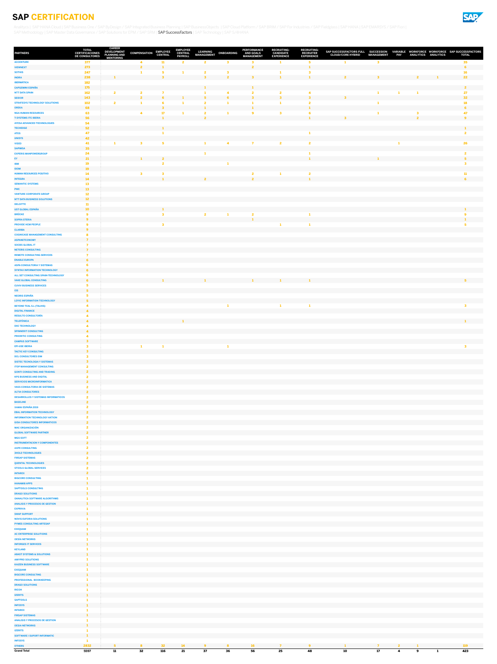| <b>PARTNERS</b>                                                                | <b>TOTAL</b><br><b>CERTIFICACIONES</b><br><b>DE CONSULTORES</b> | <b>CAREER</b><br><b>DEVELOPMENT</b><br><b>PLANNING AND</b> | <b>COMPENSATION</b>      | <b>EMPLOYEE</b><br><b>CENTRAL</b> | <b>EMPLOYEE</b><br><b>CENTRAL</b><br><b>PAYROLL</b> | <b>LEARNING</b><br><b>MANAGEMENT</b> | <b>ONBOARDING</b>       | <b>PERFORMANCE</b><br><b>AND GOALS</b><br><b>MANAGEMENT</b> | <b>RECRUITING:</b><br><b>CANDIDATE</b><br><b>EXPERIENCE</b> | <b>RECRUITING:</b><br><b>RECRUITER</b><br><b>EXPERIENCE</b> | SAP SUCCESSFACTORS FULL SUCCESSION<br><b>CLOUD/CORE HYBRID</b> | <b>MANAGEMENT</b><br><b>PAY</b> | VARIABLE WORKFORCE WORKFORCE SAP SUCCESSFACTORS<br><b>ANALYTICS</b><br><b>ANALYTICS</b> | <b>TOTAL</b>                   |
|--------------------------------------------------------------------------------|-----------------------------------------------------------------|------------------------------------------------------------|--------------------------|-----------------------------------|-----------------------------------------------------|--------------------------------------|-------------------------|-------------------------------------------------------------|-------------------------------------------------------------|-------------------------------------------------------------|----------------------------------------------------------------|---------------------------------|-----------------------------------------------------------------------------------------|--------------------------------|
| <b>ACCENTURE</b>                                                               | 377                                                             | <b>MENTORING</b>                                           | 4                        | 11                                | $\mathbf{z}$                                        | $\overline{2}$                       | 3                       |                                                             |                                                             |                                                             |                                                                | 3                               |                                                                                         | 35 <sub>5</sub>                |
| <b>VIEWNEXT</b>                                                                | 273                                                             |                                                            |                          |                                   |                                                     |                                      |                         |                                                             |                                                             |                                                             |                                                                |                                 |                                                                                         | 6 <sup>1</sup>                 |
| <b>SOTHIS</b><br><b>INDRA</b>                                                  | 247<br>238                                                      |                                                            |                          |                                   |                                                     |                                      |                         |                                                             |                                                             |                                                             |                                                                |                                 |                                                                                         | 16 <sup>°</sup><br>22          |
| <b>IBERMÁTICA</b>                                                              | 182                                                             |                                                            |                          |                                   |                                                     |                                      |                         |                                                             |                                                             |                                                             |                                                                |                                 |                                                                                         |                                |
| <b>CAPGEMINI ESPAÑA</b><br><b>NTT DATA SPAIN</b>                               | <b>175</b><br>162                                               | $\overline{\mathbf{2}}$                                    | $\overline{2}$           |                                   |                                                     |                                      |                         |                                                             |                                                             |                                                             |                                                                |                                 |                                                                                         | $\overline{2}$<br>27           |
| <b>SEIDOR</b>                                                                  | 143                                                             |                                                            | $\overline{\phantom{a}}$ |                                   |                                                     |                                      |                         | -2                                                          |                                                             |                                                             |                                                                |                                 |                                                                                         | 32 <sub>2</sub>                |
| <b>STRATESYS TECHNOLOGY SOLUTIONS</b>                                          | 102                                                             | $\overline{\mathbf{2}}$                                    |                          |                                   |                                                     |                                      |                         |                                                             |                                                             |                                                             |                                                                |                                 |                                                                                         | 18                             |
| <b>OREKA</b><br><b>NGA HUMAN RESOURCES</b>                                     | 68<br>63                                                        |                                                            | 4                        | 17                                |                                                     |                                      |                         | 9                                                           |                                                             |                                                             |                                                                |                                 |                                                                                         | 6<br>47                        |
| <b>T-SYSTEMS ITC IBERIA</b>                                                    | 56                                                              |                                                            |                          |                                   |                                                     |                                      |                         |                                                             |                                                             | п.                                                          |                                                                |                                 | $\overline{2}$                                                                          | 9                              |
| <b>AYESA ADVANCED TECHNOLOGIES</b><br><b>TECHEDGE</b>                          | 54<br>52 <sub>2</sub>                                           |                                                            |                          |                                   |                                                     |                                      |                         |                                                             |                                                             |                                                             |                                                                |                                 |                                                                                         |                                |
| <b>ATOS</b>                                                                    | 47                                                              |                                                            |                          |                                   |                                                     |                                      |                         |                                                             |                                                             |                                                             |                                                                |                                 |                                                                                         | $\overline{2}$                 |
| <b>UNISYS</b>                                                                  | 42<br>41                                                        |                                                            | $\mathbf{3}$             | -5                                |                                                     | -1                                   | $\overline{\mathbf{4}}$ | 7                                                           |                                                             | $\overline{2}$                                              |                                                                |                                 |                                                                                         |                                |
| <b>VISEO</b><br><b>SAPIMSA</b>                                                 | 35                                                              |                                                            |                          |                                   |                                                     |                                      |                         |                                                             | $\overline{2}$                                              |                                                             |                                                                |                                 |                                                                                         | 26                             |
| <b>EXPERIS MANPOWERGROUP</b>                                                   | 24                                                              |                                                            |                          |                                   |                                                     |                                      |                         |                                                             |                                                             |                                                             |                                                                |                                 |                                                                                         | $\overline{2}$                 |
| EY<br><b>IBM</b>                                                               | 21<br>19                                                        |                                                            |                          | $\overline{\mathbf{z}}$           |                                                     |                                      |                         |                                                             |                                                             |                                                             |                                                                |                                 |                                                                                         | 5 <sup>1</sup><br>$\mathbf{B}$ |
| <b>IDOM</b>                                                                    | 19                                                              |                                                            |                          |                                   |                                                     |                                      |                         |                                                             |                                                             |                                                             |                                                                |                                 |                                                                                         |                                |
| <b>HUMAN RESOURCES POSITIVO</b><br><b>INTEGRA</b>                              | 14<br>14                                                        |                                                            | 3                        |                                   |                                                     |                                      |                         | $\overline{2}$                                              |                                                             |                                                             |                                                                |                                 |                                                                                         | 11<br>6                        |
| <b>SEMANTIC SYSTEMS</b>                                                        | 13                                                              |                                                            |                          |                                   |                                                     |                                      |                         |                                                             |                                                             |                                                             |                                                                |                                 |                                                                                         |                                |
| <b>PWC</b>                                                                     | 13                                                              |                                                            |                          |                                   |                                                     |                                      |                         |                                                             |                                                             |                                                             |                                                                |                                 |                                                                                         |                                |
| <b>VANTURE CORPORATE GROUP</b><br><b>NTT DATA BUSINESS SOLUTIONS</b>           | 12<br>12 <sub>2</sub>                                           |                                                            |                          |                                   |                                                     |                                      |                         |                                                             |                                                             |                                                             |                                                                |                                 |                                                                                         |                                |
| <b>DELOITTE</b>                                                                | $\bf{11}$                                                       |                                                            |                          |                                   |                                                     |                                      |                         |                                                             |                                                             |                                                             |                                                                |                                 |                                                                                         |                                |
| <b>UST GLOBAL ESPAÑA</b><br><b>BRÜCKE</b>                                      | 10 <sub>1</sub>                                                 |                                                            |                          |                                   |                                                     |                                      |                         |                                                             |                                                             |                                                             |                                                                |                                 |                                                                                         |                                |
| <b>SOPRA STERIA</b>                                                            |                                                                 |                                                            |                          |                                   |                                                     |                                      |                         |                                                             |                                                             |                                                             |                                                                |                                 |                                                                                         |                                |
| <b>PROVIDE HCM PEOPLE</b>                                                      |                                                                 |                                                            |                          | -3                                |                                                     |                                      |                         |                                                             |                                                             |                                                             |                                                                |                                 |                                                                                         |                                |
| <b>CLARIBA</b><br><b>COGNICASE MANAGEMENT CONSULTING</b>                       | 9 <sup>°</sup>                                                  |                                                            |                          |                                   |                                                     |                                      |                         |                                                             |                                                             |                                                             |                                                                |                                 |                                                                                         |                                |
| <b>ASPANETCONOMY</b>                                                           | $\overline{ }$                                                  |                                                            |                          |                                   |                                                     |                                      |                         |                                                             |                                                             |                                                             |                                                                |                                 |                                                                                         |                                |
| <b>SOCBS GLOBAL IT</b>                                                         | $\mathbf{z}$                                                    |                                                            |                          |                                   |                                                     |                                      |                         |                                                             |                                                             |                                                             |                                                                |                                 |                                                                                         |                                |
| <b>NETERIS CONSULTING</b><br><b>REMOTE CONSULTING SERVICES</b>                 |                                                                 |                                                            |                          |                                   |                                                     |                                      |                         |                                                             |                                                             |                                                             |                                                                |                                 |                                                                                         |                                |
| <b>ENABLE EUROPA</b>                                                           | 6                                                               |                                                            |                          |                                   |                                                     |                                      |                         |                                                             |                                                             |                                                             |                                                                |                                 |                                                                                         |                                |
| <b>ASPA CONSULTORIA Y SISTEMAS</b><br><b>SYNTAX INFORMATION TECHNOLOGY</b>     | 6                                                               |                                                            |                          |                                   |                                                     |                                      |                         |                                                             |                                                             |                                                             |                                                                |                                 |                                                                                         |                                |
| ALL SET CONSULTING SPAIN-TECHNOLOGY                                            |                                                                 |                                                            |                          |                                   |                                                     |                                      |                         |                                                             |                                                             |                                                             |                                                                |                                 |                                                                                         |                                |
| <b>VAKE GLOBAL CONSULTING</b>                                                  | 6                                                               |                                                            |                          | $\blacksquare$                    |                                                     |                                      |                         | $\mathbf{1}$                                                | $\blacksquare$                                              |                                                             |                                                                |                                 |                                                                                         | -5 -                           |
| <b>CUVIV BUSINESS SERVICES</b><br><b>I3S</b>                                   | -51                                                             |                                                            |                          |                                   |                                                     |                                      |                         |                                                             |                                                             |                                                             |                                                                |                                 |                                                                                         |                                |
| <b>NEORIS ESPAÑA</b>                                                           |                                                                 |                                                            |                          |                                   |                                                     |                                      |                         |                                                             |                                                             |                                                             |                                                                |                                 |                                                                                         |                                |
| <b>LOYIC INFORMATION TECHNOLOGY</b><br><b>BEYOND TEAL S.L (TALHIS)</b>         | 5 <sub>1</sub>                                                  |                                                            |                          |                                   |                                                     |                                      |                         |                                                             |                                                             |                                                             |                                                                |                                 |                                                                                         |                                |
| <b>DIGITAL FINANCE</b>                                                         |                                                                 |                                                            |                          |                                   |                                                     |                                      |                         |                                                             |                                                             |                                                             |                                                                |                                 |                                                                                         |                                |
| <b>RESULTO CONSULTORÍA</b>                                                     |                                                                 |                                                            |                          |                                   | $\mathbf{1}$                                        |                                      |                         |                                                             |                                                             |                                                             |                                                                |                                 |                                                                                         | $\mathbf{1}$ and $\mathbf{1}$  |
| <b>TELEFÓNICA</b><br><b>DXC TECHNOLOGY</b>                                     | $\overline{4}$                                                  |                                                            |                          |                                   |                                                     |                                      |                         |                                                             |                                                             |                                                             |                                                                |                                 |                                                                                         |                                |
| <b>SPINNERIT CONSULTING</b>                                                    | $\blacktriangle$                                                |                                                            |                          |                                   |                                                     |                                      |                         |                                                             |                                                             |                                                             |                                                                |                                 |                                                                                         |                                |
| <b>PRIORITIC CONSULTING</b><br><b>CAMPUS SOFTWARE</b>                          | $\mathbf{R}$                                                    |                                                            |                          |                                   |                                                     |                                      |                         |                                                             |                                                             |                                                             |                                                                |                                 |                                                                                         |                                |
| <b>EPI-USE IBERIA</b>                                                          |                                                                 |                                                            |                          |                                   |                                                     |                                      |                         |                                                             |                                                             |                                                             |                                                                |                                 |                                                                                         | $\overline{\mathbf{3}}$        |
| <b>TACTIC KEY CONSULTING</b>                                                   | $\mathbf{R}$                                                    |                                                            |                          |                                   |                                                     |                                      |                         |                                                             |                                                             |                                                             |                                                                |                                 |                                                                                         |                                |
| <b>DCL CONSULTORES EIM</b><br><b>SISTEC TECNOLOGIA Y SISTEMAS</b>              |                                                                 |                                                            |                          |                                   |                                                     |                                      |                         |                                                             |                                                             |                                                             |                                                                |                                 |                                                                                         |                                |
| <b>ITOP MANAGEMENT CONSULTING</b>                                              |                                                                 |                                                            |                          |                                   |                                                     |                                      |                         |                                                             |                                                             |                                                             |                                                                |                                 |                                                                                         |                                |
| <b>GONTI CONSULTING AND TRADING</b><br><b>KPS BUSINESS AND DIGITAL</b>         | $\overline{2}$                                                  |                                                            |                          |                                   |                                                     |                                      |                         |                                                             |                                                             |                                                             |                                                                |                                 |                                                                                         |                                |
| <b>SERVICIOS MICROINFORMATICA</b>                                              | $\overline{2}$                                                  |                                                            |                          |                                   |                                                     |                                      |                         |                                                             |                                                             |                                                             |                                                                |                                 |                                                                                         |                                |
| <b>VASS CONSULTORIA DE SISTEMAS</b>                                            | $\overline{2}$                                                  |                                                            |                          |                                   |                                                     |                                      |                         |                                                             |                                                             |                                                             |                                                                |                                 |                                                                                         |                                |
| <b>ALTIA CONSULTORES</b><br><b>DESARROLLOS Y SISTEMAS INFORMATICOS</b>         | $\mathbf{2}$                                                    |                                                            |                          |                                   |                                                     |                                      |                         |                                                             |                                                             |                                                             |                                                                |                                 |                                                                                         |                                |
| <b>BASELINE</b>                                                                | $2^{\circ}$                                                     |                                                            |                          |                                   |                                                     |                                      |                         |                                                             |                                                             |                                                             |                                                                |                                 |                                                                                         |                                |
| <b>XAMAI ESPAÑA 2019</b><br><b>EBAL INFORMATION TECHNOLOGY</b>                 | 2 <sup>1</sup>                                                  |                                                            |                          |                                   |                                                     |                                      |                         |                                                             |                                                             |                                                             |                                                                |                                 |                                                                                         |                                |
| <b>INFORMATION TECHNOLOGY AKTION</b>                                           | $\overline{2}$                                                  |                                                            |                          |                                   |                                                     |                                      |                         |                                                             |                                                             |                                                             |                                                                |                                 |                                                                                         |                                |
| <b>GISA CONSULTORES INFORMATICOS</b>                                           | $\overline{2}$                                                  |                                                            |                          |                                   |                                                     |                                      |                         |                                                             |                                                             |                                                             |                                                                |                                 |                                                                                         |                                |
| <b>MAC ORGANIZACIÓN</b><br><b>GLOBAL SOFTWARE PARTNER</b>                      | $\overline{2}$                                                  |                                                            |                          |                                   |                                                     |                                      |                         |                                                             |                                                             |                                                             |                                                                |                                 |                                                                                         |                                |
| <b>MGS SOFT</b>                                                                | -2                                                              |                                                            |                          |                                   |                                                     |                                      |                         |                                                             |                                                             |                                                             |                                                                |                                 |                                                                                         |                                |
| <b>INSTRUMENTACION Y COMPONENTES</b>                                           | $\overline{2}$                                                  |                                                            |                          |                                   |                                                     |                                      |                         |                                                             |                                                             |                                                             |                                                                |                                 |                                                                                         |                                |
| <b>AXPE CONSULTING</b><br><b>3HOLD TECHNOLOGIES</b>                            | $\overline{2}$                                                  |                                                            |                          |                                   |                                                     |                                      |                         |                                                             |                                                             |                                                             |                                                                |                                 |                                                                                         |                                |
| <b>FIRSAP SISTEMAS</b>                                                         |                                                                 |                                                            |                          |                                   |                                                     |                                      |                         |                                                             |                                                             |                                                             |                                                                |                                 |                                                                                         |                                |
| <b>QUENTAL TECHNOLOGIES</b><br><b>STOOLS GLOBAL SERVICES</b>                   | $\overline{2}$                                                  |                                                            |                          |                                   |                                                     |                                      |                         |                                                             |                                                             |                                                             |                                                                |                                 |                                                                                         |                                |
| <b>INTAREX</b>                                                                 | $\overline{2}$                                                  |                                                            |                          |                                   |                                                     |                                      |                         |                                                             |                                                             |                                                             |                                                                |                                 |                                                                                         |                                |
| <b>BIGCORE CONSULTING</b><br><b>HANAMI8 APPS</b>                               |                                                                 |                                                            |                          |                                   |                                                     |                                      |                         |                                                             |                                                             |                                                             |                                                                |                                 |                                                                                         |                                |
| <b>SAPTOOLS CONSULTING</b>                                                     |                                                                 |                                                            |                          |                                   |                                                     |                                      |                         |                                                             |                                                             |                                                             |                                                                |                                 |                                                                                         |                                |
| <b>DRAGO SOLUTIONS</b>                                                         |                                                                 |                                                            |                          |                                   |                                                     |                                      |                         |                                                             |                                                             |                                                             |                                                                |                                 |                                                                                         |                                |
| <b>OANALITICA SOFTWARE ALGORITHMS</b><br><b>ANALISIS Y PROCESOS DE GESTION</b> |                                                                 |                                                            |                          |                                   |                                                     |                                      |                         |                                                             |                                                             |                                                             |                                                                |                                 |                                                                                         |                                |
| <b>EXPRIVIA</b>                                                                |                                                                 |                                                            |                          |                                   |                                                     |                                      |                         |                                                             |                                                             |                                                             |                                                                |                                 |                                                                                         |                                |
| <b>SWAP SUPPORT</b><br><b>NOVIS EUFORIA SOLUTIONS</b>                          |                                                                 |                                                            |                          |                                   |                                                     |                                      |                         |                                                             |                                                             |                                                             |                                                                |                                 |                                                                                         |                                |
| <b>PYMES CONSULTING ARTESAP</b>                                                |                                                                 |                                                            |                          |                                   |                                                     |                                      |                         |                                                             |                                                             |                                                             |                                                                |                                 |                                                                                         |                                |
| <b>EXEQUAM</b>                                                                 |                                                                 |                                                            |                          |                                   |                                                     |                                      |                         |                                                             |                                                             |                                                             |                                                                |                                 |                                                                                         |                                |
| <b>AC ENTERPRISE SOLUTIONS</b><br><b>OESÍA NETWORKS</b>                        |                                                                 |                                                            |                          |                                   |                                                     |                                      |                         |                                                             |                                                             |                                                             |                                                                |                                 |                                                                                         |                                |
| <b>INFORGES IT SERVICES</b>                                                    |                                                                 |                                                            |                          |                                   |                                                     |                                      |                         |                                                             |                                                             |                                                             |                                                                |                                 |                                                                                         |                                |
| <b>KEYLAND</b>                                                                 |                                                                 |                                                            |                          |                                   |                                                     |                                      |                         |                                                             |                                                             |                                                             |                                                                |                                 |                                                                                         |                                |
| <b>ABAST SYSTEMS &amp; SOLUTIONS</b><br><b>AMYPRO SOLUTIONS</b>                |                                                                 |                                                            |                          |                                   |                                                     |                                      |                         |                                                             |                                                             |                                                             |                                                                |                                 |                                                                                         |                                |
| <b>KAIZEN BUSINESS SOFTWARE</b>                                                |                                                                 |                                                            |                          |                                   |                                                     |                                      |                         |                                                             |                                                             |                                                             |                                                                |                                 |                                                                                         |                                |
| <b>EXEQUAM</b><br><b>BIGCORE CONSULTING</b>                                    |                                                                 |                                                            |                          |                                   |                                                     |                                      |                         |                                                             |                                                             |                                                             |                                                                |                                 |                                                                                         |                                |
| <b>PROFESSIONAL BOOKKEEPING</b>                                                |                                                                 |                                                            |                          |                                   |                                                     |                                      |                         |                                                             |                                                             |                                                             |                                                                |                                 |                                                                                         |                                |
| <b>DRAGO SOLUTIONS</b><br><b>RICOH</b>                                         |                                                                 |                                                            |                          |                                   |                                                     |                                      |                         |                                                             |                                                             |                                                             |                                                                |                                 |                                                                                         |                                |
| <b>IZERITS</b>                                                                 |                                                                 |                                                            |                          |                                   |                                                     |                                      |                         |                                                             |                                                             |                                                             |                                                                |                                 |                                                                                         |                                |
| <b>SAPTOOLS</b>                                                                |                                                                 |                                                            |                          |                                   |                                                     |                                      |                         |                                                             |                                                             |                                                             |                                                                |                                 |                                                                                         |                                |
| <b>INFOSYS</b><br><b>INTAREX</b>                                               |                                                                 |                                                            |                          |                                   |                                                     |                                      |                         |                                                             |                                                             |                                                             |                                                                |                                 |                                                                                         |                                |
| <b>FIRSAP SISTEMAS</b>                                                         |                                                                 |                                                            |                          |                                   |                                                     |                                      |                         |                                                             |                                                             |                                                             |                                                                |                                 |                                                                                         |                                |
| <b>ANALISIS Y PROCESOS DE GESTION</b><br><b>OESIA NETWORKS</b>                 |                                                                 |                                                            |                          |                                   |                                                     |                                      |                         |                                                             |                                                             |                                                             |                                                                |                                 |                                                                                         |                                |
| <b>IZERITS</b>                                                                 |                                                                 |                                                            |                          |                                   |                                                     |                                      |                         |                                                             |                                                             |                                                             |                                                                |                                 |                                                                                         |                                |
| <b>SOFTWARE I SUPORT INFORMATIC</b>                                            |                                                                 |                                                            |                          |                                   |                                                     |                                      |                         |                                                             |                                                             |                                                             |                                                                |                                 |                                                                                         |                                |
| <b>INFOSYS</b><br><b>OTHERS</b>                                                | 2832                                                            | 5 <sub>1</sub>                                             | $\mathbf{8}$             | 32 <sub>2</sub>                   | 14                                                  | 9                                    | $\mathbf{8}$            | <b>16</b>                                                   | 7                                                           | 9                                                           |                                                                | $\mathbf{2}$<br>$\overline{7}$  | -1                                                                                      | 119                            |
| <b>Grand Total</b>                                                             | 5597                                                            | 11                                                         | 32                       | 116                               | 21                                                  | 37                                   | 36                      | 56                                                          | 25                                                          | 48                                                          | 10                                                             | 17<br>$\overline{\mathbf{4}}$   | 9<br>$\overline{\mathbf{1}}$                                                            | 423                            |



<span id="page-10-0"></span>[Analitycs](#page-1-0) | [SAP HANA Cloud](#page-2-0) | [SAP Business One / SAP ByDesign / SAP Integrated Business Planning](#page-3-0) | [SAP BusinessObjects](#page-4-0) | [SAP Cloud Platform / SAP BRIM / SAP For Industries / SAP Fieldglass](#page-5-0) | [SAP HANA](#page-6-0) | SAP EMARSYS / SAP Fio [SAP Methodology](#page-8-0) | [SAP Master Data Governance / SAP Solutions for EPM / SAP SRM](#page-9-0) | SAP SuccessFactors | [SAP Technology](#page-11-0) | [SAP S/4HANA](#page-12-0)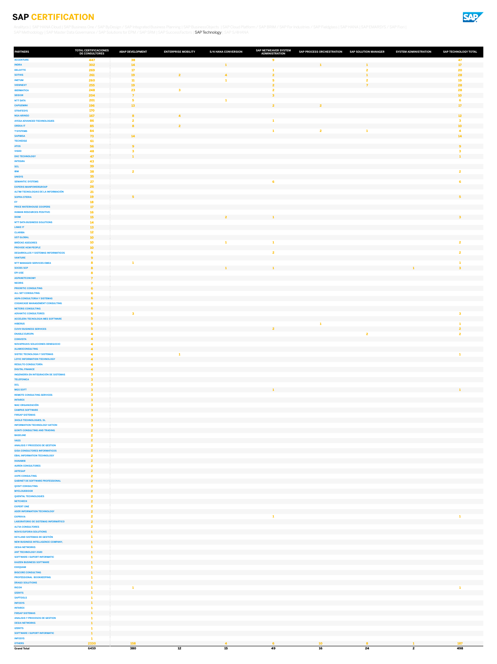

<span id="page-11-0"></span>[Analitycs](#page-1-0) | [SAP HANA Cloud](#page-2-0) | [SAP Business One / SAP ByDesign / SAP Integrated Business Planning](#page-3-0) | [SAP BusinessObjects](#page-4-0) | [SAP Cloud Platform / SAP BRIM / SAP For Industries / SAP Fieldglass](#page-5-0) | [SAP HANA](#page-6-0) | SAP EMARSYS / SAP Fio [SAP Methodology](#page-8-0) | [SAP Master Data Governance / SAP Solutions for EPM / SAP SRM](#page-9-0) | [SAP SuccessFactors](#page-10-0) | SAP Technology | [SAP S/4HANA](#page-12-0)

| <b>PARTNERS</b>                                                       | <b>TOTAL CERTIFICACIONES</b><br>DE CONSULTORES | <b>ABAP DEVELOPMENT</b> | <b>ENTERPRISE MOBILITY</b> | <b>S/4 HANA CONVERSION</b> | <b>SAP NETWEAVER SYSTEM</b><br><b>ADMINISTRATION</b> | SAP PROCESS ORCHESTRATION SAP SOLUTION MANAGER |                | <b>SYSTEM ADMINISTRATION</b> | SAP TECHNOLOGY TOTAL  |
|-----------------------------------------------------------------------|------------------------------------------------|-------------------------|----------------------------|----------------------------|------------------------------------------------------|------------------------------------------------|----------------|------------------------------|-----------------------|
| <b>ACCENTURE</b>                                                      | 447                                            | 38                      |                            |                            | 9                                                    |                                                |                |                              | 47                    |
| <b>INDRA</b><br><b>DELOITTE</b>                                       | 302<br>269                                     | 14<br>17 <sup>2</sup>   |                            |                            |                                                      |                                                |                |                              | 17 <sub>2</sub><br>20 |
| <b>SOTHIS</b>                                                         | 261                                            | <b>19</b>               |                            |                            | $\overline{2}$                                       |                                                | $\mathbf{1}$   |                              | 28                    |
| <b>INETUM</b><br><b>VIEWNEXT</b>                                      | 260<br>255                                     | 11<br><b>19</b>         |                            |                            | $\mathbf{z}$                                         |                                                | $\overline{7}$ |                              | 19<br>28              |
| <b>IBERMATICA</b>                                                     | 248                                            | 23                      | 3                          |                            |                                                      |                                                |                |                              | 28                    |
| <b>SEIDOR</b>                                                         | 204                                            |                         |                            |                            | $\mathbf{z}$                                         |                                                |                |                              | 10                    |
| <b>NTT DATA</b><br><b>CAPGEMINI</b>                                   | 201<br><b>196</b>                              | 5<br>13                 |                            |                            | $\overline{\mathbf{2}}$                              |                                                |                |                              | 17 <sup>17</sup>      |
| <b>STRATESYS</b>                                                      | <b>170</b>                                     |                         |                            |                            |                                                      |                                                |                |                              |                       |
| <b>NGA ARINSO</b><br><b>AYESA ADVANCED TECHNOLOGIES</b>               | <b>167</b><br>86                               | 8                       |                            |                            |                                                      |                                                |                |                              | 12 <sup>7</sup>       |
| <b>OREKA IT</b>                                                       | 85                                             | 8                       | $\overline{\mathbf{z}}$    |                            |                                                      |                                                |                |                              | 10 <sub>1</sub>       |
| <b>T-SYSTEMS</b>                                                      | 84                                             | 14                      |                            |                            |                                                      | $\mathbf{2}$                                   |                |                              | 14 <sup>1</sup>       |
| <b>SAPIMSA</b><br><b>TECHEDGE</b>                                     | 73<br>61                                       |                         |                            |                            |                                                      |                                                |                |                              |                       |
| <b>ATOS</b>                                                           | 56                                             | 9 <sup>°</sup>          |                            |                            |                                                      |                                                |                |                              | 9                     |
| <b>VISEO</b><br><b>DXC TECHNOLOGY</b>                                 | 48<br>47                                       | з                       |                            |                            |                                                      |                                                |                |                              |                       |
| <b>INTEGRA</b>                                                        | 43                                             |                         |                            |                            |                                                      |                                                |                |                              |                       |
| <b>SCL</b>                                                            | 39<br>38                                       | $\overline{\mathbf{2}}$ |                            |                            |                                                      |                                                |                |                              |                       |
| <b>IBM</b><br><b>UNISYS</b>                                           | 35                                             |                         |                            |                            |                                                      |                                                |                |                              |                       |
| <b>SEMANTIC SYSTEMS</b>                                               | 27                                             |                         |                            |                            | 6                                                    |                                                |                |                              |                       |
| <b>EXPERIS MANPOWERGROUP</b><br>ALTIM TECNOLOGIAS DE LA INFORMACIÓN   | 26<br>21                                       |                         |                            |                            |                                                      |                                                |                |                              |                       |
| <b>SOPRA STERIA</b>                                                   | <b>19</b>                                      | 5.                      |                            |                            |                                                      |                                                |                |                              |                       |
| EY<br><b>PRICE WATERHOUSE COOPERS</b>                                 | <b>18</b><br>17 <sup>2</sup>                   |                         |                            |                            |                                                      |                                                |                |                              |                       |
| <b>HUMAN RESOURCES POSITIVO</b>                                       | 16                                             |                         |                            |                            |                                                      |                                                |                |                              |                       |
| <b>IDOM</b>                                                           | <b>15</b>                                      |                         |                            | $\overline{2}$             | $\mathbf{1}$                                         |                                                |                |                              | 3 <sup>1</sup>        |
| <b>NTT DATA BUSINESS SOLUTIONS</b><br><b>LINKE IT</b>                 | 14<br><b>13</b>                                |                         |                            |                            |                                                      |                                                |                |                              |                       |
| <b>CLARIBA</b>                                                        | 12                                             |                         |                            |                            |                                                      |                                                |                |                              |                       |
| <b>UST GLOBAL</b><br><b>BRÜCKE ASESORES</b>                           | 10<br>10                                       |                         |                            |                            |                                                      |                                                |                |                              |                       |
| <b>PROVIDE HCM PEOPLE</b>                                             | 10                                             |                         |                            |                            |                                                      |                                                |                |                              |                       |
| <b>DESARROLLOS Y SISTEMAS INFORMATICOS</b>                            | 9                                              |                         |                            |                            | 2                                                    |                                                |                |                              |                       |
| <b>VANTURE</b><br><b>NTT MANAGED SERVICES EMEA</b>                    | 9<br>8                                         |                         |                            |                            |                                                      |                                                |                |                              |                       |
| <b>SOCBS SCP</b>                                                      | 8                                              |                         |                            |                            |                                                      |                                                |                |                              |                       |
| <b>EPI-USE</b><br><b>ASPANETCONOMY</b>                                | 7                                              |                         |                            |                            |                                                      |                                                |                |                              |                       |
| <b>NEORIS</b>                                                         |                                                |                         |                            |                            |                                                      |                                                |                |                              |                       |
| <b>PRIORITIC CONSULTING</b>                                           | 6                                              |                         |                            |                            |                                                      |                                                |                |                              |                       |
| <b>ALL SET CONSULTING</b><br><b>ASPA CONSULTORIA Y SISTEMAS</b>       | ь                                              |                         |                            |                            |                                                      |                                                |                |                              |                       |
| <b>COGNICASE MANAGEMENT CONSULTING</b>                                | 6                                              |                         |                            |                            |                                                      |                                                |                |                              |                       |
| <b>NETERIS CONSULTING</b><br><b>ADVANTIC CONSULTORES</b>              | 6                                              | 3                       |                            |                            |                                                      |                                                |                |                              |                       |
| <b>ACCELERA TECNOLOGIA MES SOFTWARE</b>                               | 5                                              |                         |                            |                            |                                                      |                                                |                |                              |                       |
| <b>HIBERUS</b>                                                        |                                                |                         |                            |                            |                                                      |                                                |                |                              |                       |
| <b>CUVIV BUSINESS SERVICES</b><br><b>ENABLE EUROPA</b>                | 5 <sub>1</sub>                                 |                         |                            |                            |                                                      |                                                | $\mathbf{2}$   |                              |                       |
| <b>CONVISTA</b>                                                       | $\overline{\mathbf{4}}$                        |                         |                            |                            |                                                      |                                                |                |                              |                       |
| <b>NOVAPRAXIS SOLUCIONES DENEGOCIO</b><br><b>ALAMOCONSULTING</b>      | 4<br>4                                         |                         |                            |                            |                                                      |                                                |                |                              |                       |
| <b>SISTEC TECNOLOGIA Y SISTEMAS</b>                                   |                                                |                         |                            |                            |                                                      |                                                |                |                              |                       |
| <b>LOYIC INFORMATION TECHNOLOGY</b>                                   | $\blacktriangle$                               |                         |                            |                            |                                                      |                                                |                |                              |                       |
| <b>RESULTO CONSULTORÍA</b><br><b>DIGITAL FINANCE</b>                  | $\blacktriangle$                               |                         |                            |                            |                                                      |                                                |                |                              |                       |
| <b>INGENIERÍA EN INTEGRACIÓN DE SISTEMAS</b>                          | $\overline{\mathbf{3}}$                        |                         |                            |                            |                                                      |                                                |                |                              |                       |
| <b>TELEFONICA</b>                                                     | $\mathbf{3}$                                   |                         |                            |                            |                                                      |                                                |                |                              |                       |
| <b>DCL</b><br><b>MGS SOFT</b>                                         | 3                                              |                         |                            |                            | $\mathbf{1}$                                         |                                                |                |                              |                       |
| <b>REMOTE CONSULTING SERVICES</b>                                     |                                                |                         |                            |                            |                                                      |                                                |                |                              |                       |
| <b>INTAREX</b><br><b>MAC ORGANIZACIÓN</b>                             | $\overline{\mathbf{3}}$                        |                         |                            |                            |                                                      |                                                |                |                              |                       |
| <b>CAMPUS SOFTWARE</b>                                                | $\mathbf{3}$                                   |                         |                            |                            |                                                      |                                                |                |                              |                       |
| <b>FIRSAP SISTEMAS</b>                                                | 3                                              |                         |                            |                            |                                                      |                                                |                |                              |                       |
| <b>3HOLD TECHNOLOGIES, SL</b><br><b>INFORMATION TECHNOLOGY AKTION</b> | $\overline{\mathbf{3}}$<br>3                   |                         |                            |                            |                                                      |                                                |                |                              |                       |
| <b>GONTI CONSULTING AND TRADING</b>                                   | $\overline{2}$                                 |                         |                            |                            |                                                      |                                                |                |                              |                       |
| <b>BASELINE</b><br><b>VASS</b>                                        | $\overline{2}$                                 |                         |                            |                            |                                                      |                                                |                |                              |                       |
| <b>ANALISIS Y PROCESOS DE GESTION</b>                                 | 2                                              |                         |                            |                            |                                                      |                                                |                |                              |                       |
| <b>GISA CONSULTORES INFORMATICOS</b>                                  | $\overline{2}$                                 |                         |                            |                            |                                                      |                                                |                |                              |                       |
| <b>EBAL INFORMATION TECHNOLOGY</b><br><b>HANAMI8</b>                  | 2<br>$\overline{2}$                            |                         |                            |                            |                                                      |                                                |                |                              |                       |
| <b>AUREN CONSULTORES</b>                                              | $\overline{2}$                                 |                         |                            |                            |                                                      |                                                |                |                              |                       |
| <b>ARTESAP</b><br><b>AXPE CONSULTING</b>                              | $\overline{2}$                                 |                         |                            |                            |                                                      |                                                |                |                              |                       |
| <b>GABINET DE SOFTWARE PROFESSIONAL</b>                               | $\overline{2}$                                 |                         |                            |                            |                                                      |                                                |                |                              |                       |
| <b>QOSIT CONSULTING</b>                                               |                                                |                         |                            |                            |                                                      |                                                |                |                              |                       |
| <b>MYCLOUDDOOR</b><br><b>QUENTAL TECHNOLOGIES</b>                     | $\overline{2}$                                 |                         |                            |                            |                                                      |                                                |                |                              |                       |
| <b>NETCHECK</b>                                                       | $\overline{2}$                                 |                         |                            |                            |                                                      |                                                |                |                              |                       |
| <b>EXPERT ONE</b><br><b>ASER INFORMATION TECHNOLOGY</b>               | ๑<br>$\overline{2}$                            |                         |                            |                            |                                                      |                                                |                |                              |                       |
| <b>EXPRIVIA</b>                                                       | $\mathbf{\mathcal{P}}$                         |                         |                            |                            | 1                                                    |                                                |                |                              |                       |
| <b>LABORATORIO DE SISTEMAS INFORMÁTICO</b>                            | $\overline{2}$                                 |                         |                            |                            |                                                      |                                                |                |                              |                       |
| <b>ALTIA CONSULTORES</b><br><b>NOVIS EUFORIA SOLUTIONS</b>            |                                                |                         |                            |                            |                                                      |                                                |                |                              |                       |
| <b>KEYLAND SISTEMAS DE GESTIÓN</b>                                    |                                                |                         |                            |                            |                                                      |                                                |                |                              |                       |
| <b>NEW BUSINESS INTELLIGENCE COMPANY,</b>                             | - 1                                            |                         |                            |                            |                                                      |                                                |                |                              |                       |
| <b>OESIA NETWORKS</b><br><b>ANT TECHNOLOGY 2020</b>                   |                                                |                         |                            |                            |                                                      |                                                |                |                              |                       |
| <b>SOFTWARE I SUPORT INFORMATIC</b>                                   |                                                |                         |                            |                            |                                                      |                                                |                |                              |                       |
| <b>KAIZEN BUSINESS SOFTWARE</b><br><b>EXEQUAM</b>                     | - 11                                           |                         |                            |                            |                                                      |                                                |                |                              |                       |
| <b>BIGCORE CONSULTING</b>                                             |                                                |                         |                            |                            |                                                      |                                                |                |                              |                       |
| <b>PROFESSIONAL BOOKKEEPING</b>                                       |                                                |                         |                            |                            |                                                      |                                                |                |                              |                       |
| <b>DRAGO SOLUTIONS</b><br><b>RICOH</b>                                |                                                |                         |                            |                            |                                                      |                                                |                |                              |                       |
| <b>IZERITS</b>                                                        |                                                |                         |                            |                            |                                                      |                                                |                |                              |                       |
| <b>SAPTOOLS</b><br><b>INFOSYS</b>                                     |                                                |                         |                            |                            |                                                      |                                                |                |                              |                       |
| <b>INTAREX</b>                                                        |                                                |                         |                            |                            |                                                      |                                                |                |                              |                       |
| <b>FIRSAP SISTEMAS</b>                                                |                                                |                         |                            |                            |                                                      |                                                |                |                              |                       |
| <b>ANALISIS Y PROCESOS DE GESTION</b><br><b>OESIA NETWORKS</b>        |                                                |                         |                            |                            |                                                      |                                                |                |                              |                       |
| <b>IZERITS</b>                                                        |                                                |                         |                            |                            |                                                      |                                                |                |                              |                       |
| <b>SOFTWARE I SUPORT INFORMATIC</b><br><b>INFOSYS</b>                 |                                                |                         |                            |                            |                                                      |                                                |                |                              |                       |
| <b>OTHERS</b>                                                         | 2330                                           | <b>158</b>              |                            | $\overline{4}$             | 6                                                    | 10                                             | $\mathbf{8}$   | 1                            | 187                   |
| <b>Grand Total</b>                                                    | 6459                                           | 380                     | 12                         | 15                         | 49                                                   | 16                                             | 24             | $\overline{2}$               | 498                   |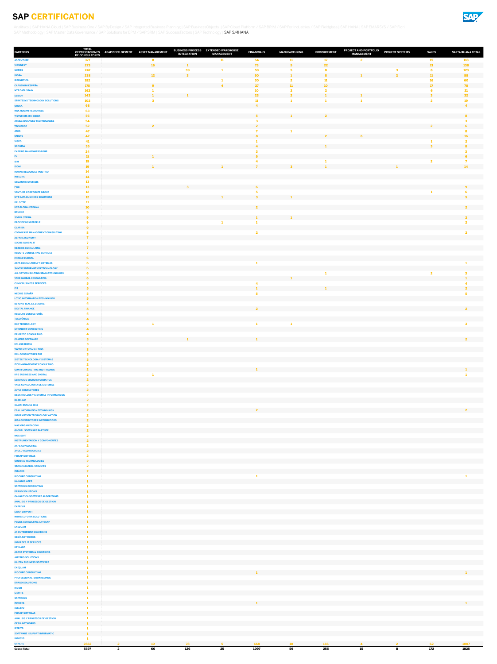

<span id="page-12-0"></span>[Analitycs](#page-1-0) | [SAP HANA Cloud](#page-2-0) | [SAP Business One / SAP ByDesign / SAP Integrated Business Planning](#page-3-0) | [SAP BusinessObjects](#page-4-0) | [SAP Cloud Platform / SAP BRIM / SAP For Industries / SAP Fieldglass](#page-5-0) | [SAP HANA](#page-6-0) | SAP EMARSYS / SAP Fio [SAP Methodology](#page-8-0) | [SAP Master Data Governance / SAP Solutions for EPM / SAP SRM](#page-9-0) | [SAP SuccessFactors](#page-10-0) | [SAP Technology](#page-11-0) | SAP S/4HANA

| <b>PARTNERS</b>                                                          | TOTAL<br><b>DE CONSULTORES</b> | CERTIFICACIONES ABAP DEVELOPMENT | <b>ASSET MANAGEMENT</b> | BUSINESS PROCESS EXTENDED WAREHOUSE<br><b>INTEGRATION</b> | <b>MANAGEMENT</b> | <b>FINANCIALS</b>       | <b>MANUFACTURING</b>          | <b>PROCUREMENT</b>    | <b>PROJECT AND PORTFOLIO</b><br><b>MANAGEMENT</b> | <b>PROJECT SYSTEMS</b> | <b>SALES</b>            | <b>SAP S/4HANA TOTAL</b>    |
|--------------------------------------------------------------------------|--------------------------------|----------------------------------|-------------------------|-----------------------------------------------------------|-------------------|-------------------------|-------------------------------|-----------------------|---------------------------------------------------|------------------------|-------------------------|-----------------------------|
| <b>ACCENTURE</b>                                                         | 377                            |                                  | 8                       |                                                           | 11                | 54                      | 11                            | 17                    | $\overline{2}$                                    |                        | 15                      | 118                         |
| <b>VIEWNEXT</b><br><b>SOTHIS</b>                                         | 273<br>247                     |                                  | <b>16</b>               | 39                                                        |                   | 73<br>59                | 5 <sup>1</sup><br>5           | 22<br>8               |                                                   |                        | 21<br>8                 | 138<br>123                  |
| <b>INDRA</b>                                                             | 238                            |                                  | 12                      |                                                           |                   | 50                      |                               | $\mathbf{R}$          |                                                   |                        | 11                      | 88                          |
| <b>IBERMÁTICA</b>                                                        | 182                            |                                  | $\bullet$               |                                                           |                   | 30                      |                               | 11<br>10 <sup>1</sup> |                                                   |                        | <b>16</b>               | 60                          |
| <b>CAPGEMINI ESPAÑA</b><br><b>NTT DATA SPAIN</b>                         | 175<br>162                     |                                  |                         |                                                           |                   | 27<br>10                | 11<br>$\overline{\mathbf{2}}$ | 2                     |                                                   |                        | 17 <sup>2</sup><br>6    | 78<br>21                    |
| <b>SEIDOR</b>                                                            | 143                            |                                  |                         |                                                           |                   | 23                      | $\overline{\mathbf{2}}$       |                       |                                                   |                        | $\overline{\mathbf{3}}$ | 32                          |
| <b>STRATESYS TECHNOLOGY SOLUTIONS</b><br><b>OREKA</b>                    | 102<br>68                      |                                  | $\mathbf{3}$            |                                                           |                   | -11                     |                               |                       |                                                   |                        | $\overline{2}$          | 19<br>$\blacktriangle$      |
| <b>NGA HUMAN RESOURCES</b>                                               | 63                             |                                  |                         |                                                           |                   |                         |                               |                       |                                                   |                        |                         |                             |
| <b>T-SYSTEMS ITC IBERIA</b><br><b>AYESA ADVANCED TECHNOLOGIES</b>        | 56<br>54                       |                                  |                         |                                                           |                   | 5.                      |                               |                       |                                                   |                        |                         | 8                           |
| <b>TECHEDGE</b>                                                          | 52                             |                                  | $\mathbf{z}$            |                                                           |                   | $\overline{2}$          |                               |                       |                                                   |                        |                         |                             |
| <b>ATOS</b>                                                              | 47                             |                                  |                         |                                                           |                   |                         |                               |                       |                                                   |                        |                         |                             |
| <b>UNISYS</b><br><b>VISEO</b>                                            | 42<br>41                       |                                  |                         |                                                           |                   |                         |                               | $\overline{2}$        |                                                   |                        |                         | <b>16</b><br>$\overline{2}$ |
| <b>SAPIMSA</b>                                                           | 35                             |                                  |                         |                                                           |                   | $\overline{\mathbf{A}}$ |                               |                       |                                                   |                        | $\mathbf{z}$            | 8                           |
| <b>EXPERIS MANPOWERGROUP</b><br>EY                                       | 24<br>21                       |                                  |                         |                                                           |                   | з                       |                               |                       |                                                   |                        |                         |                             |
| <b>IBM</b>                                                               | 19                             |                                  |                         |                                                           |                   |                         |                               |                       |                                                   |                        |                         |                             |
| <b>IDOM</b>                                                              | 19                             |                                  |                         |                                                           |                   |                         |                               |                       |                                                   |                        |                         | 14                          |
| <b>HUMAN RESOURCES POSITIVO</b><br><b>INTEGRA</b>                        | 14<br>14                       |                                  |                         |                                                           |                   |                         |                               |                       |                                                   |                        |                         |                             |
| <b>SEMANTIC SYSTEMS</b>                                                  | 13                             |                                  |                         |                                                           |                   |                         |                               |                       |                                                   |                        |                         |                             |
| <b>PWC</b><br><b>VANTURE CORPORATE GROUP</b>                             | 13<br>12 <sub>2</sub>          |                                  |                         | $\mathbf{R}$                                              |                   | 6                       |                               |                       |                                                   |                        |                         | 9 <sup>°</sup>              |
| <b>NTT DATA BUSINESS SOLUTIONS</b>                                       | 12 <sub>2</sub>                |                                  |                         |                                                           |                   | - 7                     |                               |                       |                                                   |                        |                         | 片                           |
| <b>DELOITTE</b><br><b>UST GLOBAL ESPAÑA</b>                              | 11<br>10 <sub>1</sub>          |                                  |                         |                                                           |                   | 2                       |                               |                       |                                                   |                        |                         |                             |
| <b>BRÜCKE</b>                                                            | 9                              |                                  |                         |                                                           |                   |                         |                               |                       |                                                   |                        |                         |                             |
| <b>SOPRA STERIA</b>                                                      | 9                              |                                  |                         |                                                           |                   | $\mathbf{1}$            | $\mathbf{1}$                  |                       |                                                   |                        |                         | $\overline{2}$              |
| <b>PROVIDE HCM PEOPLE</b><br><b>CLARIBA</b>                              | 9                              |                                  |                         |                                                           |                   |                         |                               |                       |                                                   |                        |                         |                             |
| <b>COGNICASE MANAGEMENT CONSULTING</b>                                   |                                |                                  |                         |                                                           |                   | $\overline{2}$          |                               |                       |                                                   |                        |                         |                             |
| <b>ASPANETCONOMY</b>                                                     | $\overline{ }$                 |                                  |                         |                                                           |                   |                         |                               |                       |                                                   |                        |                         |                             |
| <b>SOCBS GLOBAL IT</b><br><b>NETERIS CONSULTING</b>                      |                                |                                  |                         |                                                           |                   |                         |                               |                       |                                                   |                        |                         |                             |
| <b>REMOTE CONSULTING SERVICES</b>                                        |                                |                                  |                         |                                                           |                   |                         |                               |                       |                                                   |                        |                         |                             |
| <b>ENABLE EUROPA</b><br><b>ASPA CONSULTORIA Y SISTEMAS</b>               | 6                              |                                  |                         |                                                           |                   |                         |                               |                       |                                                   |                        |                         |                             |
| SYNTAX INFORMATION TECHNOLOGY                                            | 6                              |                                  |                         |                                                           |                   |                         |                               |                       |                                                   |                        |                         |                             |
| ALL SET CONSULTING SPAIN-TECHNOLOGY                                      |                                |                                  |                         |                                                           |                   |                         |                               |                       |                                                   |                        | $\overline{2}$          | 3                           |
| <b>VAKE GLOBAL CONSULTING</b><br><b>CUVIV BUSINESS SERVICES</b>          | 6                              |                                  |                         |                                                           |                   |                         |                               |                       |                                                   |                        |                         |                             |
| <b>I3S</b>                                                               | 5                              |                                  |                         |                                                           |                   |                         |                               |                       |                                                   |                        |                         |                             |
| <b>NEORIS ESPAÑA</b><br><b>LOYIC INFORMATION TECHNOLOGY</b>              |                                |                                  |                         |                                                           |                   |                         |                               |                       |                                                   |                        |                         |                             |
| <b>BEYOND TEAL S.L (TALHIS)</b>                                          |                                |                                  |                         |                                                           |                   |                         |                               |                       |                                                   |                        |                         |                             |
| <b>DIGITAL FINANCE</b>                                                   | $\blacktriangle$               |                                  |                         |                                                           |                   | $\overline{2}$          |                               |                       |                                                   |                        |                         | $\overline{2}$              |
| <b>RESULTO CONSULTORÍA</b><br><b>TELEFÓNICA</b>                          | $\mathbf{A}$                   |                                  |                         |                                                           |                   |                         |                               |                       |                                                   |                        |                         |                             |
| <b>DXC TECHNOLOGY</b>                                                    |                                |                                  |                         |                                                           |                   |                         | 1                             |                       |                                                   |                        |                         | 3                           |
| <b>SPINNERIT CONSULTING</b><br><b>PRIORITIC CONSULTING</b>               | $\mathbf{A}$                   |                                  |                         |                                                           |                   |                         |                               |                       |                                                   |                        |                         |                             |
| <b>CAMPUS SOFTWARE</b>                                                   |                                |                                  |                         |                                                           |                   |                         |                               |                       |                                                   |                        |                         | $\overline{2}$              |
| <b>EPI-USE IBERIA</b>                                                    |                                |                                  |                         |                                                           |                   |                         |                               |                       |                                                   |                        |                         |                             |
| <b>TACTIC KEY CONSULTING</b><br><b>DCL CONSULTORES EIM</b>               | $\mathbf{B}$                   |                                  |                         |                                                           |                   |                         |                               |                       |                                                   |                        |                         |                             |
| <b>SISTEC TECNOLOGIA Y SISTEMAS</b>                                      | $\mathbf{3}$                   |                                  |                         |                                                           |                   |                         |                               |                       |                                                   |                        |                         |                             |
| <b>ITOP MANAGEMENT CONSULTING</b><br><b>GONTI CONSULTING AND TRADING</b> | $\overline{2}$                 |                                  |                         |                                                           |                   |                         |                               |                       |                                                   |                        |                         |                             |
| <b>KPS BUSINESS AND DIGITAL</b>                                          |                                |                                  |                         |                                                           |                   |                         |                               |                       |                                                   |                        |                         |                             |
| <b>SERVICIOS MICROINFORMATICA</b>                                        | $\overline{2}$                 |                                  |                         |                                                           |                   |                         |                               |                       |                                                   |                        |                         |                             |
| <b>VASS CONSULTORIA DE SISTEMAS</b><br><b>ALTIA CONSULTORES</b>          | $\overline{2}$                 |                                  |                         |                                                           |                   |                         |                               |                       |                                                   |                        |                         |                             |
| <b>DESARROLLOS Y SISTEMAS INFORMATICOS</b>                               | $\mathbf{2}$                   |                                  |                         |                                                           |                   |                         |                               |                       |                                                   |                        |                         |                             |
| <b>BASELINE</b>                                                          | $\overline{2}$                 |                                  |                         |                                                           |                   |                         |                               |                       |                                                   |                        |                         |                             |
| <b>XAMAI ESPAÑA 2019</b><br><b>EBAL INFORMATION TECHNOLOGY</b>           | $\overline{2}$                 |                                  |                         |                                                           |                   | $\overline{2}$          |                               |                       |                                                   |                        |                         | $\overline{2}$              |
| <b>INFORMATION TECHNOLOGY AKTION</b>                                     |                                |                                  |                         |                                                           |                   |                         |                               |                       |                                                   |                        |                         |                             |
| <b>GISA CONSULTORES INFORMATICOS</b><br><b>MAC ORGANIZACIÓN</b>          | $\overline{2}$                 |                                  |                         |                                                           |                   |                         |                               |                       |                                                   |                        |                         |                             |
| <b>GLOBAL SOFTWARE PARTNER</b>                                           | $\overline{2}$                 |                                  |                         |                                                           |                   |                         |                               |                       |                                                   |                        |                         |                             |
| <b>MGS SOFT</b>                                                          |                                |                                  |                         |                                                           |                   |                         |                               |                       |                                                   |                        |                         |                             |
| <b>INSTRUMENTACION Y COMPONENTES</b><br><b>AXPE CONSULTING</b>           | $\overline{2}$                 |                                  |                         |                                                           |                   |                         |                               |                       |                                                   |                        |                         |                             |
| <b>3HOLD TECHNOLOGIES</b>                                                | $\overline{2}$                 |                                  |                         |                                                           |                   |                         |                               |                       |                                                   |                        |                         |                             |
| <b>FIRSAP SISTEMAS</b><br><b>QUENTAL TECHNOLOGIES</b>                    | $\overline{2}$                 |                                  |                         |                                                           |                   |                         |                               |                       |                                                   |                        |                         |                             |
| <b>STOOLS GLOBAL SERVICES</b>                                            |                                |                                  |                         |                                                           |                   |                         |                               |                       |                                                   |                        |                         |                             |
| <b>INTAREX</b>                                                           | $\overline{2}$                 |                                  |                         |                                                           |                   |                         |                               |                       |                                                   |                        |                         |                             |
| <b>BIGCORE CONSULTING</b><br><b>HANAMI8 APPS</b>                         |                                |                                  |                         |                                                           |                   | -1                      |                               |                       |                                                   |                        |                         |                             |
| <b>SAPTOOLS CONSULTING</b>                                               |                                |                                  |                         |                                                           |                   |                         |                               |                       |                                                   |                        |                         |                             |
| <b>DRAGO SOLUTIONS</b><br><b>OANALITICA SOFTWARE ALGORITHMS</b>          |                                |                                  |                         |                                                           |                   |                         |                               |                       |                                                   |                        |                         |                             |
| <b>ANALISIS Y PROCESOS DE GESTION</b>                                    |                                |                                  |                         |                                                           |                   |                         |                               |                       |                                                   |                        |                         |                             |
| <b>EXPRIVIA</b>                                                          |                                |                                  |                         |                                                           |                   |                         |                               |                       |                                                   |                        |                         |                             |
| <b>SWAP SUPPORT</b><br><b>NOVIS EUFORIA SOLUTIONS</b>                    |                                |                                  |                         |                                                           |                   |                         |                               |                       |                                                   |                        |                         |                             |
| <b>PYMES CONSULTING ARTESAP</b>                                          |                                |                                  |                         |                                                           |                   |                         |                               |                       |                                                   |                        |                         |                             |
| <b>EXEQUAM</b>                                                           |                                |                                  |                         |                                                           |                   |                         |                               |                       |                                                   |                        |                         |                             |
| <b>AC ENTERPRISE SOLUTIONS</b><br><b>OESÍA NETWORKS</b>                  |                                |                                  |                         |                                                           |                   |                         |                               |                       |                                                   |                        |                         |                             |
| <b>INFORGES IT SERVICES</b>                                              |                                |                                  |                         |                                                           |                   |                         |                               |                       |                                                   |                        |                         |                             |
| <b>KEYLAND</b><br><b>ABAST SYSTEMS &amp; SOLUTIONS</b>                   |                                |                                  |                         |                                                           |                   |                         |                               |                       |                                                   |                        |                         |                             |
| <b>AMYPRO SOLUTIONS</b>                                                  |                                |                                  |                         |                                                           |                   |                         |                               |                       |                                                   |                        |                         |                             |
| <b>KAIZEN BUSINESS SOFTWARE</b>                                          |                                |                                  |                         |                                                           |                   |                         |                               |                       |                                                   |                        |                         |                             |
| <b>EXEQUAM</b><br><b>BIGCORE CONSULTING</b>                              |                                |                                  |                         |                                                           |                   |                         |                               |                       |                                                   |                        |                         |                             |
| PROFESSIONAL BOOKKEEPING                                                 |                                |                                  |                         |                                                           |                   |                         |                               |                       |                                                   |                        |                         |                             |
| <b>DRAGO SOLUTIONS</b><br><b>RICOH</b>                                   |                                |                                  |                         |                                                           |                   |                         |                               |                       |                                                   |                        |                         |                             |
| <b>IZERITS</b>                                                           |                                |                                  |                         |                                                           |                   |                         |                               |                       |                                                   |                        |                         |                             |
| <b>SAPTOOLS</b>                                                          |                                |                                  |                         |                                                           |                   |                         |                               |                       |                                                   |                        |                         |                             |
| <b>INFOSYS</b><br><b>INTAREX</b>                                         |                                |                                  |                         |                                                           |                   |                         |                               |                       |                                                   |                        |                         |                             |
| <b>FIRSAP SISTEMAS</b>                                                   |                                |                                  |                         |                                                           |                   |                         |                               |                       |                                                   |                        |                         |                             |
| <b>ANALISIS Y PROCESOS DE GESTION</b><br><b>OESIA NETWORKS</b>           |                                |                                  |                         |                                                           |                   |                         |                               |                       |                                                   |                        |                         |                             |
| <b>IZERITS</b>                                                           |                                |                                  |                         |                                                           |                   |                         |                               |                       |                                                   |                        |                         |                             |
| <b>SOFTWARE I SUPORT INFORMATIC</b>                                      |                                |                                  |                         |                                                           |                   |                         |                               |                       |                                                   |                        |                         |                             |
| <b>INFOSYS</b><br><b>OTHERS</b>                                          | 2832                           | $2^{\circ}$                      | 10 <sub>1</sub>         | 78                                                        | 5 <sub>1</sub>    | 668                     | 10 <sub>10</sub>              | <b>166</b>            | $\overline{4}$                                    | $2^{\circ}$            | 62                      | 1007                        |
| <b>Grand Total</b>                                                       | 5597                           | $\overline{2}$                   | 66                      | 126                                                       | 25                | 1097                    | 59                            | 255                   | 15                                                | 8                      | 172                     | 1825                        |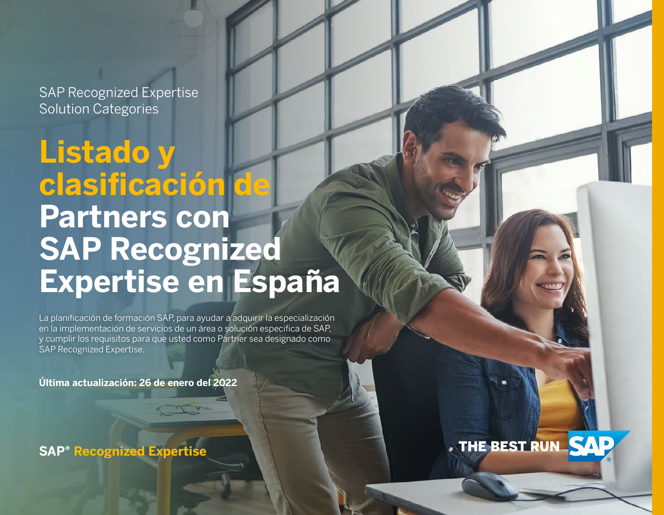**Listado y clasificación de Partners con SAP Recognized Expertise en España**

La planificación de formación SAP, para ayudar a adquirir la especialización en la implementación de servicios de un área o solución especifica de SAP, y cumplir los requisitos para que usted como Partner sea designado como SAP Recognized Expertise.

**Última actualización: 26 de enero del 2022**

**SAP® Recognized Expertise**

## THE BEST RUN SAP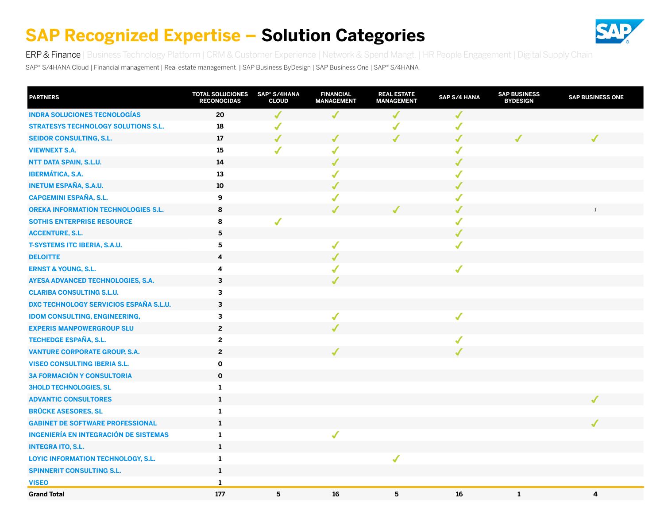

<span id="page-14-0"></span>ERP & Finance [| Business Technology Platform](#page-15-0) | [CRM & Customer Experience](#page-16-0) | [Network & Spend Mangt.](#page-17-0) | [HR People Engagement](#page-18-0) | [Digital Supply Chain](#page-19-0)

SAP® S/4HANA Cloud | Financial management | Real estate management | SAP Business ByDesign | SAP Business One | SAP® S/4HANA

| <b>PARTNERS</b>                               | <b>TOTAL SOLUCIONES</b><br><b>RECONOCIDAS</b> | SAP <sup>®</sup> S/4HANA<br><b>CLOUD</b> | <b>FINANCIAL</b><br><b>MANAGEMENT</b> | <b>REAL ESTATE</b><br><b>MANAGEMENT</b> | SAP S/4 HANA | <b>SAP BUSINESS</b><br><b>BYDESIGN</b> | <b>SAP BUSINESS ONE</b> |
|-----------------------------------------------|-----------------------------------------------|------------------------------------------|---------------------------------------|-----------------------------------------|--------------|----------------------------------------|-------------------------|
| <b>INDRA SOLUCIONES TECNOLOGÍAS</b>           | 20                                            | $\sqrt{\frac{1}{2}}$                     | ✔                                     | ✔                                       | $\checkmark$ |                                        |                         |
| <b>STRATESYS TECHNOLOGY SOLUTIONS S.L.</b>    | 18                                            | J                                        |                                       |                                         | $\checkmark$ |                                        |                         |
| <b>SEIDOR CONSULTING, S.L.</b>                | 17                                            | $\checkmark$                             |                                       |                                         | $\checkmark$ |                                        |                         |
| <b>VIEWNEXT S.A.</b>                          | 15                                            | $\checkmark$                             | $\checkmark$                          |                                         | $\checkmark$ |                                        |                         |
| NTT DATA SPAIN, S.L.U.                        | 14                                            |                                          | $\sqrt{2}$                            |                                         | $\checkmark$ |                                        |                         |
| <b>IBERMÁTICA, S.A.</b>                       | 13                                            |                                          | $\sqrt{}$                             |                                         | $\checkmark$ |                                        |                         |
| <b>INETUM ESPAÑA, S.A.U.</b>                  | 10                                            |                                          |                                       |                                         | $\checkmark$ |                                        |                         |
| <b>CAPGEMINI ESPAÑA, S.L.</b>                 | 9                                             |                                          |                                       |                                         | $\checkmark$ |                                        |                         |
| <b>OREKA INFORMATION TECHNOLOGIES S.L.</b>    | 8                                             |                                          |                                       |                                         | ✔            |                                        | 1                       |
| <b>SOTHIS ENTERPRISE RESOURCE</b>             | 8                                             |                                          |                                       |                                         | $\checkmark$ |                                        |                         |
| <b>ACCENTURE, S.L.</b>                        | $\overline{\mathbf{5}}$                       |                                          |                                       |                                         | $\checkmark$ |                                        |                         |
| <b>T-SYSTEMS ITC IBERIA, S.A.U.</b>           | 5                                             |                                          | $\checkmark$                          |                                         | $\checkmark$ |                                        |                         |
| <b>DELOITTE</b>                               | 4                                             |                                          |                                       |                                         |              |                                        |                         |
| <b>ERNST &amp; YOUNG, S.L.</b>                | 4                                             |                                          |                                       |                                         | $\checkmark$ |                                        |                         |
| <b>AYESA ADVANCED TECHNOLOGIES, S.A.</b>      | 3                                             |                                          |                                       |                                         |              |                                        |                         |
| <b>CLARIBA CONSULTING S.L.U.</b>              | $\mathbf{3}$                                  |                                          |                                       |                                         |              |                                        |                         |
| <b>DXC TECHNOLOGY SERVICIOS ESPAÑA S.L.U.</b> | $\mathbf{3}$                                  |                                          |                                       |                                         |              |                                        |                         |
| <b>IDOM CONSULTING, ENGINEERING,</b>          | 3                                             |                                          | $\sqrt{2}$                            |                                         | $\checkmark$ |                                        |                         |
| <b>EXPERIS MANPOWERGROUP SLU</b>              | $\overline{2}$                                |                                          |                                       |                                         |              |                                        |                         |
| <b>TECHEDGE ESPAÑA, S.L.</b>                  | $\overline{2}$                                |                                          |                                       |                                         | $\checkmark$ |                                        |                         |
| <b>VANTURE CORPORATE GROUP, S.A.</b>          | $\overline{2}$                                |                                          |                                       |                                         |              |                                        |                         |
| <b>VISEO CONSULTING IBERIA S.L.</b>           | $\mathbf 0$                                   |                                          |                                       |                                         |              |                                        |                         |
| <b>3A FORMACIÓN Y CONSULTORIA</b>             | $\mathbf 0$                                   |                                          |                                       |                                         |              |                                        |                         |
| <b>3HOLD TECHNOLOGIES, SL</b>                 | $\mathbf{1}$                                  |                                          |                                       |                                         |              |                                        |                         |
| <b>ADVANTIC CONSULTORES</b>                   | $\mathbf 1$                                   |                                          |                                       |                                         |              |                                        |                         |
| <b>BRÜCKE ASESORES, SL</b>                    | $\mathbf{1}$                                  |                                          |                                       |                                         |              |                                        |                         |
| <b>GABINET DE SOFTWARE PROFESSIONAL</b>       | $\mathbf{1}$                                  |                                          |                                       |                                         |              |                                        |                         |
| <b>INGENIERÍA EN INTEGRACIÓN DE SISTEMAS</b>  | $\mathbf{1}$                                  |                                          | $\checkmark$                          |                                         |              |                                        |                         |
| <b>INTEGRA ITO, S.L.</b>                      | $\mathbf{1}$                                  |                                          |                                       |                                         |              |                                        |                         |
| LOYIC INFORMATION TECHNOLOGY, S.L.            | $\mathbf{1}$                                  |                                          |                                       | $\sqrt{2}$                              |              |                                        |                         |
| <b>SPINNERIT CONSULTING S.L.</b>              | $\mathbf{1}$                                  |                                          |                                       |                                         |              |                                        |                         |
| <b>VISEO</b>                                  | $\mathbf{1}$                                  |                                          |                                       |                                         |              |                                        |                         |
| <b>Grand Total</b>                            | 177                                           | 5                                        | 16                                    | 5                                       | 16           | $\mathbf{1}$                           | 4                       |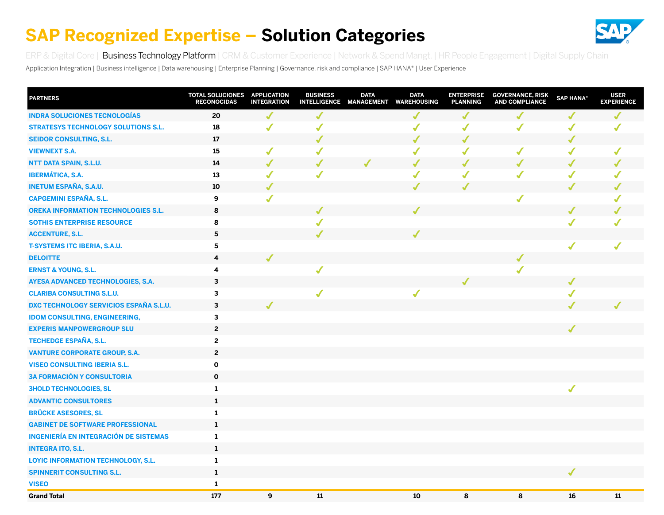

<span id="page-15-0"></span>[ERP & Digital Core](#page-14-0) | Business Technology Platform | [CRM & Customer Experience](#page-16-0) | [Network & Spend Mangt.](#page-17-0) | [HR People Engagement](#page-18-0) | [Digital Supply Chain](#page-19-0)

Application Integration | Business intelligence | Data warehousing | Enterprise Planning | Governance, risk and compliance | SAP HANA® | User Experience

| <b>PARTNERS</b>                               | TOTAL SOLUCIONES APPLICATION<br><b>RECONOCIDAS</b> | <b>INTEGRATION</b> | <b>BUSINESS</b> | <b>DATA</b> | <b>DATA</b><br>INTELLIGENCE MANAGEMENT WAREHOUSING | <b>ENTERPRISE</b><br><b>PLANNING</b> | <b>GOVERNANCE, RISK</b><br><b>AND COMPLIANCE</b> | <b>SAP HANA®</b> | <b>USER</b><br><b>EXPERIENCE</b> |
|-----------------------------------------------|----------------------------------------------------|--------------------|-----------------|-------------|----------------------------------------------------|--------------------------------------|--------------------------------------------------|------------------|----------------------------------|
| <b>INDRA SOLUCIONES TECNOLOGÍAS</b>           | 20                                                 | J                  | J               |             | J                                                  | J                                    | ✔                                                | J                |                                  |
| <b>STRATESYS TECHNOLOGY SOLUTIONS S.L.</b>    | 18                                                 | $\checkmark$       | ✔               |             | ✔                                                  | $\sqrt{2}$                           | $\checkmark$                                     | $\checkmark$     | ✔                                |
| <b>SEIDOR CONSULTING, S.L.</b>                | 17                                                 |                    | ✔               |             | $\sqrt{2}$                                         | $\checkmark$                         |                                                  | $\checkmark$     |                                  |
| <b>VIEWNEXT S.A.</b>                          | 15                                                 | $\checkmark$       | $\checkmark$    |             | $\checkmark$                                       | $\sqrt{2}$                           | $\checkmark$                                     | ✔                | ✔                                |
| NTT DATA SPAIN, S.L.U.                        | 14                                                 | J                  | J               |             | J                                                  | $\sqrt{2}$                           | ✔                                                | ✔                |                                  |
| <b>IBERMÁTICA, S.A.</b>                       | 13                                                 | $\checkmark$       | ✔               |             | $\sqrt{2}$                                         | $\sqrt{2}$                           | $\checkmark$                                     | $\checkmark$     |                                  |
| <b>INETUM ESPAÑA, S.A.U.</b>                  | 10                                                 |                    |                 |             |                                                    |                                      |                                                  |                  |                                  |
| <b>CAPGEMINI ESPAÑA, S.L.</b>                 | 9                                                  | $\checkmark$       |                 |             |                                                    |                                      | $\boldsymbol{J}$                                 |                  |                                  |
| <b>OREKA INFORMATION TECHNOLOGIES S.L.</b>    | 8                                                  |                    |                 |             |                                                    |                                      |                                                  | ✔                |                                  |
| <b>SOTHIS ENTERPRISE RESOURCE</b>             | 8                                                  |                    |                 |             |                                                    |                                      |                                                  | $\checkmark$     |                                  |
| <b>ACCENTURE, S.L.</b>                        | $5\phantom{.0}$                                    |                    |                 |             |                                                    |                                      |                                                  |                  |                                  |
| <b>T-SYSTEMS ITC IBERIA, S.A.U.</b>           | 5                                                  |                    |                 |             |                                                    |                                      |                                                  | $\checkmark$     | ✔                                |
| <b>DELOITTE</b>                               | 4                                                  |                    |                 |             |                                                    |                                      |                                                  |                  |                                  |
| <b>ERNST &amp; YOUNG, S.L.</b>                | 4                                                  |                    | $\checkmark$    |             |                                                    |                                      |                                                  |                  |                                  |
| AYESA ADVANCED TECHNOLOGIES, S.A.             | $\mathbf{3}$                                       |                    |                 |             |                                                    |                                      |                                                  | ✔                |                                  |
| <b>CLARIBA CONSULTING S.L.U.</b>              | $\mathbf{3}$                                       |                    | ✔               |             | ✔                                                  |                                      |                                                  | $\checkmark$     |                                  |
| <b>DXC TECHNOLOGY SERVICIOS ESPAÑA S.L.U.</b> | $\mathbf{3}$                                       |                    |                 |             |                                                    |                                      |                                                  |                  |                                  |
| <b>IDOM CONSULTING, ENGINEERING,</b>          | $\mathbf{3}$                                       |                    |                 |             |                                                    |                                      |                                                  |                  |                                  |
| <b>EXPERIS MANPOWERGROUP SLU</b>              | $\overline{2}$                                     |                    |                 |             |                                                    |                                      |                                                  | J                |                                  |
| <b>TECHEDGE ESPAÑA, S.L.</b>                  | $\overline{2}$                                     |                    |                 |             |                                                    |                                      |                                                  |                  |                                  |
| <b>VANTURE CORPORATE GROUP, S.A.</b>          | $\overline{2}$                                     |                    |                 |             |                                                    |                                      |                                                  |                  |                                  |
| <b>VISEO CONSULTING IBERIA S.L.</b>           | $\mathbf 0$                                        |                    |                 |             |                                                    |                                      |                                                  |                  |                                  |
| <b>3A FORMACIÓN Y CONSULTORIA</b>             | $\mathbf 0$                                        |                    |                 |             |                                                    |                                      |                                                  |                  |                                  |
| <b>3HOLD TECHNOLOGIES, SL</b>                 | $\mathbf{1}$                                       |                    |                 |             |                                                    |                                      |                                                  | $\checkmark$     |                                  |
| <b>ADVANTIC CONSULTORES</b>                   | $\mathbf{1}$                                       |                    |                 |             |                                                    |                                      |                                                  |                  |                                  |
| <b>BRÜCKE ASESORES, SL</b>                    | $\mathbf{1}$                                       |                    |                 |             |                                                    |                                      |                                                  |                  |                                  |
| <b>GABINET DE SOFTWARE PROFESSIONAL</b>       | 1                                                  |                    |                 |             |                                                    |                                      |                                                  |                  |                                  |
| <b>INGENIERÍA EN INTEGRACIÓN DE SISTEMAS</b>  | $\mathbf{1}$                                       |                    |                 |             |                                                    |                                      |                                                  |                  |                                  |
| <b>INTEGRA ITO, S.L.</b>                      | $\mathbf{1}$                                       |                    |                 |             |                                                    |                                      |                                                  |                  |                                  |
| <b>LOYIC INFORMATION TECHNOLOGY, S.L.</b>     | 1                                                  |                    |                 |             |                                                    |                                      |                                                  |                  |                                  |
| <b>SPINNERIT CONSULTING S.L.</b>              | $\mathbf{1}$                                       |                    |                 |             |                                                    |                                      |                                                  | ✔                |                                  |
| <b>VISEO</b>                                  | $\mathbf{1}$                                       |                    |                 |             |                                                    |                                      |                                                  |                  |                                  |
| <b>Grand Total</b>                            | 177                                                | 9                  | 11              |             | 10                                                 | 8                                    | 8                                                | 16               | 11                               |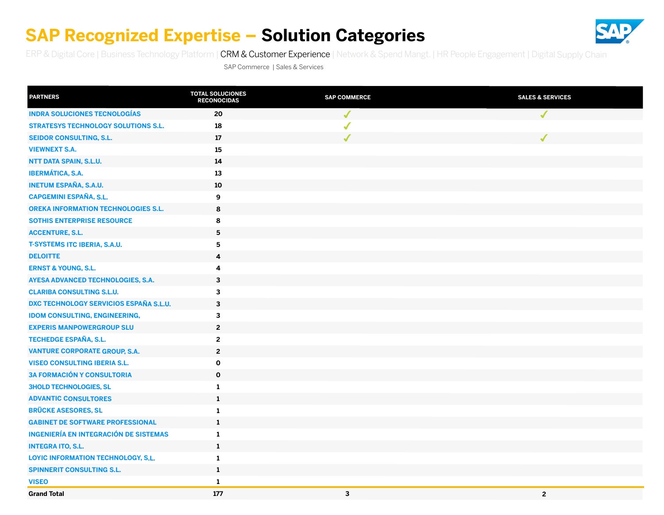

<span id="page-16-0"></span>[ERP & Digital Core](#page-14-0) | [Business Technology Platform](#page-15-0) | CRM & Customer Experience | [Network & Spend Mangt.](#page-17-0) | [HR People Engagement](#page-18-0) | [Digital Supply Chain](#page-19-0)

SAP Commerce | Sales & Services

| <b>PARTNERS</b>                              | <b>TOTAL SOLUCIONES</b><br><b>RECONOCIDAS</b> | <b>SAP COMMERCE</b> | <b>SALES &amp; SERVICES</b> |
|----------------------------------------------|-----------------------------------------------|---------------------|-----------------------------|
| <b>INDRA SOLUCIONES TECNOLOGÍAS</b>          | 20                                            | $\checkmark$        | $\checkmark$                |
| <b>STRATESYS TECHNOLOGY SOLUTIONS S.L.</b>   | 18                                            | ✔                   |                             |
| <b>SEIDOR CONSULTING, S.L.</b>               | 17                                            |                     |                             |
| <b>VIEWNEXT S.A.</b>                         | 15                                            |                     |                             |
| NTT DATA SPAIN, S.L.U.                       | 14                                            |                     |                             |
| <b>IBERMÁTICA, S.A.</b>                      | 13                                            |                     |                             |
| <b>INETUM ESPAÑA, S.A.U.</b>                 | 10                                            |                     |                             |
| <b>CAPGEMINI ESPAÑA, S.L.</b>                | 9                                             |                     |                             |
| <b>OREKA INFORMATION TECHNOLOGIES S.L.</b>   | 8                                             |                     |                             |
| <b>SOTHIS ENTERPRISE RESOURCE</b>            | 8                                             |                     |                             |
| <b>ACCENTURE, S.L.</b>                       | 5                                             |                     |                             |
| <b>T-SYSTEMS ITC IBERIA, S.A.U.</b>          | ${\bf 5}$                                     |                     |                             |
| <b>DELOITTE</b>                              | $\overline{\mathbf{4}}$                       |                     |                             |
| <b>ERNST &amp; YOUNG, S.L.</b>               | 4                                             |                     |                             |
| AYESA ADVANCED TECHNOLOGIES, S.A.            | $\mathbf{3}$                                  |                     |                             |
| <b>CLARIBA CONSULTING S.L.U.</b>             | 3                                             |                     |                             |
| DXC TECHNOLOGY SERVICIOS ESPAÑA S.L.U.       | $\mathbf{3}$                                  |                     |                             |
| <b>IDOM CONSULTING, ENGINEERING,</b>         | $\mathbf{3}$                                  |                     |                             |
| <b>EXPERIS MANPOWERGROUP SLU</b>             | $\overline{2}$                                |                     |                             |
| <b>TECHEDGE ESPAÑA, S.L.</b>                 | $\mathbf{2}$                                  |                     |                             |
| <b>VANTURE CORPORATE GROUP, S.A.</b>         | $\mathbf 2$                                   |                     |                             |
| <b>VISEO CONSULTING IBERIA S.L.</b>          | $\mathbf 0$                                   |                     |                             |
| <b>3A FORMACIÓN Y CONSULTORIA</b>            | $\mathbf 0$                                   |                     |                             |
| <b>3HOLD TECHNOLOGIES, SL</b>                | $\mathbf{1}$                                  |                     |                             |
| <b>ADVANTIC CONSULTORES</b>                  | $\mathbf{1}$                                  |                     |                             |
| <b>BRÜCKE ASESORES, SL</b>                   | 1                                             |                     |                             |
| <b>GABINET DE SOFTWARE PROFESSIONAL</b>      | $\mathbf{1}$                                  |                     |                             |
| <b>INGENIERÍA EN INTEGRACIÓN DE SISTEMAS</b> | $\mathbf{1}$                                  |                     |                             |
| <b>INTEGRA ITO, S.L.</b>                     | $\mathbf{1}$                                  |                     |                             |
| LOYIC INFORMATION TECHNOLOGY, S.L.           | $\mathbf{1}$                                  |                     |                             |
| <b>SPINNERIT CONSULTING S.L.</b>             | $\mathbf{1}$                                  |                     |                             |
| <b>VISEO</b>                                 | $\mathbf{1}$                                  |                     |                             |
| <b>Grand Total</b>                           | 177                                           | $\mathbf{3}$        | $\overline{2}$              |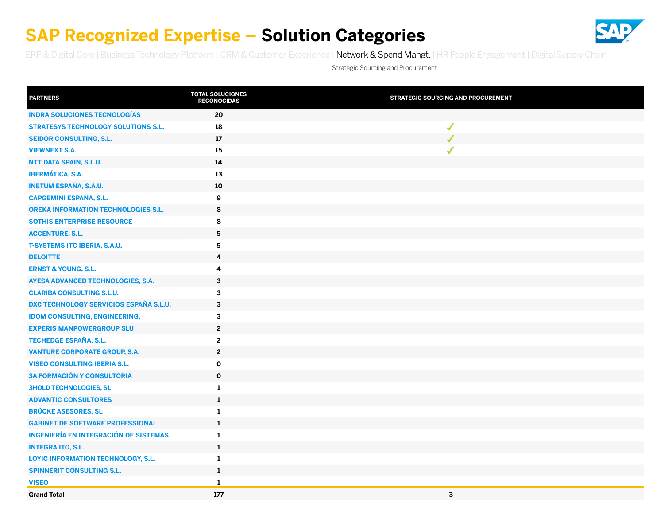

<span id="page-17-0"></span>[ERP & Digital Core](#page-14-0) | [Business Technology Platform](#page-15-0) | [CRM & Customer Experience](#page-16-0) | Network & Spend Mangt. | [HR People Engagement](#page-18-0) | [Digital Supply Chain](#page-19-0)

Strategic Sourcing and Procurement

| <b>PARTNERS</b>                               | <b>TOTAL SOLUCIONES</b><br><b>RECONOCIDAS</b> | <b>STRATEGIC SOURCING AND PROCUREMENT</b> |
|-----------------------------------------------|-----------------------------------------------|-------------------------------------------|
| <b>INDRA SOLUCIONES TECNOLOGÍAS</b>           | 20                                            |                                           |
| <b>STRATESYS TECHNOLOGY SOLUTIONS S.L.</b>    | 18                                            | $\checkmark$                              |
| <b>SEIDOR CONSULTING, S.L.</b>                | 17                                            | J                                         |
| <b>VIEWNEXT S.A.</b>                          | 15                                            | $\checkmark$                              |
| NTT DATA SPAIN, S.L.U.                        | 14                                            |                                           |
| <b>IBERMÁTICA, S.A.</b>                       | 13                                            |                                           |
| <b>INETUM ESPAÑA, S.A.U.</b>                  | 10                                            |                                           |
| <b>CAPGEMINI ESPAÑA, S.L.</b>                 | 9                                             |                                           |
| <b>OREKA INFORMATION TECHNOLOGIES S.L.</b>    | 8                                             |                                           |
| <b>SOTHIS ENTERPRISE RESOURCE</b>             | 8                                             |                                           |
| <b>ACCENTURE, S.L.</b>                        | $\overline{\mathbf{5}}$                       |                                           |
| <b>T-SYSTEMS ITC IBERIA, S.A.U.</b>           | 5                                             |                                           |
| <b>DELOITTE</b>                               | 4                                             |                                           |
| <b>ERNST &amp; YOUNG, S.L.</b>                | 4                                             |                                           |
| AYESA ADVANCED TECHNOLOGIES, S.A.             | 3                                             |                                           |
| <b>CLARIBA CONSULTING S.L.U.</b>              | $\mathbf{3}$                                  |                                           |
| <b>DXC TECHNOLOGY SERVICIOS ESPAÑA S.L.U.</b> | $\mathbf 3$                                   |                                           |
| <b>IDOM CONSULTING, ENGINEERING,</b>          | $\mathbf{3}$                                  |                                           |
| <b>EXPERIS MANPOWERGROUP SLU</b>              | $\mathbf{2}$                                  |                                           |
| TECHEDGE ESPAÑA, S.L.                         | $\mathbf{2}$                                  |                                           |
| <b>VANTURE CORPORATE GROUP, S.A.</b>          | $\overline{2}$                                |                                           |
| <b>VISEO CONSULTING IBERIA S.L.</b>           | $\mathbf{o}$                                  |                                           |
| <b>3A FORMACIÓN Y CONSULTORIA</b>             | $\mathbf 0$                                   |                                           |
| <b>3HOLD TECHNOLOGIES, SL</b>                 | $\mathbf{1}$                                  |                                           |
| <b>ADVANTIC CONSULTORES</b>                   | $\mathbf{1}$                                  |                                           |
| <b>BRÜCKE ASESORES, SL</b>                    | $\mathbf{1}$                                  |                                           |
| <b>GABINET DE SOFTWARE PROFESSIONAL</b>       | $\mathbf{1}$                                  |                                           |
| <b>INGENIERÍA EN INTEGRACIÓN DE SISTEMAS</b>  | $\mathbf{1}$                                  |                                           |
| <b>INTEGRA ITO, S.L.</b>                      | $\mathbf{1}$                                  |                                           |
| LOYIC INFORMATION TECHNOLOGY, S.L.            | $\mathbf{1}$                                  |                                           |
| <b>SPINNERIT CONSULTING S.L.</b>              | $\mathbf 1$                                   |                                           |
| <b>VISEO</b>                                  | $\mathbf{1}$                                  |                                           |
| <b>Grand Total</b>                            | 177                                           | 3                                         |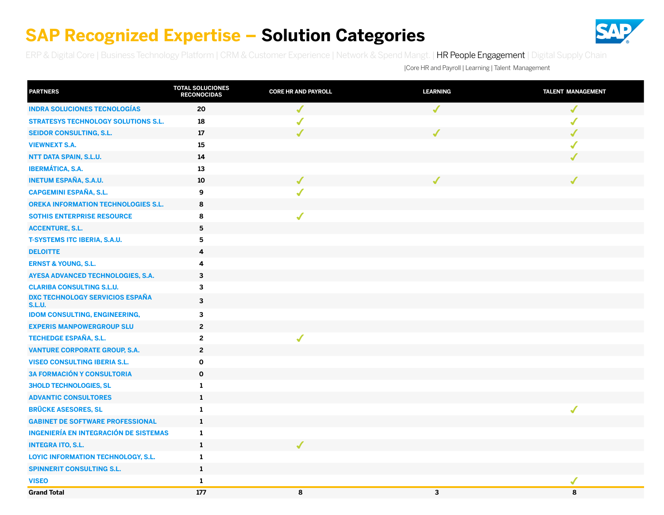

<span id="page-18-0"></span>[ERP & Digital Core](#page-14-0) | [Business Technology Platform](#page-15-0) | [CRM & Customer Experience](#page-16-0) | [Network & Spend Mangt. |](#page-17-0) HR People Engagement | [Digital Supply Chain](#page-19-0)

|Core HR and Payroll | Learning | Talent Management

| <b>PARTNERS</b>                                         | <b>TOTAL SOLUCIONES</b><br><b>RECONOCIDAS</b> | <b>CORE HR AND PAYROLL</b> | <b>LEARNING</b>          | <b>TALENT MANAGEMENT</b> |
|---------------------------------------------------------|-----------------------------------------------|----------------------------|--------------------------|--------------------------|
| <b>INDRA SOLUCIONES TECNOLOGÍAS</b>                     | 20                                            | $\checkmark$               | $\overline{\mathcal{L}}$ | $\checkmark$             |
| <b>STRATESYS TECHNOLOGY SOLUTIONS S.L.</b>              | 18                                            |                            |                          | $\checkmark$             |
| <b>SEIDOR CONSULTING, S.L.</b>                          | $17\,$                                        | $\checkmark$               | J                        | ✔                        |
| <b>VIEWNEXT S.A.</b>                                    | 15                                            |                            |                          | ✔                        |
| NTT DATA SPAIN, S.L.U.                                  | 14                                            |                            |                          | ✔                        |
| <b>IBERMÁTICA, S.A.</b>                                 | 13                                            |                            |                          |                          |
| <b>INETUM ESPAÑA, S.A.U.</b>                            | 10                                            | ✔                          | ✔                        | ✔                        |
| <b>CAPGEMINI ESPAÑA, S.L.</b>                           | 9                                             | ✔                          |                          |                          |
| <b>OREKA INFORMATION TECHNOLOGIES S.L.</b>              | 8                                             |                            |                          |                          |
| <b>SOTHIS ENTERPRISE RESOURCE</b>                       | 8                                             | ✔                          |                          |                          |
| <b>ACCENTURE, S.L.</b>                                  | $5\phantom{.0}$                               |                            |                          |                          |
| <b>T-SYSTEMS ITC IBERIA, S.A.U.</b>                     | 5                                             |                            |                          |                          |
| <b>DELOITTE</b>                                         | 4                                             |                            |                          |                          |
| <b>ERNST &amp; YOUNG, S.L.</b>                          | 4                                             |                            |                          |                          |
| AYESA ADVANCED TECHNOLOGIES, S.A.                       | 3                                             |                            |                          |                          |
| <b>CLARIBA CONSULTING S.L.U.</b>                        | 3                                             |                            |                          |                          |
| <b>DXC TECHNOLOGY SERVICIOS ESPAÑA</b><br><b>S.L.U.</b> | 3                                             |                            |                          |                          |
| <b>IDOM CONSULTING, ENGINEERING,</b>                    | 3                                             |                            |                          |                          |
| <b>EXPERIS MANPOWERGROUP SLU</b>                        | $\mathbf{2}$                                  |                            |                          |                          |
| TECHEDGE ESPAÑA, S.L.                                   | $\mathbf{2}$                                  | $\checkmark$               |                          |                          |
| <b>VANTURE CORPORATE GROUP, S.A.</b>                    | $\overline{\mathbf{c}}$                       |                            |                          |                          |
| <b>VISEO CONSULTING IBERIA S.L.</b>                     | $\mathbf 0$                                   |                            |                          |                          |
| <b>3A FORMACIÓN Y CONSULTORIA</b>                       | $\mathbf 0$                                   |                            |                          |                          |
| <b>3HOLD TECHNOLOGIES, SL</b>                           | 1                                             |                            |                          |                          |
| <b>ADVANTIC CONSULTORES</b>                             | $\mathbf{1}$                                  |                            |                          |                          |
| <b>BRÜCKE ASESORES, SL</b>                              | 1                                             |                            |                          | $\blacklozenge$          |
| <b>GABINET DE SOFTWARE PROFESSIONAL</b>                 | 1                                             |                            |                          |                          |
| <b>INGENIERÍA EN INTEGRACIÓN DE SISTEMAS</b>            | 1                                             |                            |                          |                          |
| <b>INTEGRA ITO, S.L.</b>                                | 1                                             |                            |                          |                          |
| LOYIC INFORMATION TECHNOLOGY, S.L.                      | $\mathbf{1}$                                  |                            |                          |                          |
| <b>SPINNERIT CONSULTING S.L.</b>                        | $\mathbf{1}$                                  |                            |                          |                          |
| <b>VISEO</b>                                            | $\mathbf{1}$                                  |                            |                          | $\checkmark$             |
| <b>Grand Total</b>                                      | 177                                           | 8                          | $\overline{\mathbf{3}}$  | 8                        |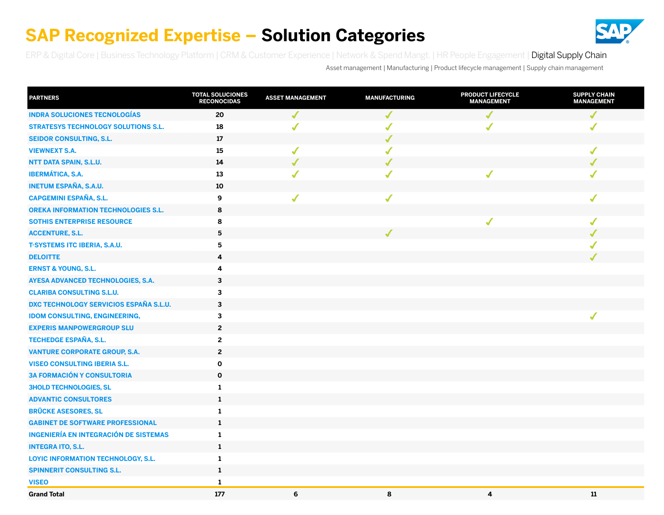

<span id="page-19-0"></span>[ERP & Digital Core](#page-14-0) | [Business Technology Platform](#page-15-0) | [CRM & Customer Experience](#page-16-0) | [Network & Spend Mangt. |](#page-17-0) [HR People Engagement](#page-18-0) | Digital Supply Chain

Asset management | Manufacturing | Product lifecycle management | Supply chain management

| <b>PARTNERS</b>                               | <b>TOTAL SOLUCIONES</b><br><b>RECONOCIDAS</b> | <b>ASSET MANAGEMENT</b> | <b>MANUFACTURING</b> | <b>PRODUCT LIFECYCLE</b><br><b>MANAGEMENT</b> | <b>SUPPLY CHAIN</b><br><b>MANAGEMENT</b> |
|-----------------------------------------------|-----------------------------------------------|-------------------------|----------------------|-----------------------------------------------|------------------------------------------|
| <b>INDRA SOLUCIONES TECNOLOGÍAS</b>           | 20                                            | $\checkmark$            |                      |                                               |                                          |
| <b>STRATESYS TECHNOLOGY SOLUTIONS S.L.</b>    | 18                                            | $\sqrt{2}$              |                      |                                               | ✔                                        |
| <b>SEIDOR CONSULTING, S.L.</b>                | 17                                            |                         | $\sqrt{2}$           |                                               |                                          |
| <b>VIEWNEXT S.A.</b>                          | 15                                            | $\checkmark$            | $\sqrt{2}$           |                                               | $\checkmark$                             |
| NTT DATA SPAIN, S.L.U.                        | 14                                            | $\checkmark$            | J                    |                                               | ✔                                        |
| <b>IBERMÁTICA, S.A.</b>                       | $13\,$                                        | √                       | $\checkmark$         | $\checkmark$                                  | √                                        |
| <b>INETUM ESPAÑA, S.A.U.</b>                  | 10                                            |                         |                      |                                               |                                          |
| <b>CAPGEMINI ESPAÑA, S.L.</b>                 | 9                                             | ✔                       | $\boldsymbol{J}$     |                                               | ✔                                        |
| <b>OREKA INFORMATION TECHNOLOGIES S.L.</b>    | 8                                             |                         |                      |                                               |                                          |
| <b>SOTHIS ENTERPRISE RESOURCE</b>             | 8                                             |                         |                      | ✔                                             | $\checkmark$                             |
| <b>ACCENTURE, S.L.</b>                        | $\overline{\mathbf{5}}$                       |                         |                      |                                               |                                          |
| <b>T-SYSTEMS ITC IBERIA, S.A.U.</b>           | 5                                             |                         |                      |                                               |                                          |
| <b>DELOITTE</b>                               | 4                                             |                         |                      |                                               |                                          |
| <b>ERNST &amp; YOUNG, S.L.</b>                | 4                                             |                         |                      |                                               |                                          |
| AYESA ADVANCED TECHNOLOGIES, S.A.             | 3                                             |                         |                      |                                               |                                          |
| <b>CLARIBA CONSULTING S.L.U.</b>              | $\overline{\mathbf{3}}$                       |                         |                      |                                               |                                          |
| <b>DXC TECHNOLOGY SERVICIOS ESPAÑA S.L.U.</b> | 3                                             |                         |                      |                                               |                                          |
| <b>IDOM CONSULTING, ENGINEERING,</b>          | 3                                             |                         |                      |                                               | $\sqrt{2}$                               |
| <b>EXPERIS MANPOWERGROUP SLU</b>              | $\boldsymbol{2}$                              |                         |                      |                                               |                                          |
| <b>TECHEDGE ESPAÑA, S.L.</b>                  | $\overline{2}$                                |                         |                      |                                               |                                          |
| <b>VANTURE CORPORATE GROUP, S.A.</b>          | $\overline{2}$                                |                         |                      |                                               |                                          |
| <b>VISEO CONSULTING IBERIA S.L.</b>           | $\mathbf 0$                                   |                         |                      |                                               |                                          |
| <b>3A FORMACIÓN Y CONSULTORIA</b>             | $\mathbf 0$                                   |                         |                      |                                               |                                          |
| <b>3HOLD TECHNOLOGIES, SL</b>                 | $\mathbf{1}$                                  |                         |                      |                                               |                                          |
| <b>ADVANTIC CONSULTORES</b>                   | $\mathbf 1$                                   |                         |                      |                                               |                                          |
| <b>BRÜCKE ASESORES, SL</b>                    | $\mathbf{1}$                                  |                         |                      |                                               |                                          |
| <b>GABINET DE SOFTWARE PROFESSIONAL</b>       | $\mathbf{1}$                                  |                         |                      |                                               |                                          |
| <b>INGENIERÍA EN INTEGRACIÓN DE SISTEMAS</b>  | $\mathbf{1}$                                  |                         |                      |                                               |                                          |
| <b>INTEGRA ITO, S.L.</b>                      | $\mathbf{1}$                                  |                         |                      |                                               |                                          |
| LOYIC INFORMATION TECHNOLOGY, S.L.            | $\mathbf{1}$                                  |                         |                      |                                               |                                          |
| <b>SPINNERIT CONSULTING S.L.</b>              | $\mathbf 1$                                   |                         |                      |                                               |                                          |
| <b>VISEO</b>                                  | $\mathbf{1}$                                  |                         |                      |                                               |                                          |
| <b>Grand Total</b>                            | 177                                           | 6                       | 8                    | 4                                             | 11                                       |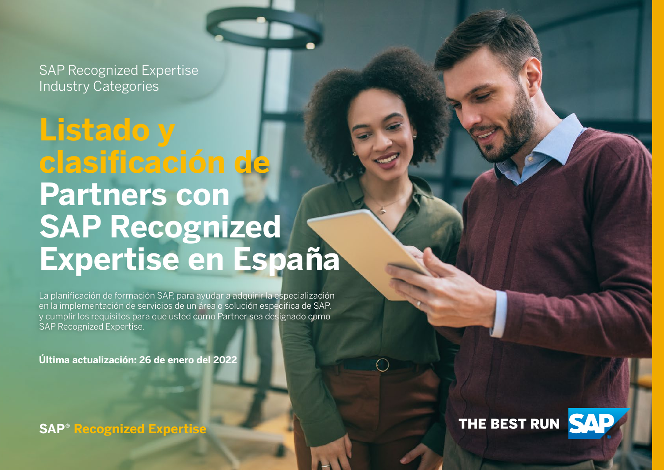# **Listado y clasificación de Partners con SAP Recognized Expertise en España**

La planificación de formación SAP, para ayudar a adquirir la especialización en la implementación de servicios de un área o solución especifica de SAP, y cumplir los requisitos para que usted como Partner sea designado como SAP Recognized Expertise.

**Última actualización: 26 de enero del 2022**

**SAP® Recognized Expertise**



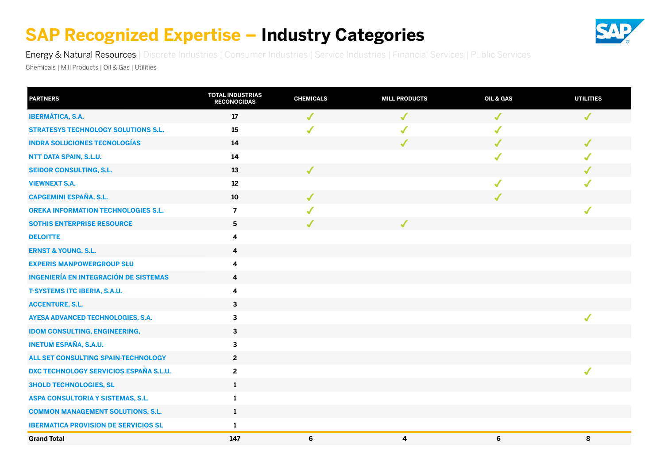

<span id="page-21-0"></span>Energy & Natural Resources | [Discrete Industries](#page-22-0) | [Consumer Industries](#page-23-0) | [Service Industries |](#page-24-0) [Financial Services |](#page-25-0) [Public Services](#page-26-0)

Chemicals | Mill Products | Oil & Gas | Utilities

| <b>PARTNERS</b>                               | <b>TOTAL INDUSTRIAS</b><br><b>RECONOCIDAS</b> | <b>CHEMICALS</b> | <b>MILL PRODUCTS</b> | OIL & GAS    | <b>UTILITIES</b> |
|-----------------------------------------------|-----------------------------------------------|------------------|----------------------|--------------|------------------|
| <b>IBERMÁTICA, S.A.</b>                       | 17                                            | $\checkmark$     | $\checkmark$         | $\checkmark$ | $\checkmark$     |
| <b>STRATESYS TECHNOLOGY SOLUTIONS S.L.</b>    | 15                                            | $\sqrt{2}$       | $\sqrt{2}$           | $\checkmark$ |                  |
| <b>INDRA SOLUCIONES TECNOLOGÍAS</b>           | 14                                            |                  | $\checkmark$         | $\checkmark$ | $\checkmark$     |
| NTT DATA SPAIN, S.L.U.                        | 14                                            |                  |                      | $\checkmark$ |                  |
| <b>SEIDOR CONSULTING, S.L.</b>                | 13                                            | $\checkmark$     |                      |              |                  |
| <b>VIEWNEXT S.A.</b>                          | 12                                            |                  |                      | $\checkmark$ |                  |
| <b>CAPGEMINI ESPAÑA, S.L.</b>                 | 10                                            | J                |                      | $\checkmark$ |                  |
| <b>OREKA INFORMATION TECHNOLOGIES S.L.</b>    | $\overline{\mathbf{z}}$                       | $\boldsymbol{J}$ |                      |              |                  |
| SOTHIS ENTERPRISE RESOURCE                    | 5                                             | $\boldsymbol{J}$ | $\sqrt{\frac{1}{2}}$ |              |                  |
| <b>DELOITTE</b>                               | 4                                             |                  |                      |              |                  |
| <b>ERNST &amp; YOUNG, S.L.</b>                | 4                                             |                  |                      |              |                  |
| <b>EXPERIS MANPOWERGROUP SLU</b>              | 4                                             |                  |                      |              |                  |
| <b>INGENIERÍA EN INTEGRACIÓN DE SISTEMAS</b>  | 4                                             |                  |                      |              |                  |
| <b>T-SYSTEMS ITC IBERIA, S.A.U.</b>           | 4                                             |                  |                      |              |                  |
| <b>ACCENTURE, S.L.</b>                        | $\mathbf{3}$                                  |                  |                      |              |                  |
| AYESA ADVANCED TECHNOLOGIES, S.A.             | 3                                             |                  |                      |              |                  |
| <b>IDOM CONSULTING, ENGINEERING,</b>          | 3                                             |                  |                      |              |                  |
| <b>INETUM ESPAÑA, S.A.U.</b>                  | 3                                             |                  |                      |              |                  |
| ALL SET CONSULTING SPAIN-TECHNOLOGY           | $2^{\circ}$                                   |                  |                      |              |                  |
| <b>DXC TECHNOLOGY SERVICIOS ESPAÑA S.L.U.</b> | $\mathbf 2$                                   |                  |                      |              | ✔                |
| <b>3HOLD TECHNOLOGIES, SL</b>                 | $\mathbf{1}$                                  |                  |                      |              |                  |
| ASPA CONSULTORIA Y SISTEMAS, S.L.             | 1                                             |                  |                      |              |                  |
| <b>COMMON MANAGEMENT SOLUTIONS, S.L.</b>      | $\mathbf{1}$                                  |                  |                      |              |                  |
| <b>IBERMATICA PROVISION DE SERVICIOS SL</b>   | $\mathbf{1}$                                  |                  |                      |              |                  |
| <b>Grand Total</b>                            | 147                                           | 6                | $\boldsymbol{4}$     | 6            | 8                |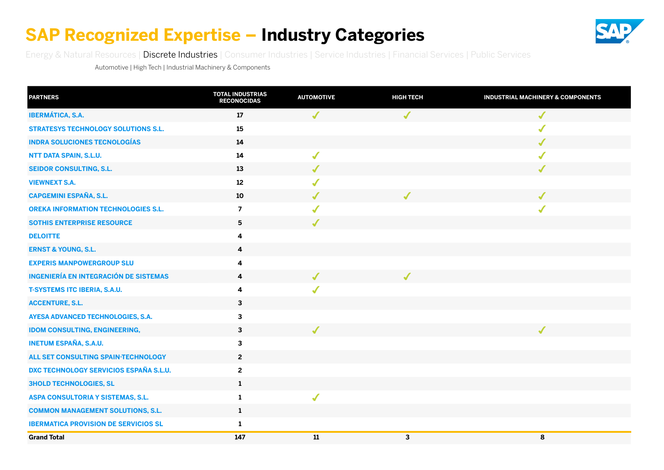

<span id="page-22-0"></span>[Energy & Natural Resources](#page-21-0) | Discrete Industries | [Consumer Industries](#page-23-0) | [Service Industries](#page-24-0) | [Financial Services](#page-25-0) | [Public Services](#page-26-0)

Automotive | High Tech | Industrial Machinery & Components

| <b>PARTNERS</b>                              | <b>TOTAL INDUSTRIAS</b><br><b>RECONOCIDAS</b> | <b>AUTOMOTIVE</b> | <b>HIGH TECH</b> | <b>INDUSTRIAL MACHINERY &amp; COMPONENTS</b> |
|----------------------------------------------|-----------------------------------------------|-------------------|------------------|----------------------------------------------|
| <b>IBERMÁTICA, S.A.</b>                      | 17                                            | $\boldsymbol{J}$  | $\checkmark$     | $\sqrt{\frac{1}{2}}$                         |
| <b>STRATESYS TECHNOLOGY SOLUTIONS S.L.</b>   | 15                                            |                   |                  | $\sqrt{\frac{1}{2}}$                         |
| <b>INDRA SOLUCIONES TECNOLOGÍAS</b>          | 14                                            |                   |                  | $\checkmark$                                 |
| NTT DATA SPAIN, S.L.U.                       | 14                                            | $\checkmark$      |                  | $\sqrt{2}$                                   |
| <b>SEIDOR CONSULTING, S.L.</b>               | 13                                            | ✔                 |                  | $\checkmark$                                 |
| <b>VIEWNEXT S.A.</b>                         | 12                                            | $\checkmark$      |                  |                                              |
| <b>CAPGEMINI ESPAÑA, S.L.</b>                | $10\,$                                        |                   | ✔                | $\checkmark$                                 |
| <b>OREKA INFORMATION TECHNOLOGIES S.L.</b>   | $\overline{\mathbf{z}}$                       |                   |                  | $\checkmark$                                 |
| <b>SOTHIS ENTERPRISE RESOURCE</b>            | ${\bf 5}$                                     | J                 |                  |                                              |
| <b>DELOITTE</b>                              | 4                                             |                   |                  |                                              |
| <b>ERNST &amp; YOUNG, S.L.</b>               | 4                                             |                   |                  |                                              |
| <b>EXPERIS MANPOWERGROUP SLU</b>             | $\overline{\mathbf{4}}$                       |                   |                  |                                              |
| <b>INGENIERÍA EN INTEGRACIÓN DE SISTEMAS</b> | $\overline{\mathbf{4}}$                       | J                 | J                |                                              |
| <b>T-SYSTEMS ITC IBERIA, S.A.U.</b>          | $\overline{\mathbf{4}}$                       |                   |                  |                                              |
| <b>ACCENTURE, S.L.</b>                       | $\mathbf{3}$                                  |                   |                  |                                              |
| AYESA ADVANCED TECHNOLOGIES, S.A.            | 3                                             |                   |                  |                                              |
| <b>IDOM CONSULTING, ENGINEERING,</b>         | $\mathbf{3}$                                  |                   |                  | ✔                                            |
| <b>INETUM ESPAÑA, S.A.U.</b>                 | $\mathbf{3}$                                  |                   |                  |                                              |
| ALL SET CONSULTING SPAIN-TECHNOLOGY          | $\overline{2}$                                |                   |                  |                                              |
| DXC TECHNOLOGY SERVICIOS ESPAÑA S.L.U.       | $\mathbf{2}$                                  |                   |                  |                                              |
| <b>3HOLD TECHNOLOGIES, SL</b>                | $\mathbf{1}$                                  |                   |                  |                                              |
| ASPA CONSULTORIA Y SISTEMAS, S.L.            | $\mathbf{1}$                                  | ✔                 |                  |                                              |
| <b>COMMON MANAGEMENT SOLUTIONS, S.L.</b>     | $\mathbf{1}$                                  |                   |                  |                                              |
| <b>IBERMATICA PROVISION DE SERVICIOS SL</b>  | $\mathbf{1}$                                  |                   |                  |                                              |
| <b>Grand Total</b>                           | 147                                           | ${\bf 11}$        | 3                | 8                                            |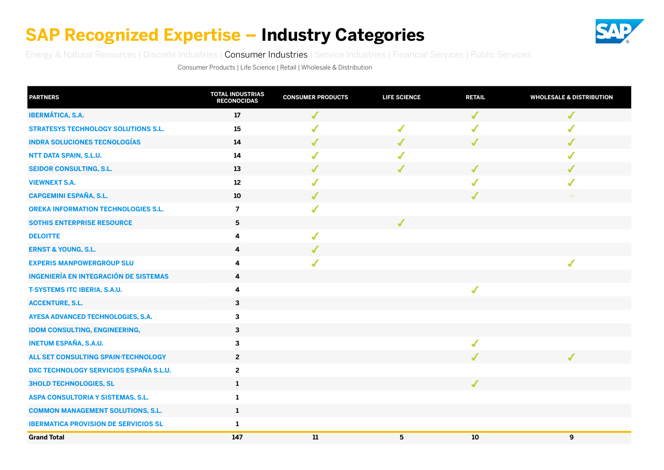

<span id="page-23-0"></span>[Energy & Natural Resources](#page-21-0) | [Discrete Industries](#page-22-0) | Consumer Industries | [Service Industries](#page-24-0) [| Financial Services](#page-25-0) | [Public Services](#page-26-0)

Consumer Products | Life Science | Retail | Wholesale & Distribution

| <b>PARTNERS</b>                              | <b>TOTAL INDUSTRIAS</b><br><b>RECONOCIDAS</b> | <b>CONSUMER PRODUCTS</b> | <b>LIFE SCIENCE</b> | <b>RETAIL</b>        | <b>WHOLESALE &amp; DISTRIBUTION</b> |
|----------------------------------------------|-----------------------------------------------|--------------------------|---------------------|----------------------|-------------------------------------|
| <b>IBERMÁTICA, S.A.</b>                      | 17                                            | $\checkmark$             |                     | $\checkmark$         | J                                   |
| <b>STRATESYS TECHNOLOGY SOLUTIONS S.L.</b>   | 15                                            | $\checkmark$             | $\checkmark$        |                      |                                     |
| <b>INDRA SOLUCIONES TECNOLOGÍAS</b>          | 14                                            | ✔                        | $\checkmark$        | J                    | J                                   |
| NTT DATA SPAIN, S.L.U.                       | 14                                            |                          | $\checkmark$        |                      |                                     |
| <b>SEIDOR CONSULTING, S.L.</b>               | 13                                            |                          | ✔                   | ✔                    |                                     |
| <b>VIEWNEXT S.A.</b>                         | $12$                                          |                          |                     |                      |                                     |
| <b>CAPGEMINI ESPAÑA, S.L.</b>                | 10                                            | J                        |                     | ✔                    | $\circ$                             |
| <b>OREKA INFORMATION TECHNOLOGIES S.L.</b>   | $\overline{\mathbf{z}}$                       | $\sqrt{2}$               |                     |                      |                                     |
| <b>SOTHIS ENTERPRISE RESOURCE</b>            | 5                                             |                          | $\checkmark$        |                      |                                     |
| <b>DELOITTE</b>                              | 4                                             | ✔                        |                     |                      |                                     |
| <b>ERNST &amp; YOUNG, S.L.</b>               | 4                                             | ✔                        |                     |                      |                                     |
| <b>EXPERIS MANPOWERGROUP SLU</b>             | 4                                             |                          |                     |                      |                                     |
| <b>INGENIERÍA EN INTEGRACIÓN DE SISTEMAS</b> | 4                                             |                          |                     |                      |                                     |
| <b>T-SYSTEMS ITC IBERIA, S.A.U.</b>          | 4                                             |                          |                     | $\checkmark$         |                                     |
| <b>ACCENTURE, S.L.</b>                       | 3                                             |                          |                     |                      |                                     |
| AYESA ADVANCED TECHNOLOGIES, S.A.            | 3                                             |                          |                     |                      |                                     |
| <b>IDOM CONSULTING, ENGINEERING,</b>         | 3                                             |                          |                     |                      |                                     |
| <b>INETUM ESPAÑA, S.A.U.</b>                 | 3                                             |                          |                     | $\sqrt{\frac{1}{2}}$ |                                     |
| ALL SET CONSULTING SPAIN-TECHNOLOGY          | $\mathbf{2}$                                  |                          |                     |                      |                                     |
| DXC TECHNOLOGY SERVICIOS ESPAÑA S.L.U.       | 2                                             |                          |                     |                      |                                     |
| <b>3HOLD TECHNOLOGIES, SL</b>                | $\mathbf{1}$                                  |                          |                     | $\checkmark$         |                                     |
| ASPA CONSULTORIA Y SISTEMAS, S.L.            | $\mathbf{1}$                                  |                          |                     |                      |                                     |
| <b>COMMON MANAGEMENT SOLUTIONS, S.L.</b>     | $\mathbf{1}$                                  |                          |                     |                      |                                     |
| <b>IBERMATICA PROVISION DE SERVICIOS SL</b>  | $\mathbf{1}$                                  |                          |                     |                      |                                     |
| <b>Grand Total</b>                           | 147                                           | ${\bf 11}$               | 5                   | $10\,$               | 9                                   |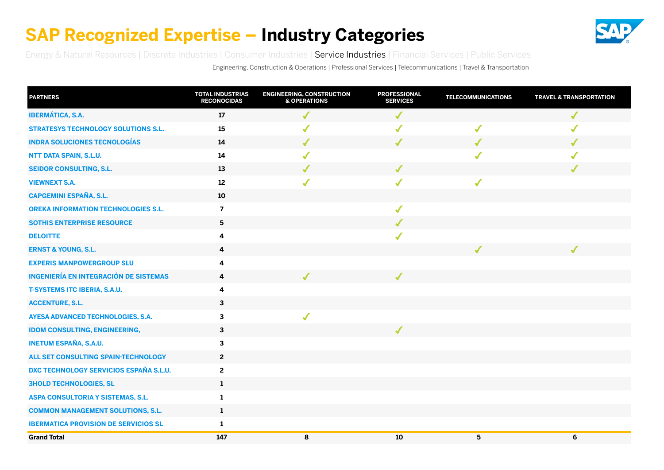

<span id="page-24-0"></span>[Energy & Natural Resources](#page-21-0) | [Discrete Industries](#page-22-0) | [Consumer Industries |](#page-23-0) Service Industries [| Financial Services](#page-25-0) | [Public Services](#page-26-0)

Engineering, Construction & Operations | Professional Services | Telecommunications | Travel & Transportation

| <b>PARTNERS</b>                               | <b>TOTAL INDUSTRIAS</b><br><b>RECONOCIDAS</b> | <b>ENGINEERING, CONSTRUCTION</b><br><b>&amp; OPERATIONS</b> | <b>PROFESSIONAL</b><br><b>SERVICES</b> | <b>TELECOMMUNICATIONS</b> | <b>TRAVEL &amp; TRANSPORTATION</b> |
|-----------------------------------------------|-----------------------------------------------|-------------------------------------------------------------|----------------------------------------|---------------------------|------------------------------------|
| <b>IBERMÁTICA, S.A.</b>                       | 17                                            | $\sqrt{2}$                                                  | $\sqrt{2}$                             |                           | $\checkmark$                       |
| <b>STRATESYS TECHNOLOGY SOLUTIONS S.L.</b>    | 15                                            | $\sqrt{\frac{1}{2}}$                                        | $\sqrt{2}$                             | $\checkmark$              | $\sqrt{\frac{1}{2}}$               |
| <b>INDRA SOLUCIONES TECNOLOGÍAS</b>           | 14                                            | ✔                                                           | $\checkmark$                           | ✔                         | J                                  |
| NTT DATA SPAIN, S.L.U.                        | 14                                            | $\checkmark$                                                |                                        |                           | ✔                                  |
| <b>SEIDOR CONSULTING, S.L.</b>                | 13                                            | ✔                                                           | ✔                                      |                           | J                                  |
| <b>VIEWNEXT S.A.</b>                          | $12\,$                                        | $\checkmark$                                                | $\sqrt{2}$                             | $\sqrt{2}$                |                                    |
| <b>CAPGEMINI ESPAÑA, S.L.</b>                 | 10                                            |                                                             |                                        |                           |                                    |
| <b>OREKA INFORMATION TECHNOLOGIES S.L.</b>    | $\overline{\mathbf{z}}$                       |                                                             | $\checkmark$                           |                           |                                    |
| <b>SOTHIS ENTERPRISE RESOURCE</b>             | $\overline{\mathbf{5}}$                       |                                                             | $\checkmark$                           |                           |                                    |
| <b>DELOITTE</b>                               | 4                                             |                                                             | $\blacklozenge$                        |                           |                                    |
| <b>ERNST &amp; YOUNG, S.L.</b>                | 4                                             |                                                             |                                        | J                         | ✔                                  |
| <b>EXPERIS MANPOWERGROUP SLU</b>              | 4                                             |                                                             |                                        |                           |                                    |
| <b>INGENIERÍA EN INTEGRACIÓN DE SISTEMAS</b>  | 4                                             | $\checkmark$                                                | $\checkmark$                           |                           |                                    |
| <b>T-SYSTEMS ITC IBERIA, S.A.U.</b>           | 4                                             |                                                             |                                        |                           |                                    |
| <b>ACCENTURE, S.L.</b>                        | 3                                             |                                                             |                                        |                           |                                    |
| AYESA ADVANCED TECHNOLOGIES, S.A.             | 3                                             | $\sqrt{2}$                                                  |                                        |                           |                                    |
| <b>IDOM CONSULTING, ENGINEERING,</b>          | $\mathbf{3}$                                  |                                                             | ✔                                      |                           |                                    |
| <b>INETUM ESPAÑA, S.A.U.</b>                  | $\mathbf{3}$                                  |                                                             |                                        |                           |                                    |
| ALL SET CONSULTING SPAIN-TECHNOLOGY           | $\mathbf{2}$                                  |                                                             |                                        |                           |                                    |
| <b>DXC TECHNOLOGY SERVICIOS ESPAÑA S.L.U.</b> | $\overline{2}$                                |                                                             |                                        |                           |                                    |
| <b>3HOLD TECHNOLOGIES, SL</b>                 | $\mathbf{1}$                                  |                                                             |                                        |                           |                                    |
| ASPA CONSULTORIA Y SISTEMAS, S.L.             | $\mathbf{1}$                                  |                                                             |                                        |                           |                                    |
| <b>COMMON MANAGEMENT SOLUTIONS, S.L.</b>      | $\mathbf{1}$                                  |                                                             |                                        |                           |                                    |
| <b>IBERMATICA PROVISION DE SERVICIOS SL</b>   | $\mathbf{1}$                                  |                                                             |                                        |                           |                                    |
| <b>Grand Total</b>                            | 147                                           | 8                                                           | 10                                     | 5                         | 6                                  |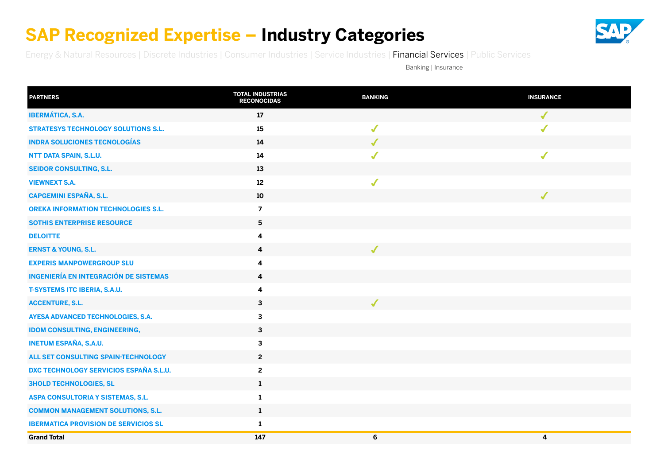

<span id="page-25-0"></span>[Energy & Natural Resources](#page-21-0) | [Discrete Industries](#page-22-0) | [Consumer Industries](#page-23-0) | [Service Industries](#page-24-0) | Financial Services | [Public Services](#page-26-0)

Banking | Insurance

| <b>PARTNERS</b>                              | <b>TOTAL INDUSTRIAS</b><br><b>RECONOCIDAS</b> | <b>BANKING</b>           | <b>INSURANCE</b> |
|----------------------------------------------|-----------------------------------------------|--------------------------|------------------|
| <b>IBERMÁTICA, S.A.</b>                      | 17                                            |                          | $\checkmark$     |
| <b>STRATESYS TECHNOLOGY SOLUTIONS S.L.</b>   | 15                                            | $\checkmark$             | $\sqrt{2}$       |
| <b>INDRA SOLUCIONES TECNOLOGÍAS</b>          | 14                                            | J                        |                  |
| NTT DATA SPAIN, S.L.U.                       | 14                                            | ✔                        | ✔                |
| <b>SEIDOR CONSULTING, S.L.</b>               | 13                                            |                          |                  |
| <b>VIEWNEXT S.A.</b>                         | 12                                            | ✔                        |                  |
| <b>CAPGEMINI ESPAÑA, S.L.</b>                | 10                                            |                          | $\checkmark$     |
| <b>OREKA INFORMATION TECHNOLOGIES S.L.</b>   | $\overline{7}$                                |                          |                  |
| <b>SOTHIS ENTERPRISE RESOURCE</b>            | 5                                             |                          |                  |
| <b>DELOITTE</b>                              | 4                                             |                          |                  |
| <b>ERNST &amp; YOUNG, S.L.</b>               | $\overline{\mathbf{4}}$                       | $\overline{\mathcal{L}}$ |                  |
| <b>EXPERIS MANPOWERGROUP SLU</b>             | 4                                             |                          |                  |
| <b>INGENIERÍA EN INTEGRACIÓN DE SISTEMAS</b> | 4                                             |                          |                  |
| <b>T-SYSTEMS ITC IBERIA, S.A.U.</b>          | 4                                             |                          |                  |
| <b>ACCENTURE, S.L.</b>                       | $\mathbf{3}$                                  | J                        |                  |
| AYESA ADVANCED TECHNOLOGIES, S.A.            | 3                                             |                          |                  |
| <b>IDOM CONSULTING, ENGINEERING,</b>         | $\mathbf{3}$                                  |                          |                  |
| <b>INETUM ESPAÑA, S.A.U.</b>                 | 3                                             |                          |                  |
| ALL SET CONSULTING SPAIN-TECHNOLOGY          | $\overline{2}$                                |                          |                  |
| DXC TECHNOLOGY SERVICIOS ESPAÑA S.L.U.       | $\mathbf{2}$                                  |                          |                  |
| <b>3HOLD TECHNOLOGIES, SL</b>                | $\mathbf{1}$                                  |                          |                  |
| ASPA CONSULTORIA Y SISTEMAS, S.L.            | 1                                             |                          |                  |
| <b>COMMON MANAGEMENT SOLUTIONS, S.L.</b>     | $\mathbf{1}$                                  |                          |                  |
| <b>IBERMATICA PROVISION DE SERVICIOS SL</b>  | $\mathbf{1}$                                  |                          |                  |
| <b>Grand Total</b>                           | 147                                           | 6                        | 4                |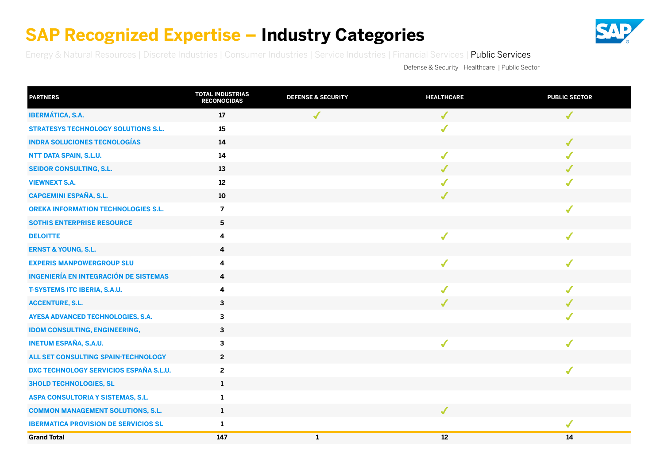

<span id="page-26-0"></span>[Energy & Natural Resources](#page-21-0) | [Discrete Industries](#page-22-0) | [Consumer Industries](#page-23-0) | [Service Industries](#page-24-0) | [Financial Services](#page-25-0) | Public Services

Defense & Security | Healthcare | Public Sector

| <b>PARTNERS</b>                               | <b>TOTAL INDUSTRIAS</b><br><b>RECONOCIDAS</b> | <b>DEFENSE &amp; SECURITY</b> | <b>HEALTHCARE</b> | <b>PUBLIC SECTOR</b> |
|-----------------------------------------------|-----------------------------------------------|-------------------------------|-------------------|----------------------|
| <b>IBERMÁTICA, S.A.</b>                       | 17                                            | ✔                             | $\checkmark$      | $\checkmark$         |
| <b>STRATESYS TECHNOLOGY SOLUTIONS S.L.</b>    | 15                                            |                               | $\checkmark$      |                      |
| <b>INDRA SOLUCIONES TECNOLOGÍAS</b>           | 14                                            |                               |                   | J                    |
| NTT DATA SPAIN, S.L.U.                        | 14                                            |                               | $\checkmark$      |                      |
| <b>SEIDOR CONSULTING, S.L.</b>                | 13                                            |                               | J                 |                      |
| <b>VIEWNEXT S.A.</b>                          | $12\,$                                        |                               |                   |                      |
| <b>CAPGEMINI ESPAÑA, S.L.</b>                 | 10                                            |                               | $\checkmark$      |                      |
| <b>OREKA INFORMATION TECHNOLOGIES S.L.</b>    | $\overline{7}$                                |                               |                   | ✔                    |
| <b>SOTHIS ENTERPRISE RESOURCE</b>             | $5\phantom{.0}$                               |                               |                   |                      |
| <b>DELOITTE</b>                               | 4                                             |                               |                   |                      |
| <b>ERNST &amp; YOUNG, S.L.</b>                | 4                                             |                               |                   |                      |
| <b>EXPERIS MANPOWERGROUP SLU</b>              | 4                                             |                               | $\checkmark$      |                      |
| <b>INGENIERÍA EN INTEGRACIÓN DE SISTEMAS</b>  | 4                                             |                               |                   |                      |
| <b>T-SYSTEMS ITC IBERIA, S.A.U.</b>           | 4                                             |                               | $\sqrt{2}$        | ✔                    |
| <b>ACCENTURE, S.L.</b>                        | $\mathbf{3}$                                  |                               | J                 |                      |
| AYESA ADVANCED TECHNOLOGIES, S.A.             | 3                                             |                               |                   |                      |
| <b>IDOM CONSULTING, ENGINEERING,</b>          | $\mathbf{3}$                                  |                               |                   |                      |
| <b>INETUM ESPAÑA, S.A.U.</b>                  | $\mathbf{3}$                                  |                               | $\sqrt{2}$        | ✔                    |
| ALL SET CONSULTING SPAIN-TECHNOLOGY           | $\overline{2}$                                |                               |                   |                      |
| <b>DXC TECHNOLOGY SERVICIOS ESPAÑA S.L.U.</b> | $\overline{2}$                                |                               |                   | √                    |
| <b>3HOLD TECHNOLOGIES, SL</b>                 | $\mathbf{1}$                                  |                               |                   |                      |
| ASPA CONSULTORIA Y SISTEMAS, S.L.             | $\mathbf{1}$                                  |                               |                   |                      |
| <b>COMMON MANAGEMENT SOLUTIONS, S.L.</b>      | $\mathbf{1}$                                  |                               | $\boldsymbol{J}$  |                      |
| <b>IBERMATICA PROVISION DE SERVICIOS SL</b>   | $\mathbf{1}$                                  |                               |                   | $\checkmark$         |
| <b>Grand Total</b>                            | 147                                           | $\mathbf{1}$                  | 12                | 14                   |